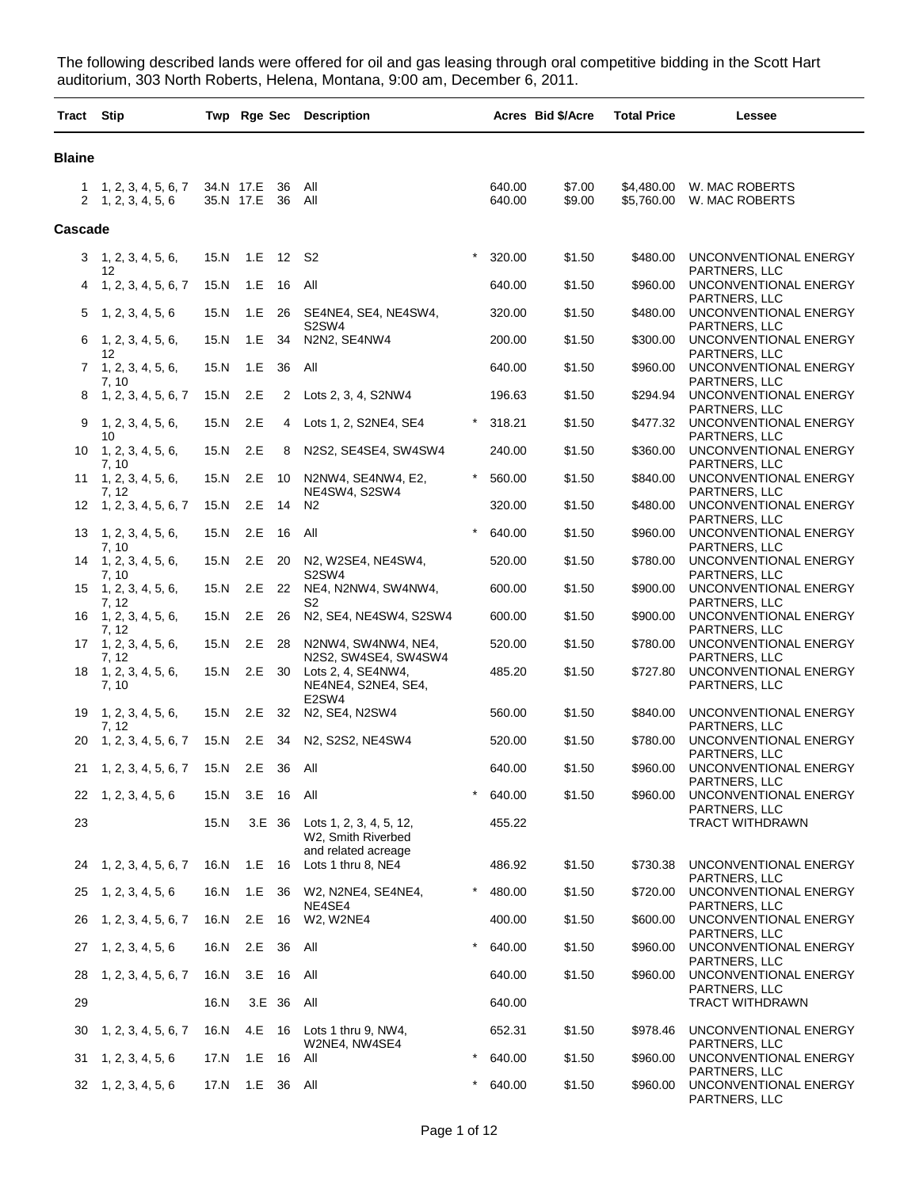The following described lands were offered for oil and gas leasing through oral competitive bidding in the Scott Hart auditorium, 303 North Roberts, Helena, Montana, 9:00 am, December 6, 2011.

| Tract Stip     |                                            |                        |            |          | Twp Rge Sec Description                                              |          |                  | Acres Bid \$/Acre | <b>Total Price</b>       | Lessee                                                  |
|----------------|--------------------------------------------|------------------------|------------|----------|----------------------------------------------------------------------|----------|------------------|-------------------|--------------------------|---------------------------------------------------------|
| <b>Blaine</b>  |                                            |                        |            |          |                                                                      |          |                  |                   |                          |                                                         |
| 1              | 1, 2, 3, 4, 5, 6, 7<br>2, 1, 2, 3, 4, 5, 6 | 34.N 17.E<br>35.N 17.E |            | 36<br>36 | All<br>All                                                           |          | 640.00<br>640.00 | \$7.00<br>\$9.00  | \$4,480.00<br>\$5,760.00 | W. MAC ROBERTS<br>W. MAC ROBERTS                        |
| <b>Cascade</b> |                                            |                        |            |          |                                                                      |          |                  |                   |                          |                                                         |
| 3              | 1, 2, 3, 4, 5, 6,                          | 15.N                   | 1.E 12 S2  |          |                                                                      | $\star$  | 320.00           | \$1.50            | \$480.00                 | UNCONVENTIONAL ENERGY                                   |
| 4              | 12<br>1, 2, 3, 4, 5, 6, 7                  | 15.N                   | 1.E        | 16       | All                                                                  |          | 640.00           | \$1.50            | \$960.00                 | PARTNERS, LLC<br>UNCONVENTIONAL ENERGY                  |
| 5              | 1, 2, 3, 4, 5, 6                           | 15.N                   | 1.E 26     |          | SE4NE4, SE4, NE4SW4,                                                 |          | 320.00           | \$1.50            | \$480.00                 | PARTNERS, LLC<br>UNCONVENTIONAL ENERGY                  |
| 6              | 1, 2, 3, 4, 5, 6,                          | 15.N                   | 1.E        | 34       | S2SW4<br>N2N2, SE4NW4                                                |          | 200.00           | \$1.50            | \$300.00                 | PARTNERS, LLC<br>UNCONVENTIONAL ENERGY                  |
|                | 12<br>7, 1, 2, 3, 4, 5, 6,                 | 15.N                   | 1.E        | 36       | All                                                                  |          | 640.00           | \$1.50            | \$960.00                 | PARTNERS, LLC<br>UNCONVENTIONAL ENERGY                  |
| 8              | 7, 10<br>1, 2, 3, 4, 5, 6, 7               | 15.N                   | 2.E        | 2        | Lots 2, 3, 4, S2NW4                                                  |          | 196.63           | \$1.50            | \$294.94                 | PARTNERS, LLC<br>UNCONVENTIONAL ENERGY                  |
| 9              | 1, 2, 3, 4, 5, 6,                          | 15.N                   | 2.E        | 4        | Lots 1, 2, S2NE4, SE4                                                |          | 318.21           | \$1.50            | \$477.32                 | PARTNERS, LLC<br>UNCONVENTIONAL ENERGY                  |
| 10             | 10<br>1, 2, 3, 4, 5, 6,                    | 15.N                   | 2.E        | 8        | N2S2, SE4SE4, SW4SW4                                                 |          | 240.00           | \$1.50            | \$360.00                 | PARTNERS, LLC<br>UNCONVENTIONAL ENERGY                  |
| 11             | 7, 10<br>1, 2, 3, 4, 5, 6,<br>7, 12        | 15.N                   | 2.E        | 10       | N2NW4, SE4NW4, E2,<br>NE4SW4, S2SW4                                  |          | 560.00           | \$1.50            | \$840.00                 | PARTNERS, LLC<br>UNCONVENTIONAL ENERGY<br>PARTNERS, LLC |
| 12             | 1, 2, 3, 4, 5, 6, 7                        | 15.N                   | 2.E        | 14       | N <sub>2</sub>                                                       |          | 320.00           | \$1.50            | \$480.00                 | UNCONVENTIONAL ENERGY<br>PARTNERS, LLC                  |
| 13             | 1, 2, 3, 4, 5, 6,<br>7, 10                 | 15.N                   | 2.E        | 16       | All                                                                  |          | 640.00           | \$1.50            | \$960.00                 | UNCONVENTIONAL ENERGY<br>PARTNERS, LLC                  |
| 14             | 1, 2, 3, 4, 5, 6,<br>7, 10                 | 15.N                   | 2.E 20     |          | N2, W2SE4, NE4SW4,<br>S2SW4                                          |          | 520.00           | \$1.50            | \$780.00                 | UNCONVENTIONAL ENERGY<br>PARTNERS, LLC                  |
| 15             | 1, 2, 3, 4, 5, 6,<br>7, 12                 | 15.N                   | 2.E 22     |          | NE4, N2NW4, SW4NW4,<br>S2                                            |          | 600.00           | \$1.50            | \$900.00                 | UNCONVENTIONAL ENERGY<br>PARTNERS, LLC                  |
| 16             | 1, 2, 3, 4, 5, 6,<br>7, 12                 | 15.N                   | 2.E        | 26       | N2, SE4, NE4SW4, S2SW4                                               |          | 600.00           | \$1.50            | \$900.00                 | UNCONVENTIONAL ENERGY<br>PARTNERS, LLC                  |
|                | $17 \quad 1, 2, 3, 4, 5, 6,$<br>7, 12      | 15.N                   | 2.E        | 28       | N2NW4, SW4NW4, NE4,<br>N2S2, SW4SE4, SW4SW4                          |          | 520.00           | \$1.50            | \$780.00                 | UNCONVENTIONAL ENERGY<br>PARTNERS, LLC                  |
| 18             | 1, 2, 3, 4, 5, 6,<br>7, 10                 | 15.N                   | 2.E        | 30       | Lots 2, 4, SE4NW4,<br>NE4NE4, S2NE4, SE4,<br>E2SW4                   |          | 485.20           | \$1.50            | \$727.80                 | UNCONVENTIONAL ENERGY<br>PARTNERS, LLC                  |
| 19             | 1, 2, 3, 4, 5, 6,<br>7, 12                 | 15.N                   | 2.E        | 32       | N2, SE4, N2SW4                                                       |          | 560.00           | \$1.50            | \$840.00                 | UNCONVENTIONAL ENERGY<br>PARTNERS, LLC                  |
| 20             | 1, 2, 3, 4, 5, 6, 7                        | 15.N                   | 2.E        | 34       | N2, S2S2, NE4SW4                                                     |          | 520.00           | \$1.50            | \$780.00                 | UNCONVENTIONAL ENERGY<br>PARTNERS, LLC                  |
| 21             | 1, 2, 3, 4, 5, 6, 7                        | 15.N                   | 2.E        | 36       | All                                                                  |          | 640.00           | \$1.50            | \$960.00                 | UNCONVENTIONAL ENERGY<br>PARTNERS, LLC                  |
|                | $22 \quad 1, 2, 3, 4, 5, 6$                | 15.N                   | 3.E 16 All |          |                                                                      |          | 640.00           | \$1.50            | \$960.00                 | UNCONVENTIONAL ENERGY<br>PARTNERS, LLC                  |
| 23             |                                            | 15.N                   | 3.E 36     |          | Lots 1, 2, 3, 4, 5, 12,<br>W2, Smith Riverbed<br>and related acreage |          | 455.22           |                   |                          | TRACT WITHDRAWN                                         |
| 24             | 1, 2, 3, 4, 5, 6, 7                        | 16.N                   | 1.E        | - 16     | Lots 1 thru 8, NE4                                                   |          | 486.92           | \$1.50            | \$730.38                 | UNCONVENTIONAL ENERGY<br>PARTNERS, LLC                  |
| 25             | 1, 2, 3, 4, 5, 6                           | 16.N                   | 1.E        | 36       | W2, N2NE4, SE4NE4,<br>NE4SE4                                         | $^\star$ | 480.00           | \$1.50            | \$720.00                 | UNCONVENTIONAL ENERGY<br>PARTNERS, LLC                  |
| 26             | 1, 2, 3, 4, 5, 6, 7                        | 16.N                   | 2.E 16     |          | W2, W2NE4                                                            |          | 400.00           | \$1.50            | \$600.00                 | UNCONVENTIONAL ENERGY<br>PARTNERS, LLC                  |
| 27             | 1, 2, 3, 4, 5, 6                           | 16.N                   | 2.E 36     |          | All                                                                  | $\star$  | 640.00           | \$1.50            | \$960.00                 | UNCONVENTIONAL ENERGY<br>PARTNERS, LLC                  |
| 28             | 1, 2, 3, 4, 5, 6, 7                        | 16.N                   | 3.E        | 16       | All                                                                  |          | 640.00           | \$1.50            | \$960.00                 | UNCONVENTIONAL ENERGY<br>PARTNERS, LLC                  |
| 29             |                                            | 16.N                   | 3.E 36     |          | All                                                                  |          | 640.00           |                   |                          | <b>TRACT WITHDRAWN</b>                                  |
| 30             | 1, 2, 3, 4, 5, 6, 7                        | 16.N                   |            |          | 4.E 16 Lots 1 thru 9, NW4,<br>W2NE4, NW4SE4                          |          | 652.31           | \$1.50            | \$978.46                 | UNCONVENTIONAL ENERGY<br>PARTNERS, LLC                  |
| 31             | 1, 2, 3, 4, 5, 6                           | 17.N                   | 1.E 16 All |          |                                                                      | $\ast$   | 640.00           | \$1.50            | \$960.00                 | UNCONVENTIONAL ENERGY                                   |
|                | $32 \quad 1, 2, 3, 4, 5, 6$                | 17.N                   | 1.E        | 36 All   |                                                                      |          | 640.00           | \$1.50            | \$960.00                 | PARTNERS, LLC<br>UNCONVENTIONAL ENERGY<br>PARTNERS, LLC |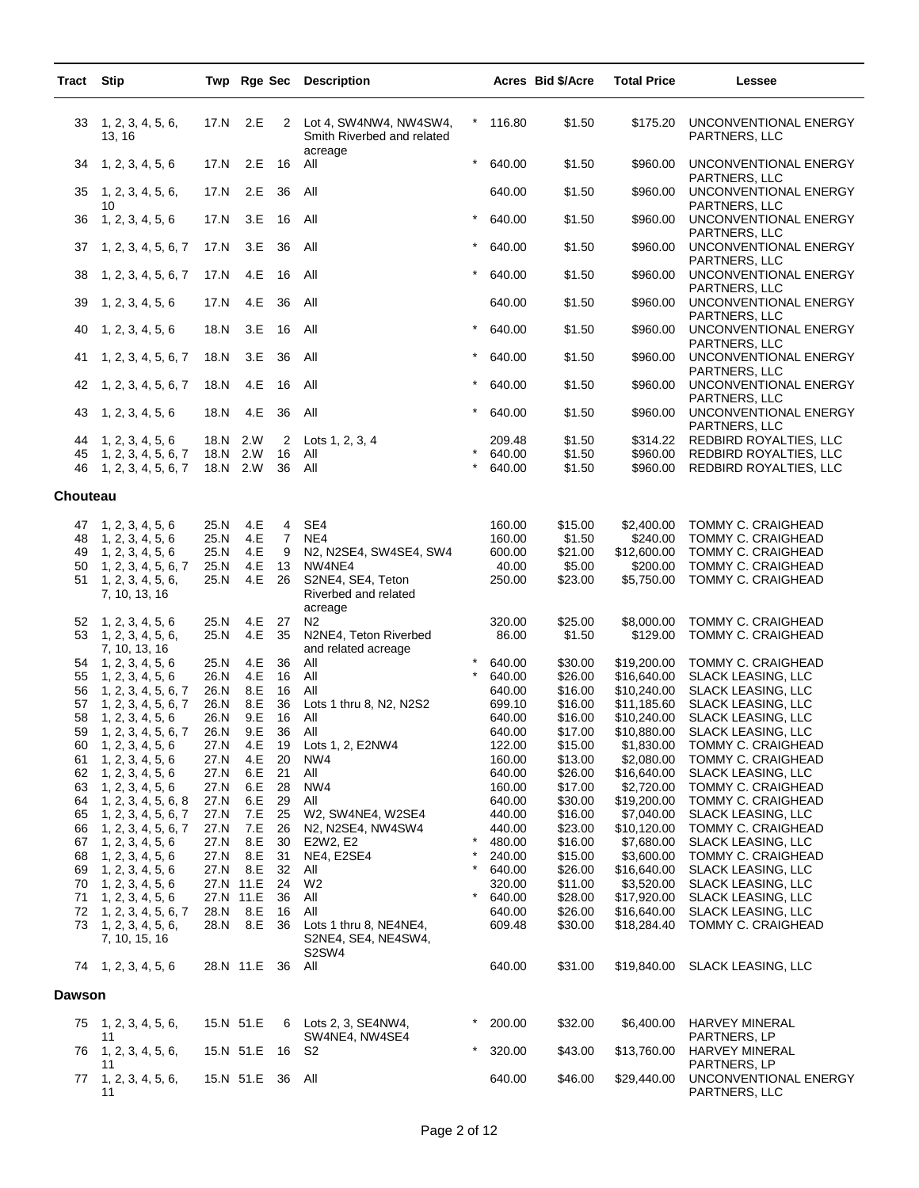| Tract         | <b>Stip</b>                                |                        |                  |                | Twp Rge Sec Description                              |           |                  | Acres Bid \$/Acre  | <b>Total Price</b>         | Lessee                                                  |
|---------------|--------------------------------------------|------------------------|------------------|----------------|------------------------------------------------------|-----------|------------------|--------------------|----------------------------|---------------------------------------------------------|
| 33            | 1, 2, 3, 4, 5, 6,<br>13, 16                | 17.N                   | 2.E              | 2              | Lot 4, SW4NW4, NW4SW4,<br>Smith Riverbed and related |           | 116.80           | \$1.50             | \$175.20                   | UNCONVENTIONAL ENERGY<br>PARTNERS, LLC                  |
| 34            | 1, 2, 3, 4, 5, 6                           | 17.N                   | 2.E              | 16             | acreage<br>All                                       | $\star$   | 640.00           | \$1.50             | \$960.00                   | UNCONVENTIONAL ENERGY                                   |
| 35            | 1, 2, 3, 4, 5, 6,<br>10                    | 17.N                   | 2.E              | 36             | All                                                  |           | 640.00           | \$1.50             | \$960.00                   | PARTNERS, LLC<br>UNCONVENTIONAL ENERGY<br>PARTNERS, LLC |
| 36            | 1, 2, 3, 4, 5, 6                           | 17.N                   | 3.E              | 16             | All                                                  | $\star$   | 640.00           | \$1.50             | \$960.00                   | UNCONVENTIONAL ENERGY<br>PARTNERS, LLC                  |
| 37            | 1, 2, 3, 4, 5, 6, 7                        | 17.N                   | 3.E              | 36             | All                                                  | $\star$   | 640.00           | \$1.50             | \$960.00                   | UNCONVENTIONAL ENERGY<br>PARTNERS, LLC                  |
| 38            | 1, 2, 3, 4, 5, 6, 7                        | 17.N                   | 4.E              | 16             | All                                                  | $\star$   | 640.00           | \$1.50             | \$960.00                   | UNCONVENTIONAL ENERGY<br>PARTNERS, LLC                  |
| 39            | 1, 2, 3, 4, 5, 6                           | 17.N                   | 4.E              | 36             | All                                                  |           | 640.00           | \$1.50             | \$960.00                   | UNCONVENTIONAL ENERGY<br>PARTNERS, LLC                  |
| 40            | 1, 2, 3, 4, 5, 6                           | 18.N                   | 3.E              | 16             | All                                                  | $\star$   | 640.00           | \$1.50             | \$960.00                   | UNCONVENTIONAL ENERGY<br>PARTNERS, LLC                  |
| 41            | 1, 2, 3, 4, 5, 6, 7                        | 18.N                   | 3.E              | 36             | All                                                  |           | 640.00           | \$1.50             | \$960.00                   | UNCONVENTIONAL ENERGY<br>PARTNERS, LLC                  |
| 42            | 1, 2, 3, 4, 5, 6, 7                        | 18.N                   | 4.E              | - 16           | All                                                  |           | 640.00           | \$1.50             | \$960.00                   | UNCONVENTIONAL ENERGY<br>PARTNERS, LLC                  |
| 43            | 1, 2, 3, 4, 5, 6                           | 18.N                   | 4.E              | 36             | All                                                  |           | 640.00           | \$1.50             | \$960.00                   | UNCONVENTIONAL ENERGY<br>PARTNERS, LLC                  |
| 44<br>45      | 1, 2, 3, 4, 5, 6<br>1, 2, 3, 4, 5, 6, 7    | 18.N<br>18.N           | 2.W<br>2.W       | 2<br>16        | Lots 1, 2, 3, 4<br>All                               |           | 209.48<br>640.00 | \$1.50<br>\$1.50   | \$314.22<br>\$960.00       | REDBIRD ROYALTIES, LLC<br>REDBIRD ROYALTIES, LLC        |
| 46            | 1, 2, 3, 4, 5, 6, 7                        | 18.N 2.W               |                  | 36             | All                                                  |           | 640.00           | \$1.50             | \$960.00                   | REDBIRD ROYALTIES, LLC                                  |
| Chouteau      |                                            |                        |                  |                |                                                      |           |                  |                    |                            |                                                         |
| 47            | 1, 2, 3, 4, 5, 6                           | 25.N                   | 4.E              | 4              | SE4                                                  |           | 160.00           | \$15.00            | \$2,400.00                 | <b>TOMMY C. CRAIGHEAD</b>                               |
| 48            | 1, 2, 3, 4, 5, 6                           | 25.N                   | 4.E              | $\overline{7}$ | NE4                                                  |           | 160.00           | \$1.50             | \$240.00                   | <b>TOMMY C. CRAIGHEAD</b>                               |
| 49<br>50      | 1, 2, 3, 4, 5, 6<br>1, 2, 3, 4, 5, 6, 7    | 25.N<br>25.N           | 4.E<br>4.E       | 9<br>13        | N2, N2SE4, SW4SE4, SW4<br>NW4NE4                     |           | 600.00<br>40.00  | \$21.00<br>\$5.00  | \$12,600.00<br>\$200.00    | <b>TOMMY C. CRAIGHEAD</b><br>TOMMY C. CRAIGHEAD         |
| 51            | 1, 2, 3, 4, 5, 6,                          | 25.N                   | 4.E              | 26             | S2NE4, SE4, Teton                                    |           | 250.00           | \$23.00            | \$5,750.00                 | TOMMY C. CRAIGHEAD                                      |
|               | 7, 10, 13, 16                              |                        |                  |                | Riverbed and related                                 |           |                  |                    |                            |                                                         |
| 52            | 1, 2, 3, 4, 5, 6                           | 25.N                   | 4.E              | 27             | acreage<br>N <sub>2</sub>                            |           | 320.00           | \$25.00            | \$8,000.00                 | TOMMY C. CRAIGHEAD                                      |
| 53            | 1, 2, 3, 4, 5, 6,<br>7, 10, 13, 16         | 25.N                   | 4.E              | 35             | N2NE4, Teton Riverbed<br>and related acreage         |           | 86.00            | \$1.50             | \$129.00                   | TOMMY C. CRAIGHEAD                                      |
| 54            | 1, 2, 3, 4, 5, 6                           | 25.N                   | 4.E              | 36             | All                                                  |           | 640.00           | \$30.00            | \$19,200.00                | TOMMY C. CRAIGHEAD                                      |
| 55            | 1, 2, 3, 4, 5, 6                           | 26.N                   | 4.E              | 16             | All                                                  |           | 640.00           | \$26.00            | \$16,640.00                | SLACK LEASING, LLC                                      |
| 56            | 1, 2, 3, 4, 5, 6, 7                        | 26.N                   | 8.E              | 16             | All                                                  |           | 640.00           | \$16.00            | \$10,240.00                | <b>SLACK LEASING, LLC</b>                               |
| 57<br>58      | 1, 2, 3, 4, 5, 6, 7<br>1, 2, 3, 4, 5, 6    | 26.N<br>26.N           | 8.E<br>9.E       | 36<br>16       | Lots 1 thru 8, N2, N2S2<br>All                       |           | 699.10<br>640.00 | \$16.00<br>\$16.00 | \$11,185.60<br>\$10,240.00 | <b>SLACK LEASING, LLC</b><br><b>SLACK LEASING, LLC</b>  |
| 59            | 1, 2, 3, 4, 5, 6, 7                        | 26.N                   | 9.E              | 36             | All                                                  |           | 640.00           | \$17.00            | \$10,880.00                | <b>SLACK LEASING, LLC</b>                               |
| 60            | 1, 2, 3, 4, 5, 6                           | 27.N                   | 4.E              | 19             | Lots 1, 2, E2NW4                                     |           | 122.00           | \$15.00            | \$1,830.00                 | TOMMY C. CRAIGHEAD                                      |
| 61            | 1, 2, 3, 4, 5, 6                           | 27.N                   | 4.E              | 20             | NW4                                                  |           | 160.00           | \$13.00            | \$2,080.00                 | TOMMY C. CRAIGHEAD                                      |
| 62            | 1, 2, 3, 4, 5, 6                           | 27.N                   | 6.E              | - 21           | All                                                  |           | 640.00           | \$26.00            | \$16,640.00                | SLACK LEASING, LLC                                      |
| 63            | 1, 2, 3, 4, 5, 6                           | 27.N                   | 6.E              | 28             | NW4                                                  |           | 160.00           | \$17.00            | \$2,720.00                 | TOMMY C. CRAIGHEAD                                      |
| 64<br>65      | 1, 2, 3, 4, 5, 6, 8<br>1, 2, 3, 4, 5, 6, 7 | 27.N<br>27.N           | 6.E<br>7.E       | 29<br>25       | All<br>W2, SW4NE4, W2SE4                             |           | 640.00<br>440.00 | \$30.00<br>\$16.00 | \$19,200.00<br>\$7,040.00  | TOMMY C. CRAIGHEAD<br><b>SLACK LEASING, LLC</b>         |
| 66            | 1, 2, 3, 4, 5, 6, 7                        | 27.N                   | 7.E              | 26             | N2, N2SE4, NW4SW4                                    |           | 440.00           | \$23.00            | \$10,120.00                | TOMMY C. CRAIGHEAD                                      |
| 67            | 1, 2, 3, 4, 5, 6                           | 27.N                   | 8.E              | 30             | E2W2, E2                                             |           | 480.00           | \$16.00            | \$7,680.00                 | SLACK LEASING, LLC                                      |
| 68            | 1, 2, 3, 4, 5, 6                           | 27.N                   | 8.E              | 31             | NE4, E2SE4                                           |           | 240.00           | \$15.00            | \$3,600.00                 | <b>TOMMY C. CRAIGHEAD</b>                               |
| 69            | 1, 2, 3, 4, 5, 6                           | 27.N                   | 8.E              | 32             | All                                                  |           | 640.00           | \$26.00            | \$16,640.00                | SLACK LEASING, LLC                                      |
| 70<br>71      | 1, 2, 3, 4, 5, 6<br>1, 2, 3, 4, 5, 6       | 27.N 11.E<br>27.N 11.E |                  | 24<br>36       | W2<br>All                                            | $^{\ast}$ | 320.00<br>640.00 | \$11.00<br>\$28.00 | \$3,520.00<br>\$17,920.00  | <b>SLACK LEASING, LLC</b><br>SLACK LEASING, LLC         |
| 72            | 1, 2, 3, 4, 5, 6, 7                        | 28.N                   | 8.E              | 16             | All                                                  |           | 640.00           | \$26.00            | \$16,640.00                | <b>SLACK LEASING, LLC</b>                               |
| 73            | 1, 2, 3, 4, 5, 6,                          |                        | 28.N 8.E 36      |                | Lots 1 thru 8, NE4NE4,                               |           | 609.48           | \$30.00            | \$18,284.40                | TOMMY C. CRAIGHEAD                                      |
|               | 7, 10, 15, 16                              |                        |                  |                | S2NE4, SE4, NE4SW4,<br>S2SW4                         |           |                  |                    |                            |                                                         |
|               | 74 1, 2, 3, 4, 5, 6                        |                        | 28.N 11.E 36 All |                |                                                      |           | 640.00           | \$31.00            | \$19,840.00                | <b>SLACK LEASING, LLC</b>                               |
| <b>Dawson</b> |                                            |                        |                  |                |                                                      |           |                  |                    |                            |                                                         |
|               | 75 1, 2, 3, 4, 5, 6,<br>11                 | 15.N 51.E              |                  |                | 6 Lots 2, 3, SE4NW4,<br>SW4NE4, NW4SE4               |           | 200.00           | \$32.00            | \$6,400.00                 | HARVEY MINERAL<br>PARTNERS, LP                          |
| 76            | 1, 2, 3, 4, 5, 6,<br>11                    |                        | 15.N 51.E 16 S2  |                |                                                      |           | 320.00           | \$43.00            | \$13,760.00                | <b>HARVEY MINERAL</b><br>PARTNERS, LP                   |
|               | 77 1, 2, 3, 4, 5, 6,<br>11                 |                        | 15.N 51.E 36 All |                |                                                      |           | 640.00           | \$46.00            | \$29,440.00                | UNCONVENTIONAL ENERGY<br>PARTNERS, LLC                  |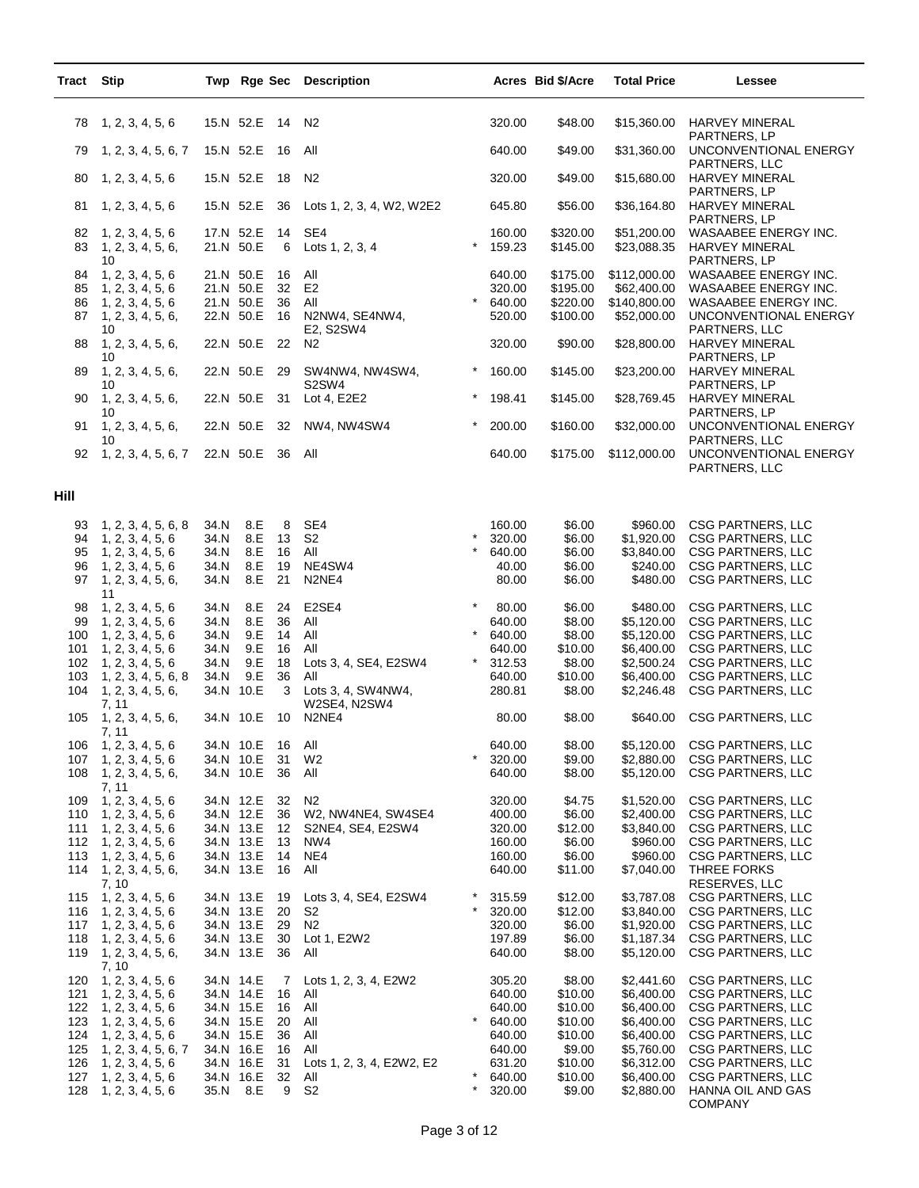| Tract      | <b>Stip</b>                                 |                        |                        |          | Twp Rge Sec Description                 |                   |                  | Acres Bid \$/Acre    | <b>Total Price</b>          | Lessee                                                        |
|------------|---------------------------------------------|------------------------|------------------------|----------|-----------------------------------------|-------------------|------------------|----------------------|-----------------------------|---------------------------------------------------------------|
| 78         | 1, 2, 3, 4, 5, 6                            |                        | 15.N 52.E              | 14       | N <sub>2</sub>                          |                   | 320.00           | \$48.00              | \$15,360.00                 | <b>HARVEY MINERAL</b>                                         |
| 79         | 1, 2, 3, 4, 5, 6, 7                         |                        | 15.N 52.E              | 16       | All                                     |                   | 640.00           | \$49.00              | \$31,360.00                 | PARTNERS, LP<br>UNCONVENTIONAL ENERGY<br>PARTNERS, LLC        |
| 80         | 1, 2, 3, 4, 5, 6                            |                        | 15.N 52.E              | 18       | N <sub>2</sub>                          |                   | 320.00           | \$49.00              | \$15,680.00                 | HARVEY MINERAL<br>PARTNERS, LP                                |
| 81         | 1, 2, 3, 4, 5, 6                            |                        | 15.N 52.E              | 36       | Lots 1, 2, 3, 4, W2, W2E2               |                   | 645.80           | \$56.00              | \$36,164.80                 | HARVEY MINERAL<br>PARTNERS, LP                                |
| 82<br>83   | 1, 2, 3, 4, 5, 6<br>1, 2, 3, 4, 5, 6,<br>10 | 17.N 52.E<br>21.N 50.E |                        | 14<br>6  | SE4<br>Lots 1, 2, 3, 4                  | $\star$           | 160.00<br>159.23 | \$320.00<br>\$145.00 | \$51,200.00<br>\$23,088.35  | WASAABEE ENERGY INC.<br><b>HARVEY MINERAL</b><br>PARTNERS, LP |
| 84<br>85   | 1, 2, 3, 4, 5, 6<br>1, 2, 3, 4, 5, 6        |                        | 21.N 50.E<br>21.N 50.E | 16<br>32 | All<br>E <sub>2</sub>                   |                   | 640.00<br>320.00 | \$175.00<br>\$195.00 | \$112,000.00<br>\$62,400.00 | WASAABEE ENERGY INC.<br>WASAABEE ENERGY INC.                  |
| 86         | 1, 2, 3, 4, 5, 6                            | 21.N 50.E              |                        | 36       | All                                     |                   | 640.00           | \$220.00             | \$140,800.00                | WASAABEE ENERGY INC.                                          |
| 87         | 1, 2, 3, 4, 5, 6,<br>10                     | 22.N 50.E              |                        | 16       | N2NW4, SE4NW4,<br>E2, S2SW4             |                   | 520.00           | \$100.00             | \$52,000.00                 | UNCONVENTIONAL ENERGY<br>PARTNERS, LLC                        |
| 88         | 1, 2, 3, 4, 5, 6,<br>10                     |                        | 22.N 50.E              | 22       | N <sub>2</sub>                          |                   | 320.00           | \$90.00              | \$28,800.00                 | <b>HARVEY MINERAL</b><br>PARTNERS, LP                         |
| 89         | 1, 2, 3, 4, 5, 6,<br>10                     |                        | 22.N 50.E              | 29       | SW4NW4, NW4SW4,<br>S2SW4                | $^\star$          | 160.00           | \$145.00             | \$23,200.00                 | <b>HARVEY MINERAL</b><br>PARTNERS, LP                         |
| 90         | 1, 2, 3, 4, 5, 6,<br>10                     |                        | 22.N 50.E              | 31       | Lot 4, E2E2                             | $^\star$          | 198.41           | \$145.00             | \$28,769.45                 | <b>HARVEY MINERAL</b><br>PARTNERS, LP                         |
| 91         | 1, 2, 3, 4, 5, 6,<br>10                     |                        | 22.N 50.E              | 32       | NW4, NW4SW4                             | $\star$           | 200.00           | \$160.00             | \$32,000.00                 | UNCONVENTIONAL ENERGY<br>PARTNERS, LLC                        |
| 92         | 1, 2, 3, 4, 5, 6, 7                         |                        | 22.N 50.E              | - 36     | All                                     |                   | 640.00           | \$175.00             | \$112,000.00                | UNCONVENTIONAL ENERGY<br>PARTNERS, LLC                        |
| Hill       |                                             |                        |                        |          |                                         |                   |                  |                      |                             |                                                               |
| 93<br>94   | 1, 2, 3, 4, 5, 6, 8<br>1, 2, 3, 4, 5, 6     | 34.N<br>34.N           | 8.E<br>8.E             | 8<br>13  | SE4<br>S <sub>2</sub>                   |                   | 160.00<br>320.00 | \$6.00<br>\$6.00     | \$960.00<br>\$1,920.00      | <b>CSG PARTNERS, LLC</b><br><b>CSG PARTNERS, LLC</b>          |
| 95         | 1, 2, 3, 4, 5, 6                            | 34.N                   | 8.E                    | 16       | All                                     | $\star$           | 640.00           | \$6.00               | \$3,840.00                  | <b>CSG PARTNERS, LLC</b>                                      |
| 96<br>97   | 1, 2, 3, 4, 5, 6<br>1, 2, 3, 4, 5, 6,       | 34.N<br>34.N           | 8.E<br>8.E             | 19<br>21 | NE4SW4<br>N2NE4                         |                   | 40.00<br>80.00   | \$6.00<br>\$6.00     | \$240.00<br>\$480.00        | <b>CSG PARTNERS, LLC</b><br><b>CSG PARTNERS, LLC</b>          |
| 98         | 11<br>1, 2, 3, 4, 5, 6                      | 34.N                   | 8.E                    | 24       | E2SE4                                   |                   | 80.00            | \$6.00               | \$480.00                    | <b>CSG PARTNERS, LLC</b>                                      |
| 99<br>100  | 1, 2, 3, 4, 5, 6<br>1, 2, 3, 4, 5, 6        | 34.N<br>34.N           | 8.E<br>9.E             | 36<br>14 | All<br>All                              |                   | 640.00<br>640.00 | \$8.00<br>\$8.00     | \$5,120.00<br>\$5,120.00    | <b>CSG PARTNERS, LLC</b><br><b>CSG PARTNERS, LLC</b>          |
| 101        | 1, 2, 3, 4, 5, 6                            | 34.N                   | 9.E<br>9.E             | 16       | All                                     |                   | 640.00           | \$10.00              | \$6,400.00                  | <b>CSG PARTNERS, LLC</b>                                      |
| 102<br>103 | 1, 2, 3, 4, 5, 6<br>1, 2, 3, 4, 5, 6, 8     | 34.N<br>34.N           | 9.E                    | 18<br>36 | Lots 3, 4, SE4, E2SW4<br>All            |                   | 312.53<br>640.00 | \$8.00<br>\$10.00    | \$2,500.24<br>\$6,400.00    | CSG PARTNERS, LLC<br><b>CSG PARTNERS, LLC</b>                 |
| 104        | 1, 2, 3, 4, 5, 6,<br>7, 11                  |                        | 34.N 10.E              | 3        | Lots 3, 4, SW4NW4,<br>W2SE4, N2SW4      |                   | 280.81           | \$8.00               | \$2,246.48                  | <b>CSG PARTNERS, LLC</b>                                      |
| 105        | 1, 2, 3, 4, 5, 6,<br>7, 11                  |                        | 34.N 10.E              | 10       | N <sub>2</sub> N <sub>E4</sub>          |                   | 80.00            | \$8.00               | \$640.00                    | <b>CSG PARTNERS, LLC</b>                                      |
| 106        | 1, 2, 3, 4, 5, 6                            | 34.N 10.E              |                        | 16       | All                                     | $\star$           | 640.00           | \$8.00               | \$5,120.00                  | CSG PARTNERS, LLC                                             |
| 107<br>108 | 1, 2, 3, 4, 5, 6<br>1, 2, 3, 4, 5, 6,       |                        | 34.N 10.E<br>34.N 10.E | 31<br>36 | W <sub>2</sub><br>All                   |                   | 320.00<br>640.00 | \$9.00<br>\$8.00     | \$2,880.00<br>\$5,120.00    | <b>CSG PARTNERS, LLC</b><br>CSG PARTNERS, LLC                 |
| 109        | 7, 11<br>1, 2, 3, 4, 5, 6                   |                        | 34.N 12.E              | 32       | N2                                      |                   | 320.00           | \$4.75               | \$1,520.00                  | <b>CSG PARTNERS, LLC</b>                                      |
| 110<br>111 | 1, 2, 3, 4, 5, 6<br>1, 2, 3, 4, 5, 6        |                        | 34.N 12.E<br>34.N 13.E | 36<br>12 | W2, NW4NE4, SW4SE4<br>S2NE4, SE4, E2SW4 |                   | 400.00<br>320.00 | \$6.00<br>\$12.00    | \$2,400.00<br>\$3,840.00    | <b>CSG PARTNERS, LLC</b><br><b>CSG PARTNERS, LLC</b>          |
| 112        | 1, 2, 3, 4, 5, 6                            |                        | 34.N 13.E              | 13       | NW4                                     |                   | 160.00           | \$6.00               | \$960.00                    | <b>CSG PARTNERS, LLC</b>                                      |
| 113<br>114 | 1, 2, 3, 4, 5, 6<br>1, 2, 3, 4, 5, 6,       |                        | 34.N 13.E<br>34.N 13.E | 14<br>16 | NE4<br>All                              |                   | 160.00<br>640.00 | \$6.00<br>\$11.00    | \$960.00<br>\$7,040.00      | CSG PARTNERS, LLC<br>THREE FORKS                              |
| 115        | 7, 10<br>1, 2, 3, 4, 5, 6                   |                        | 34.N 13.E              | 19       | Lots 3, 4, SE4, E2SW4                   |                   | 315.59           | \$12.00              | \$3,787.08                  | RESERVES, LLC<br>CSG PARTNERS, LLC                            |
| 116        | 1, 2, 3, 4, 5, 6                            |                        | 34.N 13.E              | 20       | S <sub>2</sub>                          |                   | 320.00           | \$12.00              | \$3,840.00<br>\$1,920.00    | <b>CSG PARTNERS, LLC</b>                                      |
| 117<br>118 | 1, 2, 3, 4, 5, 6<br>1, 2, 3, 4, 5, 6        |                        | 34.N 13.E<br>34.N 13.E | 29<br>30 | N <sub>2</sub><br>Lot 1, E2W2           |                   | 320.00<br>197.89 | \$6.00<br>\$6.00     | \$1,187.34                  | <b>CSG PARTNERS, LLC</b><br><b>CSG PARTNERS, LLC</b>          |
| 119        | 1, 2, 3, 4, 5, 6,<br>7, 10                  |                        | 34.N 13.E              | 36       | All                                     |                   | 640.00           | \$8.00               | \$5,120.00                  | CSG PARTNERS, LLC                                             |
| 120<br>121 | 1, 2, 3, 4, 5, 6                            | 34.N 14.E              | 34.N 14.E              | 7<br>16  | Lots 1, 2, 3, 4, E2W2<br>All            |                   | 305.20<br>640.00 | \$8.00<br>\$10.00    | \$2,441.60<br>\$6,400.00    | CSG PARTNERS, LLC<br><b>CSG PARTNERS, LLC</b>                 |
| 122        | 1, 2, 3, 4, 5, 6<br>1, 2, 3, 4, 5, 6        |                        | 34.N 15.E              | 16       | All                                     |                   | 640.00           | \$10.00              | \$6,400.00                  | <b>CSG PARTNERS, LLC</b>                                      |
| 123        | 1, 2, 3, 4, 5, 6                            |                        | 34.N 15.E              | 20       | All                                     | $\star$           | 640.00           | \$10.00              | \$6,400.00                  | <b>CSG PARTNERS, LLC</b>                                      |
| 124<br>125 | 1, 2, 3, 4, 5, 6<br>1, 2, 3, 4, 5, 6, 7     | 34.N 16.E              | 34.N 15.E              | 36<br>16 | All<br>All                              |                   | 640.00<br>640.00 | \$10.00<br>\$9.00    | \$6,400.00<br>\$5,760.00    | <b>CSG PARTNERS, LLC</b><br><b>CSG PARTNERS, LLC</b>          |
| 126        | 1, 2, 3, 4, 5, 6                            |                        | 34.N 16.E              | 31       | Lots 1, 2, 3, 4, E2W2, E2               |                   | 631.20           | \$10.00              | \$6,312.00                  | <b>CSG PARTNERS, LLC</b>                                      |
| 127<br>128 | 1, 2, 3, 4, 5, 6<br>1, 2, 3, 4, 5, 6        | 35.N                   | 34.N 16.E<br>8.E       | 32<br>9  | All<br>S <sub>2</sub>                   | $\star$<br>$\ast$ | 640.00<br>320.00 | \$10.00<br>\$9.00    | \$6,400.00<br>\$2,880.00    | CSG PARTNERS, LLC<br>HANNA OIL AND GAS<br><b>COMPANY</b>      |

L,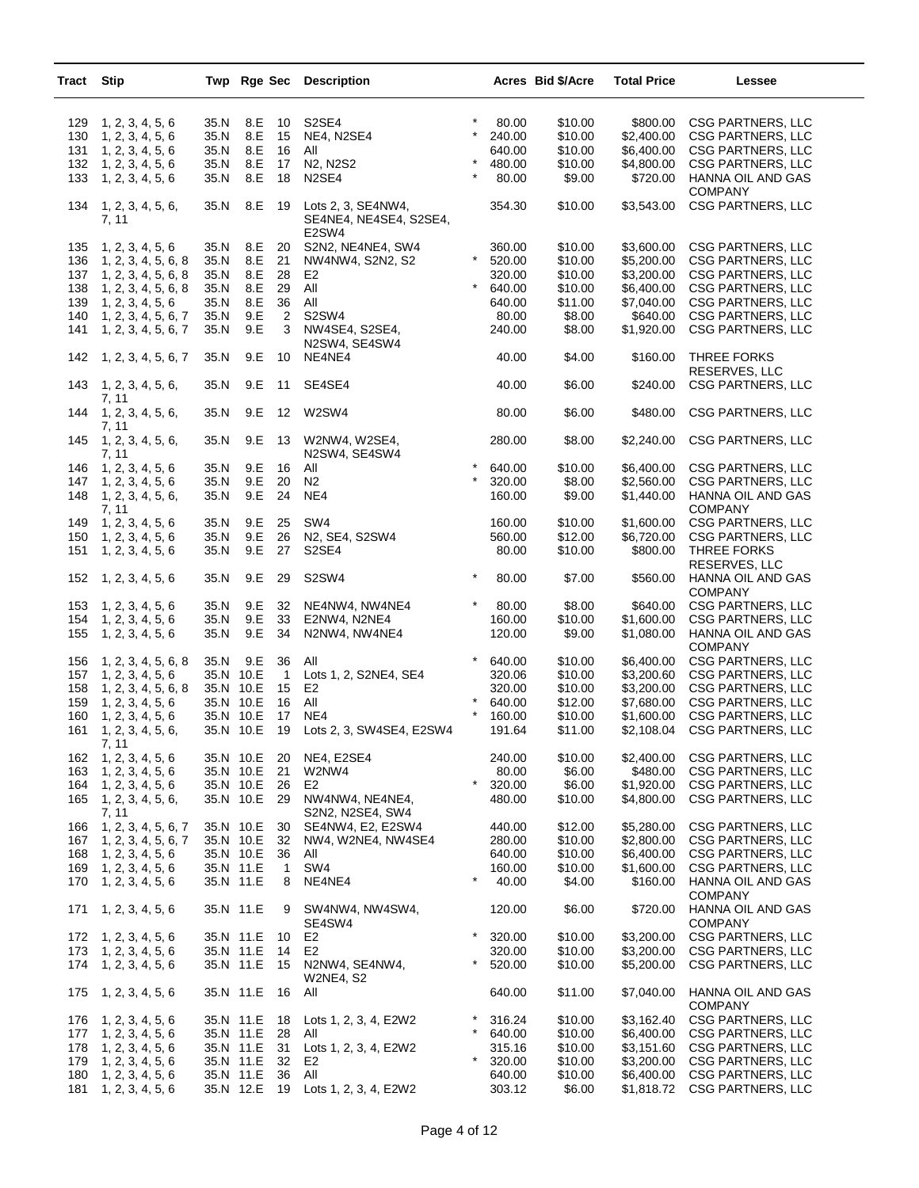| Tract | <b>Stip</b>                |           |     |                | Twp Rge Sec Description                               |          |        | Acres Bid \$/Acre | <b>Total Price</b> | Lessee                                               |
|-------|----------------------------|-----------|-----|----------------|-------------------------------------------------------|----------|--------|-------------------|--------------------|------------------------------------------------------|
| 129   | 1, 2, 3, 4, 5, 6           | 35.N      | 8.E | 10             | S2SE4                                                 |          | 80.00  | \$10.00           | \$800.00           | <b>CSG PARTNERS, LLC</b>                             |
| 130   | 1, 2, 3, 4, 5, 6           | 35.N      | 8.E | 15             | NE4, N2SE4                                            | $\star$  | 240.00 | \$10.00           | \$2,400.00         | <b>CSG PARTNERS, LLC</b>                             |
| 131   | 1, 2, 3, 4, 5, 6           | 35.N      | 8.E | 16             | All                                                   |          | 640.00 | \$10.00           | \$6,400.00         | <b>CSG PARTNERS, LLC</b>                             |
| 132   | 1, 2, 3, 4, 5, 6           | 35.N      | 8.E | 17             | N2, N2S2                                              |          | 480.00 | \$10.00           | \$4,800.00         | <b>CSG PARTNERS, LLC</b>                             |
| 133   | 1, 2, 3, 4, 5, 6           | 35.N      | 8.E | 18             | N <sub>2</sub> SE4                                    |          | 80.00  | \$9.00            | \$720.00           | HANNA OIL AND GAS                                    |
|       |                            |           |     |                |                                                       |          |        |                   |                    | <b>COMPANY</b>                                       |
| 134   | 1, 2, 3, 4, 5, 6,<br>7, 11 | 35.N      | 8.E | 19             | Lots 2, 3, SE4NW4,<br>SE4NE4, NE4SE4, S2SE4,<br>E2SW4 |          | 354.30 | \$10.00           | \$3,543.00         | <b>CSG PARTNERS, LLC</b>                             |
| 135   | 1, 2, 3, 4, 5, 6           | 35.N      | 8.E | 20             | S2N2, NE4NE4, SW4                                     |          | 360.00 | \$10.00           | \$3,600.00         | <b>CSG PARTNERS, LLC</b>                             |
| 136   | 1, 2, 3, 4, 5, 6, 8        | 35.N      | 8.E | 21             | NW4NW4, S2N2, S2                                      |          | 520.00 | \$10.00           | \$5,200.00         | CSG PARTNERS, LLC                                    |
| 137   | 1, 2, 3, 4, 5, 6, 8        | 35.N      | 8.E | 28             | E2                                                    |          | 320.00 | \$10.00           | \$3,200.00         | <b>CSG PARTNERS, LLC</b>                             |
| 138   | 1, 2, 3, 4, 5, 6, 8        | 35.N      | 8.E | 29             | All                                                   |          | 640.00 | \$10.00           | \$6,400.00         | <b>CSG PARTNERS, LLC</b>                             |
| 139   | 1, 2, 3, 4, 5, 6           | 35.N      | 8.E | 36             | All                                                   |          | 640.00 | \$11.00           | \$7,040.00         | <b>CSG PARTNERS, LLC</b>                             |
| 140   | 1, 2, 3, 4, 5, 6, 7        | 35.N      | 9.E | 2              | S2SW4                                                 |          | 80.00  | \$8.00            | \$640.00           | <b>CSG PARTNERS, LLC</b>                             |
| 141   | 1, 2, 3, 4, 5, 6, 7        | 35.N      | 9.E | 3              | NW4SE4, S2SE4,<br>N2SW4, SE4SW4                       |          | 240.00 | \$8.00            | \$1,920.00         | CSG PARTNERS, LLC                                    |
| 142   | 1, 2, 3, 4, 5, 6, 7        | 35.N      | 9.E | 10             | NE4NE4                                                |          | 40.00  | \$4.00            | \$160.00           | THREE FORKS<br>RESERVES, LLC                         |
| 143   | 1, 2, 3, 4, 5, 6,<br>7, 11 | 35.N      | 9.E | 11             | SE4SE4                                                |          | 40.00  | \$6.00            | \$240.00           | <b>CSG PARTNERS, LLC</b>                             |
| 144   | 1, 2, 3, 4, 5, 6,<br>7, 11 | 35.N      | 9.E | 12             | W2SW4                                                 |          | 80.00  | \$6.00            | \$480.00           | <b>CSG PARTNERS, LLC</b>                             |
| 145   | 1, 2, 3, 4, 5, 6,<br>7, 11 | 35.N      | 9.E | -13            | W2NW4, W2SE4,<br>N2SW4, SE4SW4                        |          | 280.00 | \$8.00            | \$2,240.00         | <b>CSG PARTNERS, LLC</b>                             |
| 146   | 1, 2, 3, 4, 5, 6           | 35.N      | 9.E | 16             | All                                                   |          | 640.00 | \$10.00           | \$6,400.00         | <b>CSG PARTNERS, LLC</b>                             |
| 147   | 1, 2, 3, 4, 5, 6           | 35.N      | 9.E | 20             | N2                                                    |          | 320.00 | \$8.00            | \$2,560.00         | <b>CSG PARTNERS, LLC</b>                             |
| 148   | 1, 2, 3, 4, 5, 6,<br>7, 11 | 35.N      | 9.E | 24             | NE4                                                   |          | 160.00 | \$9.00            | \$1,440.00         | HANNA OIL AND GAS<br><b>COMPANY</b>                  |
| 149   | 1, 2, 3, 4, 5, 6           | 35.N      | 9.E | 25             | SW <sub>4</sub>                                       |          | 160.00 | \$10.00           | \$1,600.00         | <b>CSG PARTNERS, LLC</b>                             |
| 150   | 1, 2, 3, 4, 5, 6           | 35.N      | 9.E | 26             | N2, SE4, S2SW4                                        |          | 560.00 | \$12.00           | \$6,720.00         | <b>CSG PARTNERS, LLC</b>                             |
| 151   | 1, 2, 3, 4, 5, 6           | 35.N      | 9.E | 27             | S <sub>2</sub> SE <sub>4</sub>                        |          | 80.00  | \$10.00           | \$800.00           | THREE FORKS                                          |
| 152   | 1, 2, 3, 4, 5, 6           | 35.N      | 9.E | 29             | S <sub>2</sub> SW <sub>4</sub>                        | $\star$  | 80.00  | \$7.00            | \$560.00           | RESERVES, LLC<br>HANNA OIL AND GAS<br><b>COMPANY</b> |
| 153   | 1, 2, 3, 4, 5, 6           | 35.N      | 9.E | 32             | NE4NW4, NW4NE4                                        |          | 80.00  | \$8.00            | \$640.00           | <b>CSG PARTNERS, LLC</b>                             |
| 154   | 1, 2, 3, 4, 5, 6           | 35.N      | 9.E | 33             | E2NW4, N2NE4                                          |          | 160.00 | \$10.00           | \$1,600.00         | <b>CSG PARTNERS, LLC</b>                             |
| 155   | 1, 2, 3, 4, 5, 6           | 35.N      | 9.E | 34             | N2NW4, NW4NE4                                         |          | 120.00 | \$9.00            | \$1,080.00         | HANNA OIL AND GAS<br><b>COMPANY</b>                  |
| 156   | 1, 2, 3, 4, 5, 6, 8        | 35.N      | 9.E | 36             | All                                                   |          | 640.00 | \$10.00           | \$6,400.00         | <b>CSG PARTNERS, LLC</b>                             |
| 157   | 1, 2, 3, 4, 5, 6           | 35.N 10.E |     | $\overline{1}$ | Lots 1, 2, S2NE4, SE4                                 |          | 320.06 | \$10.00           | \$3,200.60         | <b>CSG PARTNERS, LLC</b>                             |
| 158   | 1, 2, 3, 4, 5, 6, 8        | 35.N 10.E |     | 15             | E <sub>2</sub>                                        |          | 320.00 | \$10.00           | \$3,200.00         | <b>CSG PARTNERS, LLC</b>                             |
| 159   | 1, 2, 3, 4, 5, 6           | 35.N 10.E |     | 16             | All                                                   |          | 640.00 | \$12.00           | \$7,680.00         | <b>CSG PARTNERS, LLC</b>                             |
| 160   | 1, 2, 3, 4, 5, 6           | 35.N 10.E |     | 17             | NE4                                                   |          | 160.00 | \$10.00           | \$1,600.00         | <b>CSG PARTNERS, LLC</b>                             |
| 161   | 1, 2, 3, 4, 5, 6,<br>7, 11 | 35.N 10.E |     | 19             | Lots 2, 3, SW4SE4, E2SW4                              |          | 191.64 | \$11.00           | \$2,108.04         | CSG PARTNERS, LLC                                    |
| 162   | 1, 2, 3, 4, 5, 6           | 35.N 10.E |     | 20             | NE4, E2SE4                                            |          | 240.00 | \$10.00           | \$2,400.00         | <b>CSG PARTNERS, LLC</b>                             |
| 163   | 1, 2, 3, 4, 5, 6           | 35.N 10.E |     | 21             | W2NW4                                                 |          | 80.00  | \$6.00            | \$480.00           | <b>CSG PARTNERS, LLC</b>                             |
| 164   | 1, 2, 3, 4, 5, 6           | 35.N 10.E |     | 26             | E <sub>2</sub>                                        | $^\star$ | 320.00 | \$6.00            | \$1,920.00         | <b>CSG PARTNERS, LLC</b>                             |
| 165   | 1, 2, 3, 4, 5, 6,<br>7, 11 | 35.N 10.E |     | 29             | NW4NW4, NE4NE4,<br>S2N2, N2SE4, SW4                   |          | 480.00 | \$10.00           | \$4,800.00         | CSG PARTNERS, LLC                                    |
| 166   | 1, 2, 3, 4, 5, 6, 7        | 35.N 10.E |     | 30             | SE4NW4, E2, E2SW4                                     |          | 440.00 | \$12.00           | \$5,280.00         | <b>CSG PARTNERS, LLC</b>                             |
| 167   | 1, 2, 3, 4, 5, 6, 7        | 35.N 10.E |     | 32             | NW4, W2NE4, NW4SE4                                    |          | 280.00 | \$10.00           | \$2,800.00         | <b>CSG PARTNERS, LLC</b>                             |
| 168   | 1, 2, 3, 4, 5, 6           | 35.N 10.E |     | 36             | All                                                   |          | 640.00 | \$10.00           | \$6,400.00         | <b>CSG PARTNERS, LLC</b>                             |
| 169   | 1, 2, 3, 4, 5, 6           | 35.N 11.E |     | 1              | SW4                                                   |          | 160.00 | \$10.00           | \$1,600.00         | CSG PARTNERS, LLC                                    |
| 170   | 1, 2, 3, 4, 5, 6           | 35.N 11.E |     | 8              | NE4NE4                                                | $\star$  | 40.00  | \$4.00            | \$160.00           | HANNA OIL AND GAS<br><b>COMPANY</b>                  |
| 171   | 1, 2, 3, 4, 5, 6           | 35.N 11.E |     | 9              | SW4NW4, NW4SW4,<br>SE4SW4                             |          | 120.00 | \$6.00            | \$720.00           | HANNA OIL AND GAS<br><b>COMPANY</b>                  |
| 172   | 1, 2, 3, 4, 5, 6           | 35.N 11.E |     | 10             | E <sub>2</sub>                                        |          | 320.00 | \$10.00           | \$3,200.00         | CSG PARTNERS, LLC                                    |
| 173   | 1, 2, 3, 4, 5, 6           | 35.N 11.E |     | 14             | E <sub>2</sub>                                        |          | 320.00 | \$10.00           | \$3,200.00         | CSG PARTNERS, LLC                                    |
| 174   | 1, 2, 3, 4, 5, 6           | 35.N 11.E |     | 15             | N2NW4, SE4NW4,                                        | $\star$  | 520.00 | \$10.00           | \$5,200.00         | CSG PARTNERS, LLC                                    |
| 175   | 1, 2, 3, 4, 5, 6           | 35.N 11.E |     | 16             | W2NE4, S2<br>All                                      |          | 640.00 | \$11.00           | \$7,040.00         | HANNA OIL AND GAS<br><b>COMPANY</b>                  |
| 176   | 1, 2, 3, 4, 5, 6           | 35.N 11.E |     | 18             | Lots 1, 2, 3, 4, E2W2                                 |          | 316.24 | \$10.00           | \$3,162.40         | <b>CSG PARTNERS, LLC</b>                             |
| 177   | 1, 2, 3, 4, 5, 6           | 35.N 11.E |     | 28             | All                                                   | $\ast$   | 640.00 | \$10.00           | \$6,400.00         | CSG PARTNERS, LLC                                    |
| 178   | 1, 2, 3, 4, 5, 6           | 35.N 11.E |     | 31             | Lots 1, 2, 3, 4, E2W2                                 |          | 315.16 | \$10.00           | \$3,151.60         | CSG PARTNERS, LLC                                    |
| 179   | 1, 2, 3, 4, 5, 6           | 35.N 11.E |     | 32             | E2                                                    |          | 320.00 | \$10.00           | \$3,200.00         | CSG PARTNERS, LLC                                    |
| 180   | 1, 2, 3, 4, 5, 6           | 35.N 11.E |     | 36             | All                                                   |          | 640.00 | \$10.00           | \$6,400.00         | <b>CSG PARTNERS, LLC</b>                             |
| 181   | 1, 2, 3, 4, 5, 6           | 35.N 12.E |     | 19             | Lots 1, 2, 3, 4, E2W2                                 |          | 303.12 | \$6.00            | \$1,818.72         | <b>CSG PARTNERS, LLC</b>                             |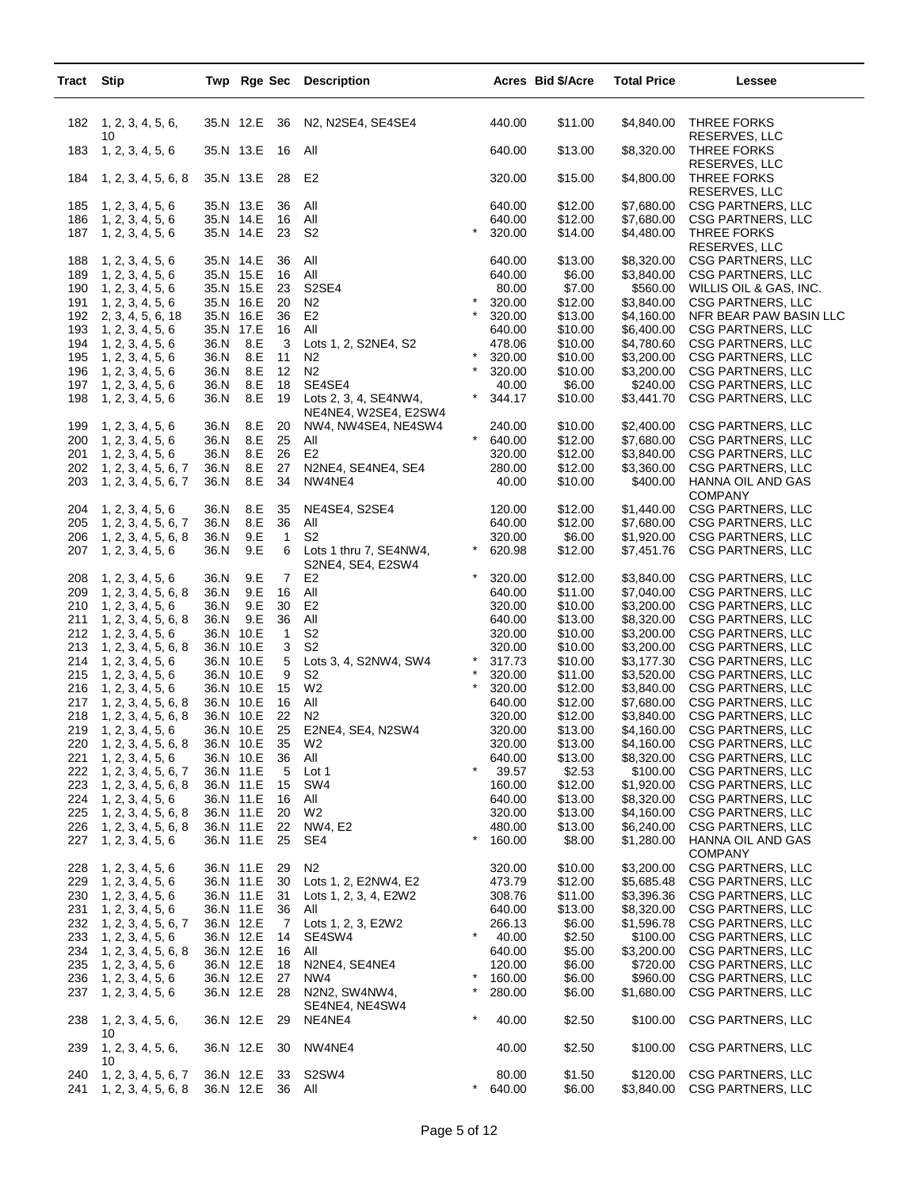| Tract Stip |                                            |                        |            |                     | Twp Rge Sec Description                                       |                    |                  | Acres Bid \$/Acre  | <b>Total Price</b>       | Lessee                                                          |
|------------|--------------------------------------------|------------------------|------------|---------------------|---------------------------------------------------------------|--------------------|------------------|--------------------|--------------------------|-----------------------------------------------------------------|
| 182        | 1, 2, 3, 4, 5, 6,<br>10                    | 35.N 12.E              |            | 36                  | N2, N2SE4, SE4SE4                                             |                    | 440.00           | \$11.00            | \$4,840.00               | THREE FORKS<br>RESERVES, LLC                                    |
| 183        | 1, 2, 3, 4, 5, 6                           | 35.N 13.E              |            | 16                  | All                                                           |                    | 640.00           | \$13.00            | \$8,320.00               | <b>THREE FORKS</b><br>RESERVES, LLC                             |
| 184        | 1, 2, 3, 4, 5, 6, 8                        | 35.N 13.E              |            | 28                  | E <sub>2</sub>                                                |                    | 320.00           | \$15.00            | \$4,800.00               | <b>THREE FORKS</b><br>RESERVES, LLC                             |
| 185        | 1, 2, 3, 4, 5, 6                           | 35.N 13.E              |            | 36                  | All                                                           |                    | 640.00           | \$12.00            | \$7,680.00               | CSG PARTNERS, LLC                                               |
| 186<br>187 | 1, 2, 3, 4, 5, 6<br>1, 2, 3, 4, 5, 6       | 35.N 14.E<br>35.N 14.E |            | 16<br>23            | All<br>S <sub>2</sub>                                         | $\star$            | 640.00<br>320.00 | \$12.00<br>\$14.00 | \$7,680.00<br>\$4,480.00 | <b>CSG PARTNERS, LLC</b><br>THREE FORKS                         |
| 188        | 1, 2, 3, 4, 5, 6                           | 35.N 14.E              |            | 36                  | All                                                           |                    | 640.00           | \$13.00            | \$8,320.00               | RESERVES, LLC<br>CSG PARTNERS, LLC                              |
| 189        | 1, 2, 3, 4, 5, 6                           | 35.N 15.E              |            | 16                  | All                                                           |                    | 640.00           | \$6.00             | \$3,840.00               | CSG PARTNERS, LLC                                               |
| 190        | 1, 2, 3, 4, 5, 6                           | 35.N 15.E              |            | 23                  | S2SE4                                                         |                    | 80.00            | \$7.00             | \$560.00                 | WILLIS OIL & GAS, INC.                                          |
| 191<br>192 | 1, 2, 3, 4, 5, 6<br>2, 3, 4, 5, 6, 18      | 35.N 16.E<br>35.N 16.E |            | 20<br>36            | N <sub>2</sub><br>E <sub>2</sub>                              | $\star$<br>$\star$ | 320.00<br>320.00 | \$12.00<br>\$13.00 | \$3,840.00<br>\$4,160.00 | CSG PARTNERS, LLC<br>NFR BEAR PAW BASIN LLC                     |
| 193        | 1, 2, 3, 4, 5, 6                           | 35.N 17.E              |            | 16                  | All                                                           |                    | 640.00           | \$10.00            | \$6,400.00               | <b>CSG PARTNERS, LLC</b>                                        |
| 194        | 1, 2, 3, 4, 5, 6                           | 36.N                   | 8.E        | 3                   | Lots 1, 2, S2NE4, S2                                          |                    | 478.06           | \$10.00            | \$4,780.60               | <b>CSG PARTNERS, LLC</b>                                        |
| 195        | 1, 2, 3, 4, 5, 6                           | 36.N                   | 8.E        | 11                  | N <sub>2</sub>                                                | $\star$            | 320.00           | \$10.00            | \$3,200.00               | <b>CSG PARTNERS, LLC</b>                                        |
| 196        | 1, 2, 3, 4, 5, 6                           | 36.N                   | 8.E        | 12                  | N2                                                            | $\star$            | 320.00           | \$10.00            | \$3,200.00               | CSG PARTNERS, LLC                                               |
| 197        | 1, 2, 3, 4, 5, 6                           | 36.N                   | 8.E        | 18                  | SE4SE4                                                        |                    | 40.00            | \$6.00             | \$240.00                 | <b>CSG PARTNERS, LLC</b>                                        |
| 198        | 1, 2, 3, 4, 5, 6                           | 36.N                   | 8.E        | 19                  | Lots 2, 3, 4, SE4NW4,<br>NE4NE4, W2SE4, E2SW4                 | $^\star$           | 344.17           | \$10.00            | \$3,441.70               | <b>CSG PARTNERS, LLC</b>                                        |
| 199        | 1, 2, 3, 4, 5, 6                           | 36.N                   | 8.E        | 20                  | NW4, NW4SE4, NE4SW4                                           | $\star$            | 240.00           | \$10.00            | \$2,400.00               | CSG PARTNERS, LLC                                               |
| 200<br>201 | 1, 2, 3, 4, 5, 6<br>1, 2, 3, 4, 5, 6       | 36.N<br>36.N           | 8.E<br>8.E | 25<br>26            | All<br>E <sub>2</sub>                                         |                    | 640.00<br>320.00 | \$12.00<br>\$12.00 | \$7,680.00<br>\$3,840.00 | CSG PARTNERS, LLC<br>CSG PARTNERS, LLC                          |
| 202        | 1, 2, 3, 4, 5, 6, 7                        | 36.N                   | 8.E        | 27                  | N2NE4, SE4NE4, SE4                                            |                    | 280.00           | \$12.00            | \$3,360.00               | CSG PARTNERS, LLC                                               |
| 203        | 1, 2, 3, 4, 5, 6, 7                        | 36.N                   | 8.E        | 34                  | NW4NE4                                                        |                    | 40.00            | \$10.00            | \$400.00                 | HANNA OIL AND GAS<br><b>COMPANY</b>                             |
| 204        | 1, 2, 3, 4, 5, 6                           | 36.N                   | 8.E        | 35                  | NE4SE4, S2SE4                                                 |                    | 120.00           | \$12.00            | \$1,440.00               | CSG PARTNERS, LLC                                               |
| 205        | 1, 2, 3, 4, 5, 6, 7                        | 36.N                   | 8.E        | 36                  | All                                                           |                    | 640.00           | \$12.00            | \$7,680.00               | CSG PARTNERS, LLC                                               |
| 206        | 1, 2, 3, 4, 5, 6, 8                        | 36.N                   | 9.E        | $\mathbf{1}$        | S <sub>2</sub>                                                | $^\star$           | 320.00           | \$6.00             | \$1,920.00               | CSG PARTNERS, LLC                                               |
| 207        | 1, 2, 3, 4, 5, 6                           | 36.N                   | 9.E<br>9.E | 6<br>$\overline{7}$ | Lots 1 thru 7, SE4NW4,<br>S2NE4, SE4, E2SW4<br>E <sub>2</sub> | $\star$            | 620.98<br>320.00 | \$12.00<br>\$12.00 | \$7,451.76<br>\$3,840.00 | CSG PARTNERS, LLC<br><b>CSG PARTNERS, LLC</b>                   |
| 208<br>209 | 1, 2, 3, 4, 5, 6<br>1, 2, 3, 4, 5, 6, 8    | 36.N<br>36.N           | 9.E        | 16                  | All                                                           |                    | 640.00           | \$11.00            | \$7,040.00               | <b>CSG PARTNERS, LLC</b>                                        |
| 210        | 1, 2, 3, 4, 5, 6                           | 36.N                   | 9.E        | 30                  | E2                                                            |                    | 320.00           | \$10.00            | \$3,200.00               | <b>CSG PARTNERS, LLC</b>                                        |
| 211        | 1, 2, 3, 4, 5, 6, 8                        | 36.N                   | 9.E        | 36                  | All                                                           |                    | 640.00           | \$13.00            | \$8,320.00               | CSG PARTNERS, LLC                                               |
| 212        | 1, 2, 3, 4, 5, 6                           | 36.N 10.E              |            | $\mathbf{1}$        | S <sub>2</sub>                                                |                    | 320.00           | \$10.00            | \$3,200.00               | CSG PARTNERS, LLC                                               |
| 213        | 1, 2, 3, 4, 5, 6, 8                        | 36.N 10.E              |            | 3                   | S <sub>2</sub>                                                | $^\star$           | 320.00           | \$10.00            | \$3,200.00               | <b>CSG PARTNERS, LLC</b>                                        |
| 214<br>215 | 1, 2, 3, 4, 5, 6<br>1, 2, 3, 4, 5, 6       | 36.N 10.E<br>36.N 10.E |            | 5<br>9              | Lots 3, 4, S2NW4, SW4<br>S <sub>2</sub>                       | $\star$            | 317.73<br>320.00 | \$10.00<br>\$11.00 | \$3,177.30<br>\$3,520.00 | CSG PARTNERS, LLC<br><b>CSG PARTNERS, LLC</b>                   |
| 216        | 1, 2, 3, 4, 5, 6                           | 36.N 10.E              |            | 15                  | W <sub>2</sub>                                                | $\star$            | 320.00           | \$12.00            | \$3,840.00               | <b>CSG PARTNERS, LLC</b>                                        |
| 217        | 1, 2, 3, 4, 5, 6, 8                        | 36.N 10.E              |            | 16                  | All                                                           |                    | 640.00           | \$12.00            | \$7,680.00               | CSG PARTNERS, LLC                                               |
| 218        | 1, 2, 3, 4, 5, 6, 8                        | 36.N 10.E              |            | 22                  | N <sub>2</sub>                                                |                    | 320.00           | \$12.00            | \$3,840.00               | CSG PARTNERS, LLC                                               |
| 219        | 1, 2, 3, 4, 5, 6                           | 36.N 10.E              |            | 25                  | E2NE4, SE4, N2SW4                                             |                    | 320.00           | \$13.00            | \$4,160.00               | CSG PARTNERS, LLC                                               |
| 220<br>221 | 1, 2, 3, 4, 5, 6, 8<br>1, 2, 3, 4, 5, 6    | 36.N 10.E<br>36.N 10.E |            | 35<br>36            | W2<br>All                                                     |                    | 320.00<br>640.00 | \$13.00<br>\$13.00 | \$4,160.00<br>\$8,320.00 | <b>CSG PARTNERS, LLC</b><br><b>CSG PARTNERS, LLC</b>            |
| 222        | 1, 2, 3, 4, 5, 6, 7                        | 36.N 11.E              |            | 5                   | Lot 1                                                         | $\star$            | 39.57            | \$2.53             | \$100.00                 | <b>CSG PARTNERS, LLC</b>                                        |
| 223        | 1, 2, 3, 4, 5, 6, 8                        | 36.N 11.E              |            | 15                  | SW4                                                           |                    | 160.00           | \$12.00            | \$1,920.00               | CSG PARTNERS, LLC                                               |
| 224        | 1, 2, 3, 4, 5, 6                           | 36.N 11.E              |            | 16                  | All                                                           |                    | 640.00           | \$13.00            | \$8,320.00               | CSG PARTNERS, LLC                                               |
| 225        | 1, 2, 3, 4, 5, 6, 8                        | 36.N 11.E              |            | 20                  | W <sub>2</sub>                                                |                    | 320.00           | \$13.00            | \$4,160.00               | <b>CSG PARTNERS, LLC</b>                                        |
| 226<br>227 | 1, 2, 3, 4, 5, 6, 8<br>1, 2, 3, 4, 5, 6    | 36.N 11.E<br>36.N 11.E |            | 22<br>25            | NW4, E2<br>SE4                                                | $\star$            | 480.00<br>160.00 | \$13.00<br>\$8.00  | \$6,240.00<br>\$1,280.00 | <b>CSG PARTNERS, LLC</b><br>HANNA OIL AND GAS<br><b>COMPANY</b> |
| 228        | 1, 2, 3, 4, 5, 6                           | 36.N 11.E              |            | 29                  | N2                                                            |                    | 320.00           | \$10.00            | \$3,200.00               | <b>CSG PARTNERS, LLC</b>                                        |
| 229        | 1, 2, 3, 4, 5, 6                           | 36.N 11.E              |            | 30                  | Lots 1, 2, E2NW4, E2                                          |                    | 473.79           | \$12.00            | \$5,685.48               | CSG PARTNERS, LLC                                               |
| 230        | 1, 2, 3, 4, 5, 6                           | 36.N 11.E              |            | 31                  | Lots 1, 2, 3, 4, E2W2                                         |                    | 308.76           | \$11.00            | \$3,396.36               | CSG PARTNERS, LLC                                               |
| 231        | 1, 2, 3, 4, 5, 6                           | 36.N 11.E              |            | 36                  | All                                                           |                    | 640.00           | \$13.00            | \$8,320.00               | <b>CSG PARTNERS, LLC</b>                                        |
| 232        | 1, 2, 3, 4, 5, 6, 7                        | 36.N 12.E              |            | 7                   | Lots 1, 2, 3, E2W2                                            | $\star$            | 266.13           | \$6.00             | \$1,596.78               | <b>CSG PARTNERS, LLC</b>                                        |
| 233<br>234 | 1, 2, 3, 4, 5, 6<br>1, 2, 3, 4, 5, 6, 8    | 36.N 12.E<br>36.N 12.E |            | 14<br>16            | SE4SW4<br>All                                                 |                    | 40.00<br>640.00  | \$2.50<br>\$5.00   | \$100.00<br>\$3,200.00   | CSG PARTNERS, LLC<br><b>CSG PARTNERS, LLC</b>                   |
| 235        | 1, 2, 3, 4, 5, 6                           | 36.N 12.E              |            | 18                  | N2NE4, SE4NE4                                                 |                    | 120.00           | \$6.00             | \$720.00                 | <b>CSG PARTNERS, LLC</b>                                        |
| 236        | 1, 2, 3, 4, 5, 6                           |                        | 36.N 12.E  | 27                  | NW4                                                           | $\star$            | 160.00           | \$6.00             | \$960.00                 | <b>CSG PARTNERS, LLC</b>                                        |
| 237        | 1, 2, 3, 4, 5, 6                           |                        | 36.N 12.E  | 28                  | N2N2, SW4NW4,<br>SE4NE4, NE4SW4                               | $\star$            | 280.00           | \$6.00             | \$1,680.00               | CSG PARTNERS, LLC                                               |
| 238        | 1, 2, 3, 4, 5, 6,<br>10                    | 36.N 12.E              |            | 29                  | NE4NE4                                                        | $\star$            | 40.00            | \$2.50             | \$100.00                 | <b>CSG PARTNERS, LLC</b>                                        |
| 239        | 1, 2, 3, 4, 5, 6,<br>10                    | 36.N 12.E              |            | 30                  | NW4NE4                                                        |                    | 40.00            | \$2.50             | \$100.00                 | <b>CSG PARTNERS, LLC</b>                                        |
| 240<br>241 | 1, 2, 3, 4, 5, 6, 7<br>1, 2, 3, 4, 5, 6, 8 | 36.N 12.E              | 36.N 12.E  | 33<br>36 All        | S2SW4                                                         | $\star$            | 80.00<br>640.00  | \$1.50<br>\$6.00   | \$120.00<br>\$3,840.00   | CSG PARTNERS, LLC<br>CSG PARTNERS, LLC                          |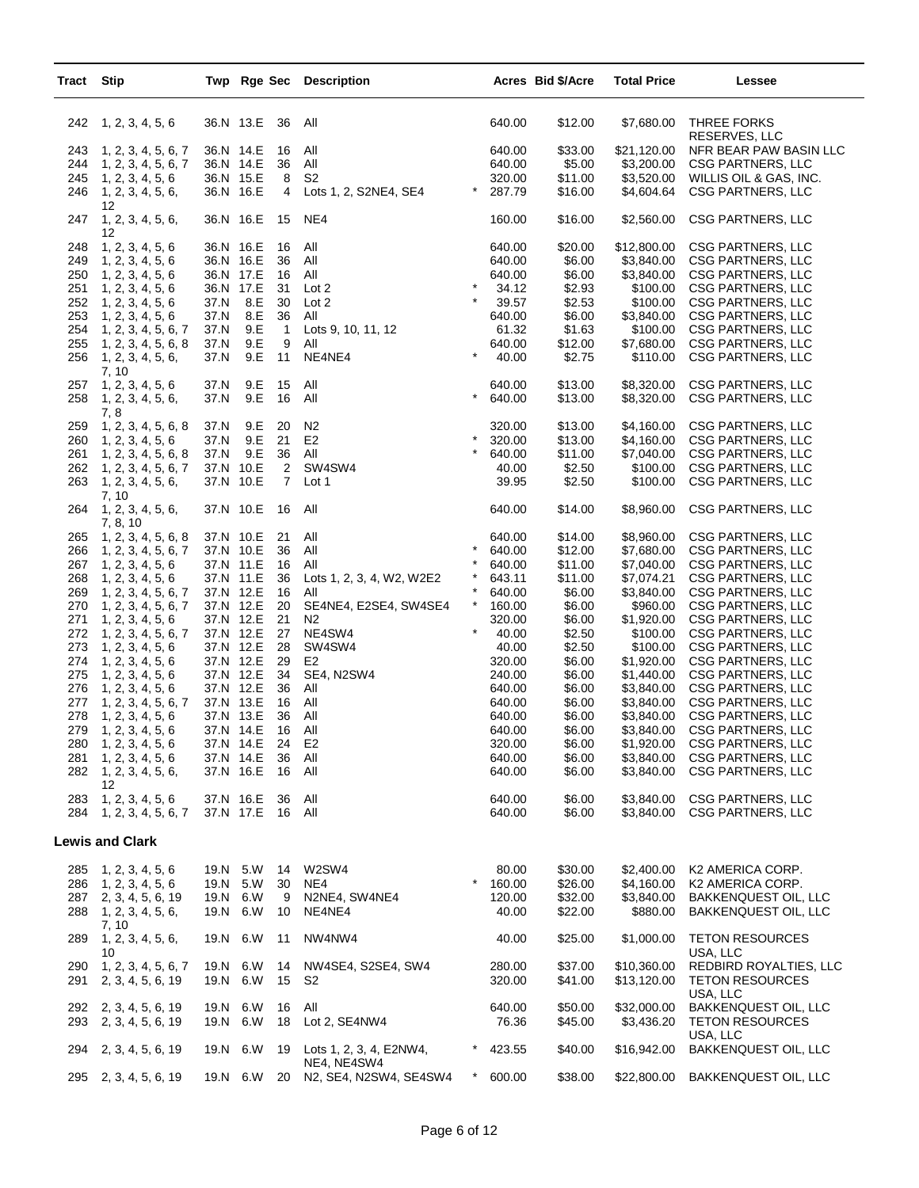| <b>Tract Stip</b> |                                            |                        |                         | Twp Rge Sec Description                |          |                  | Acres Bid \$/Acre  | <b>Total Price</b>        | Lessee                                                |
|-------------------|--------------------------------------------|------------------------|-------------------------|----------------------------------------|----------|------------------|--------------------|---------------------------|-------------------------------------------------------|
|                   | 242 1, 2, 3, 4, 5, 6                       | 36.N 13.E              | 36                      | All                                    |          | 640.00           | \$12.00            | \$7,680.00                | THREE FORKS<br>RESERVES, LLC                          |
| 243               | 1, 2, 3, 4, 5, 6, 7                        | 36.N 14.E              | 16                      | All                                    |          | 640.00           | \$33.00            | \$21,120.00               | NFR BEAR PAW BASIN LLC                                |
| 244               | 1, 2, 3, 4, 5, 6, 7                        | 36.N 14.E              | 36                      | All                                    |          | 640.00           | \$5.00             | \$3,200.00                | <b>CSG PARTNERS, LLC</b>                              |
| 245               | 1, 2, 3, 4, 5, 6                           | 36.N 15.E              | 8                       | S <sub>2</sub>                         |          | 320.00           | \$11.00            | \$3,520.00                | WILLIS OIL & GAS, INC.                                |
| 246               | 1, 2, 3, 4, 5, 6,<br>12                    | 36.N 16.E              | 4                       | Lots 1, 2, S2NE4, SE4                  | $^\star$ | 287.79           | \$16.00            | \$4,604.64                | CSG PARTNERS, LLC                                     |
| 247               | 1, 2, 3, 4, 5, 6,<br>12                    | 36.N 16.E              | 15                      | NE4                                    |          | 160.00           | \$16.00            | \$2,560.00                | <b>CSG PARTNERS, LLC</b>                              |
| 248               | 1, 2, 3, 4, 5, 6                           | 36.N 16.E              | 16                      | All                                    |          | 640.00           | \$20.00            | \$12,800.00               | CSG PARTNERS, LLC                                     |
| 249               | 1, 2, 3, 4, 5, 6                           | 36.N 16.E              | 36                      | All                                    |          | 640.00           | \$6.00             | \$3,840.00                | CSG PARTNERS, LLC                                     |
| 250<br>251        | 1, 2, 3, 4, 5, 6<br>1, 2, 3, 4, 5, 6       | 36.N 17.E<br>36.N 17.E | 16<br>31                | All<br>Lot 2                           | $\star$  | 640.00<br>34.12  | \$6.00<br>\$2.93   | \$3,840.00<br>\$100.00    | <b>CSG PARTNERS, LLC</b><br><b>CSG PARTNERS, LLC</b>  |
| 252               | 1, 2, 3, 4, 5, 6                           | 37.N                   | 8.E<br>30               | Lot 2                                  | $\star$  | 39.57            | \$2.53             | \$100.00                  | <b>CSG PARTNERS, LLC</b>                              |
| 253               | 1, 2, 3, 4, 5, 6                           | 37.N                   | 8.E<br>36               | All                                    |          | 640.00           | \$6.00             | \$3,840.00                | CSG PARTNERS, LLC                                     |
| 254               | 1, 2, 3, 4, 5, 6, 7                        | 37.N                   | 9.E<br>$\mathbf{1}$     | Lots 9, 10, 11, 12                     |          | 61.32            | \$1.63             | \$100.00                  | CSG PARTNERS, LLC                                     |
| 255               | 1, 2, 3, 4, 5, 6, 8                        | 37.N                   | 9.E<br>9                | All                                    |          | 640.00           | \$12.00            | \$7,680.00                | <b>CSG PARTNERS, LLC</b>                              |
| 256               | 1, 2, 3, 4, 5, 6,                          | 37.N                   | 9.E<br>11               | NE4NE4                                 | $\star$  | 40.00            | \$2.75             | \$110.00                  | CSG PARTNERS, LLC                                     |
| 257               | 7, 10<br>1, 2, 3, 4, 5, 6                  | 37.N                   | 9.E<br>15               | All                                    |          | 640.00           | \$13.00            | \$8,320.00                | <b>CSG PARTNERS, LLC</b>                              |
| 258               | 1, 2, 3, 4, 5, 6,                          | 37.N                   | 9.E<br>16               | All                                    | $\star$  | 640.00           | \$13.00            | \$8,320.00                | <b>CSG PARTNERS, LLC</b>                              |
|                   | 7,8                                        |                        |                         |                                        |          |                  |                    |                           |                                                       |
| 259               | 1, 2, 3, 4, 5, 6, 8                        | 37.N                   | 9.E<br>20               | N2                                     | $\star$  | 320.00           | \$13.00            | \$4,160.00                | CSG PARTNERS, LLC<br><b>CSG PARTNERS, LLC</b>         |
| 260<br>261        | 1, 2, 3, 4, 5, 6                           | 37.N<br>37.N           | 9.E<br>21<br>9.E<br>36  | E <sub>2</sub><br>All                  | $\star$  | 320.00<br>640.00 | \$13.00<br>\$11.00 | \$4,160.00<br>\$7,040.00  | CSG PARTNERS, LLC                                     |
| 262               | 1, 2, 3, 4, 5, 6, 8<br>1, 2, 3, 4, 5, 6, 7 | 37.N 10.E              | $\overline{2}$          | SW4SW4                                 |          | 40.00            | \$2.50             | \$100.00                  | <b>CSG PARTNERS, LLC</b>                              |
| 263               | 1, 2, 3, 4, 5, 6,                          | 37.N 10.E              | $\overline{7}$          | Lot 1                                  |          | 39.95            | \$2.50             | \$100.00                  | <b>CSG PARTNERS, LLC</b>                              |
| 264               | 7, 10<br>1, 2, 3, 4, 5, 6,                 | 37.N 10.E              | 16                      | All                                    |          | 640.00           | \$14.00            | \$8,960.00                | CSG PARTNERS, LLC                                     |
| 265               | 7, 8, 10<br>1, 2, 3, 4, 5, 6, 8            | 37.N 10.E              | 21                      | All                                    |          | 640.00           | \$14.00            | \$8,960.00                | CSG PARTNERS, LLC                                     |
| 266               | 1, 2, 3, 4, 5, 6, 7                        | 37.N 10.E              | 36                      | All                                    | $\star$  | 640.00           | \$12.00            | \$7,680.00                | <b>CSG PARTNERS, LLC</b>                              |
| 267               | 1, 2, 3, 4, 5, 6                           | 37.N 11.E              | 16                      | All                                    |          | 640.00           | \$11.00            | \$7,040.00                | <b>CSG PARTNERS, LLC</b>                              |
| 268               | 1, 2, 3, 4, 5, 6                           | 37.N 11.E              | 36                      | Lots 1, 2, 3, 4, W2, W2E2              |          | 643.11           | \$11.00            | \$7,074.21                | <b>CSG PARTNERS, LLC</b>                              |
| 269               | 1, 2, 3, 4, 5, 6, 7                        | 37.N 12.E              | 16                      | All                                    | $\star$  | 640.00           | \$6.00             | \$3,840.00                | <b>CSG PARTNERS, LLC</b>                              |
| 270               | 1, 2, 3, 4, 5, 6, 7                        | 37.N 12.E              | 20                      | SE4NE4, E2SE4, SW4SE4                  | $\star$  | 160.00           | \$6.00             | \$960.00                  | <b>CSG PARTNERS, LLC</b>                              |
| 271               | 1, 2, 3, 4, 5, 6                           | 37.N 12.E              | 21                      | N <sub>2</sub>                         |          | 320.00           | \$6.00             | \$1,920.00                | <b>CSG PARTNERS, LLC</b>                              |
| 272               | 1, 2, 3, 4, 5, 6, 7                        | 37.N 12.E              | 27                      | NE4SW4                                 | $\star$  | 40.00            | \$2.50             | \$100.00                  | <b>CSG PARTNERS, LLC</b>                              |
| 273               | 1, 2, 3, 4, 5, 6                           | 37.N 12.E              | 28                      | SW4SW4                                 |          | 40.00            | \$2.50             | \$100.00                  | CSG PARTNERS, LLC                                     |
| 274               | 1, 2, 3, 4, 5, 6                           | 37.N 12.E              | 29                      | E <sub>2</sub>                         |          | 320.00           | \$6.00             | \$1,920.00                | CSG PARTNERS, LLC                                     |
| 275               | 1, 2, 3, 4, 5, 6                           | 37.N 12.E              | 34                      | SE4, N2SW4                             |          | 240.00           | \$6.00             | \$1,440.00                | <b>CSG PARTNERS, LLC</b>                              |
| 276               | 1, 2, 3, 4, 5, 6                           | 37.N 12.E              | 36                      | All                                    |          | 640.00           | \$6.00             | \$3,840.00                | <b>CSG PARTNERS, LLC</b>                              |
| 277               | 1, 2, 3, 4, 5, 6, 7                        | 37.N 13.E              | 16                      | All                                    |          | 640.00           | \$6.00             | \$3,840.00                | <b>CSG PARTNERS, LLC</b>                              |
| 278<br>279        | 1, 2, 3, 4, 5, 6<br>1, 2, 3, 4, 5, 6       | 37.N 13.E<br>37.N 14.E | 36<br>16                | All<br>All                             |          | 640.00<br>640.00 | \$6.00<br>\$6.00   | \$3,840.00<br>\$3,840.00  | CSG PARTNERS, LLC<br><b>CSG PARTNERS, LLC</b>         |
| 280               | 1, 2, 3, 4, 5, 6                           |                        | 37.N 14.E<br>24         | E2                                     |          | 320.00           | \$6.00             |                           | \$1,920.00 CSG PARTNERS, LLC                          |
| 281               | 1, 2, 3, 4, 5, 6                           |                        | 37.N 14.E               | 36 All                                 |          | 640.00           | \$6.00             |                           | \$3,840.00 CSG PARTNERS, LLC                          |
|                   | 282 1, 2, 3, 4, 5, 6,                      |                        | 37.N 16.E<br>16 All     |                                        |          | 640.00           | \$6.00             | \$3,840.00                | CSG PARTNERS, LLC                                     |
|                   | 12                                         |                        |                         |                                        |          |                  |                    |                           |                                                       |
| 283<br>284        | 1, 2, 3, 4, 5, 6<br>1, 2, 3, 4, 5, 6, 7    | 37.N 16.E              | -36<br>37.N 17.E 16 All | All                                    |          | 640.00<br>640.00 | \$6.00<br>\$6.00   | \$3,840.00<br>\$3,840.00  | CSG PARTNERS, LLC<br><b>CSG PARTNERS, LLC</b>         |
|                   |                                            |                        |                         |                                        |          |                  |                    |                           |                                                       |
|                   | <b>Lewis and Clark</b>                     |                        |                         |                                        |          |                  |                    |                           |                                                       |
|                   | 285 1, 2, 3, 4, 5, 6                       |                        | 19.N 5.W<br>14          | W2SW4                                  |          | 80.00            | \$30.00            | \$2,400.00                | K2 AMERICA CORP.                                      |
|                   | 286 1, 2, 3, 4, 5, 6                       |                        | 19.N 5.W<br>30          | NE4                                    | $^\star$ | 160.00           | \$26.00            | \$4,160.00                | K2 AMERICA CORP.                                      |
|                   | 287 2, 3, 4, 5, 6, 19                      | 19.N 6.W               | 9                       | N2NE4, SW4NE4                          |          | 120.00           | \$32.00            | \$3.840.00                | <b>BAKKENQUEST OIL, LLC</b>                           |
| 288               | 1, 2, 3, 4, 5, 6,                          | 19.N 6.W               | 10                      | NE4NE4                                 |          | 40.00            | \$22.00            | \$880.00                  | <b>BAKKENQUEST OIL, LLC</b>                           |
| 289               | 7, 10<br>1, 2, 3, 4, 5, 6,<br>10           | 19.N 6.W               | 11                      | NW4NW4                                 |          | 40.00            | \$25.00            | \$1,000.00                | TETON RESOURCES<br>USA, LLC                           |
| 290               | 1, 2, 3, 4, 5, 6, 7                        | 19.N 6.W               | 14                      | NW4SE4, S2SE4, SW4                     |          | 280.00           | \$37.00            | \$10,360.00               | REDBIRD ROYALTIES, LLC                                |
| 291               | 2, 3, 4, 5, 6, 19                          |                        | 19.N 6.W                | 15 S2                                  |          | 320.00           | \$41.00            | \$13,120.00               | <b>TETON RESOURCES</b><br>USA, LLC                    |
| 293               | 292 2, 3, 4, 5, 6, 19<br>2, 3, 4, 5, 6, 19 | 19.N 6.W<br>19.N 6.W   | 16<br>18                | All<br>Lot 2, SE4NW4                   |          | 640.00<br>76.36  | \$50.00<br>\$45.00 | \$32,000.00<br>\$3,436.20 | <b>BAKKENQUEST OIL, LLC</b><br><b>TETON RESOURCES</b> |
|                   |                                            |                        |                         |                                        |          |                  |                    |                           | USA, LLC                                              |
| 294               | 2, 3, 4, 5, 6, 19                          |                        | 19.N 6.W<br>19          | Lots 1, 2, 3, 4, E2NW4,<br>NE4, NE4SW4 | $\ast$   | 423.55           | \$40.00            | \$16,942.00               | <b>BAKKENQUEST OIL, LLC</b>                           |
|                   | 295 2, 3, 4, 5, 6, 19                      |                        | 19.N 6.W 20             | N2, SE4, N2SW4, SE4SW4                 | $^\star$ | 600.00           | \$38.00            | \$22,800.00               | <b>BAKKENQUEST OIL, LLC</b>                           |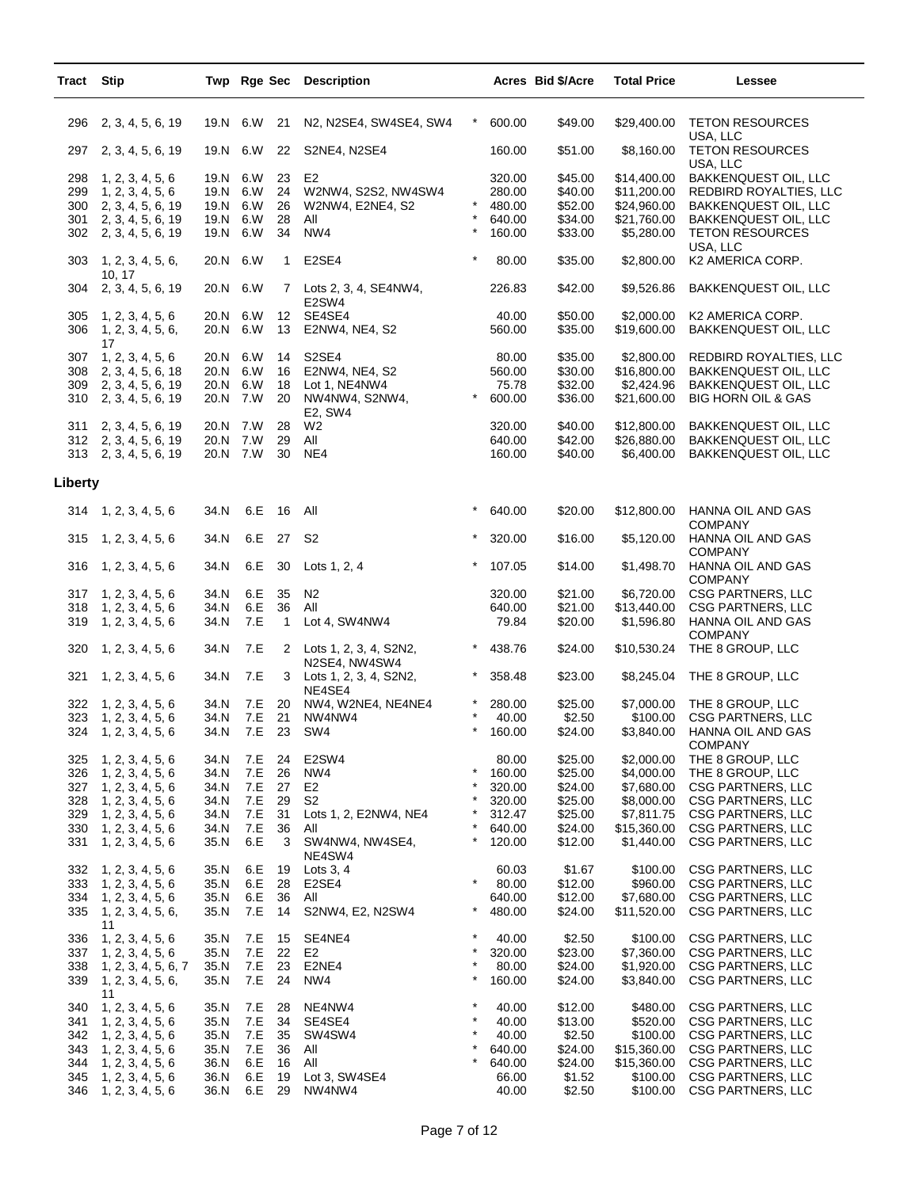| 19.N 6.W<br>N2, N2SE4, SW4SE4, SW4<br>$\ast$<br>600.00<br>\$49.00<br>\$29,400.00<br><b>TETON RESOURCES</b><br>2, 3, 4, 5, 6, 19<br>21<br>296<br>USA, LLC<br>19.N 6.W<br>22<br>S2NE4, N2SE4<br>160.00<br>\$51.00<br>\$8,160.00<br><b>TETON RESOURCES</b><br>297<br>2, 3, 4, 5, 6, 19<br>USA, LLC<br>19.N 6.W<br>23<br>E <sub>2</sub><br>320.00<br>\$45.00<br>\$14,400.00<br><b>BAKKENQUEST OIL, LLC</b><br>298<br>1, 2, 3, 4, 5, 6<br>24<br>\$11,200.00<br>299<br>1, 2, 3, 4, 5, 6<br>19.N 6.W<br>W2NW4, S2S2, NW4SW4<br>280.00<br>\$40.00<br>REDBIRD ROYALTIES, LLC<br>$^{\star}$<br>19.N 6.W<br>\$52.00<br>300 2, 3, 4, 5, 6, 19<br>26<br>480.00<br>\$24,960.00<br><b>BAKKENQUEST OIL, LLC</b><br>W2NW4, E2NE4, S2<br>19.N 6.W<br>28<br>\$34.00<br>\$21,760.00<br>301<br>All<br>640.00<br><b>BAKKENQUEST OIL, LLC</b><br>2, 3, 4, 5, 6, 19<br>$^{\star}$<br>19.N 6.W<br>NW4<br>34<br>160.00<br>\$33.00<br>\$5,280.00<br><b>TETON RESOURCES</b><br>302 2, 3, 4, 5, 6, 19<br>USA, LLC<br>$\star$<br>20.N 6.W<br>303<br>E2SE4<br>80.00<br>\$35.00<br>\$2,800.00<br>K2 AMERICA CORP.<br>1, 2, 3, 4, 5, 6,<br>$\mathbf{1}$<br>10, 17<br>2, 3, 4, 5, 6, 19<br>20.N 6.W<br>226.83<br>\$42.00<br>\$9,526.86<br>BAKKENQUEST OIL, LLC<br>304<br>Lots 2, 3, 4, SE4NW4,<br>$\mathbf{7}$<br>E2SW4<br>20.N 6.W<br>12 <sup>12</sup><br>SE4SE4<br>40.00<br>\$50.00<br>\$2,000.00<br>K2 AMERICA CORP.<br>305<br>1, 2, 3, 4, 5, 6<br>\$19,600.00<br>20.N 6.W<br>13<br>560.00<br>\$35.00<br>306<br>1, 2, 3, 4, 5, 6,<br>E2NW4, NE4, S2<br>BAKKENQUEST OIL, LLC<br>17<br>307<br>1, 2, 3, 4, 5, 6<br>20.N 6.W<br>14<br>S <sub>2</sub> SE <sub>4</sub><br>80.00<br>\$35.00<br>\$2,800.00<br>REDBIRD ROYALTIES, LLC<br>\$30.00<br>\$16,800.00<br>308<br>2, 3, 4, 5, 6, 18<br>20.N 6.W<br>16<br>E2NW4, NE4, S2<br>560.00<br><b>BAKKENQUEST OIL, LLC</b><br>\$32.00<br>\$2,424.96<br>20.N 6.W<br>18<br>75.78<br><b>BAKKENQUEST OIL, LLC</b><br>309 2, 3, 4, 5, 6, 19<br>Lot 1, NE4NW4<br>20.N 7.W<br>20<br>$\ast$<br>\$21,600.00<br>310 2, 3, 4, 5, 6, 19<br>NW4NW4, S2NW4,<br>600.00<br>\$36.00<br><b>BIG HORN OIL &amp; GAS</b><br>E2, SW4<br>20.N 7.W<br>28<br>W <sub>2</sub><br>320.00<br>\$40.00<br>\$12,800.00<br><b>BAKKENQUEST OIL, LLC</b><br>311<br>2, 3, 4, 5, 6, 19<br>20.N 7.W<br>\$42.00<br>312 2, 3, 4, 5, 6, 19<br>29<br>All<br>640.00<br>\$26,880.00<br><b>BAKKENQUEST OIL, LLC</b><br>20.N 7.W<br>NE4<br>\$40.00<br>\$6,400.00<br>313 2, 3, 4, 5, 6, 19<br>30<br>160.00<br>BAKKENQUEST OIL, LLC<br>Liberty<br>$^\star$<br>\$20.00<br>$314$ 1, 2, 3, 4, 5, 6<br>34.N<br>6.E<br>16<br>All<br>640.00<br>\$12,800.00<br>HANNA OIL AND GAS<br><b>COMPANY</b><br>6.E<br>27<br><b>S2</b><br>$\ast$<br>34.N<br>320.00<br>\$16.00<br>\$5,120.00<br>315<br>1, 2, 3, 4, 5, 6<br>HANNA OIL AND GAS<br><b>COMPANY</b><br>6.E<br>$\ast$<br>1, 2, 3, 4, 5, 6<br>34.N<br>30<br>Lots 1, 2, 4<br>107.05<br>\$14.00<br>\$1,498.70<br>HANNA OIL AND GAS<br>316<br><b>COMPANY</b><br>34.N<br>6.E<br>35<br>N <sub>2</sub><br>320.00<br>\$21.00<br>\$6,720.00<br><b>CSG PARTNERS, LLC</b><br>317<br>1, 2, 3, 4, 5, 6<br>6.E<br>36<br>\$21.00<br>\$13,440.00<br>34.N<br>All<br>640.00<br><b>CSG PARTNERS, LLC</b><br>318<br>1, 2, 3, 4, 5, 6<br>1, 2, 3, 4, 5, 6<br>34.N<br>7.E<br>$\mathbf{1}$<br>Lot 4, SW4NW4<br>79.84<br>\$20.00<br>\$1,596.80<br>HANNA OIL AND GAS<br>319<br><b>COMPANY</b><br>$\ast$<br>7.E<br>\$24.00<br>\$10,530.24<br>THE 8 GROUP, LLC<br>320<br>1, 2, 3, 4, 5, 6<br>34.N<br>2<br>Lots 1, 2, 3, 4, S2N2,<br>438.76<br>N2SE4, NW4SW4<br>7.E<br>$\ast$<br>1, 2, 3, 4, 5, 6<br>34.N<br>3<br>358.48<br>\$23.00<br>\$8,245.04<br>THE 8 GROUP, LLC<br>321<br>Lots 1, 2, 3, 4, S2N2,<br>NE4SE4<br>34.N<br>7.E<br>20<br>\$25.00<br>\$7,000.00<br>THE 8 GROUP, LLC<br>322<br>1, 2, 3, 4, 5, 6<br>NW4, W2NE4, NE4NE4<br>280.00<br>21<br>323<br>34.N<br>7.E<br>NW4NW4<br>40.00<br>\$2.50<br>\$100.00<br><b>CSG PARTNERS, LLC</b><br>1, 2, 3, 4, 5, 6<br>$^{\star}$<br>324 1, 2, 3, 4, 5, 6<br>34.N<br>7.E<br>- 23<br>\$3,840.00<br>SW4<br>160.00<br>\$24.00<br>HANNA OIL AND GAS<br>COMPANY<br>E2SW4<br>\$25.00<br>\$2,000.00<br>THE 8 GROUP, LLC<br>325<br>1, 2, 3, 4, 5, 6<br>34.N<br>7.E<br>24<br>80.00<br>$\star$<br>326<br>34.N<br>7.E<br>26<br>NW4<br>\$25.00<br>\$4,000.00<br>THE 8 GROUP, LLC<br>1, 2, 3, 4, 5, 6<br>160.00<br>$\star$<br>327<br>34.N<br>7.E<br>27<br>E2<br>320.00<br>\$24.00<br>\$7,680.00<br><b>CSG PARTNERS, LLC</b><br>1, 2, 3, 4, 5, 6<br>$\star$<br>328<br>34.N<br>7.E<br>29<br>S2<br>\$25.00<br>\$8,000.00<br>CSG PARTNERS, LLC<br>1, 2, 3, 4, 5, 6<br>320.00<br>*<br>\$7,811.75<br>329<br>34.N<br>7.E<br>31<br>Lots 1, 2, E2NW4, NE4<br>312.47<br>\$25.00<br><b>CSG PARTNERS, LLC</b><br>1, 2, 3, 4, 5, 6<br>$\star$<br>7.E<br>36<br>\$15,360.00<br>330<br>1, 2, 3, 4, 5, 6<br>34.N<br>All<br>640.00<br>\$24.00<br><b>CSG PARTNERS, LLC</b><br>$^{\star}$<br>6.E<br>3<br>SW4NW4, NW4SE4,<br>\$12.00<br>\$1,440.00<br><b>CSG PARTNERS, LLC</b><br>331<br>1, 2, 3, 4, 5, 6<br>35.N<br>120.00<br>NE4SW4<br>1, 2, 3, 4, 5, 6<br>6.E<br>\$1.67<br>\$100.00<br><b>CSG PARTNERS, LLC</b><br>332<br>35.N<br>19<br>Lots $3, 4$<br>60.03<br>$\star$<br>333<br>1, 2, 3, 4, 5, 6<br>35.N<br>6.E<br>28<br>E <sub>2</sub> SE <sub>4</sub><br>80.00<br>\$12.00<br>\$960.00<br>CSG PARTNERS, LLC<br>6.E<br>36<br>All<br>\$12.00<br>\$7,680.00<br><b>CSG PARTNERS, LLC</b><br>334<br>1, 2, 3, 4, 5, 6<br>35.N<br>640.00<br>$\star$<br>35.N<br>7.E<br>14<br>S2NW4, E2, N2SW4<br>480.00<br>\$24.00<br>\$11,520.00<br><b>CSG PARTNERS, LLC</b><br>335<br>1, 2, 3, 4, 5, 6,<br>11<br>1, 2, 3, 4, 5, 6<br>$^\star$<br>\$2.50<br><b>CSG PARTNERS, LLC</b><br>336<br>35.N<br>7.E<br>SE4NE4<br>40.00<br>\$100.00<br>15<br>$\star$<br>7.E<br>22<br>320.00<br>\$23.00<br>\$7,360.00<br><b>CSG PARTNERS, LLC</b><br>337<br>35.N<br>E2<br>1, 2, 3, 4, 5, 6<br>$\star$<br>\$24.00<br>338<br>35.N<br>7.E<br>23<br>E2NE4<br>80.00<br>\$1,920.00<br><b>CSG PARTNERS, LLC</b><br>1, 2, 3, 4, 5, 6, 7<br>$^{\star}$<br>35.N<br>7.E<br>24<br>NW4<br>160.00<br>\$24.00<br>\$3,840.00<br>339<br>1, 2, 3, 4, 5, 6,<br>CSG PARTNERS, LLC<br>11<br>$\star$<br>340<br>35.N<br>NE4NW4<br>40.00<br>\$12.00<br>\$480.00<br><b>CSG PARTNERS, LLC</b><br>1, 2, 3, 4, 5, 6<br>7.E<br>28<br>$\star$<br>7.E<br>34<br>SE4SE4<br>40.00<br>\$13.00<br>\$520.00<br><b>CSG PARTNERS, LLC</b><br>341<br>35.N<br>1, 2, 3, 4, 5, 6<br>$\star$<br>35<br>\$2.50<br>342<br>35.N<br>7.E<br>SW4SW4<br>40.00<br>\$100.00<br><b>CSG PARTNERS, LLC</b><br>1, 2, 3, 4, 5, 6<br>$^{\star}$<br>36<br>\$24.00<br>343<br>1, 2, 3, 4, 5, 6<br>35.N<br>7.E<br>All<br>640.00<br>\$15,360.00<br>CSG PARTNERS, LLC<br>$\star$<br>6.E<br>16<br>All<br>640.00<br>\$24.00<br>\$15,360.00<br><b>CSG PARTNERS, LLC</b><br>344<br>1, 2, 3, 4, 5, 6<br>36.N<br>Lot 3, SW4SE4<br><b>CSG PARTNERS, LLC</b><br>345<br>1, 2, 3, 4, 5, 6<br>36.N<br>6.E<br>19<br>66.00<br>\$1.52<br>\$100.00<br>29<br>346<br>1, 2, 3, 4, 5, 6<br>36.N<br>6.E<br>NW4NW4<br>40.00<br>\$2.50<br>\$100.00<br>CSG PARTNERS, LLC | Tract | <b>Stip</b> |  | Twp Rge Sec Description |  | Acres Bid \$/Acre | <b>Total Price</b> | Lessee |
|------------------------------------------------------------------------------------------------------------------------------------------------------------------------------------------------------------------------------------------------------------------------------------------------------------------------------------------------------------------------------------------------------------------------------------------------------------------------------------------------------------------------------------------------------------------------------------------------------------------------------------------------------------------------------------------------------------------------------------------------------------------------------------------------------------------------------------------------------------------------------------------------------------------------------------------------------------------------------------------------------------------------------------------------------------------------------------------------------------------------------------------------------------------------------------------------------------------------------------------------------------------------------------------------------------------------------------------------------------------------------------------------------------------------------------------------------------------------------------------------------------------------------------------------------------------------------------------------------------------------------------------------------------------------------------------------------------------------------------------------------------------------------------------------------------------------------------------------------------------------------------------------------------------------------------------------------------------------------------------------------------------------------------------------------------------------------------------------------------------------------------------------------------------------------------------------------------------------------------------------------------------------------------------------------------------------------------------------------------------------------------------------------------------------------------------------------------------------------------------------------------------------------------------------------------------------------------------------------------------------------------------------------------------------------------------------------------------------------------------------------------------------------------------------------------------------------------------------------------------------------------------------------------------------------------------------------------------------------------------------------------------------------------------------------------------------------------------------------------------------------------------------------------------------------------------------------------------------------------------------------------------------------------------------------------------------------------------------------------------------------------------------------------------------------------------------------------------------------------------------------------------------------------------------------------------------------------------------------------------------------------------------------------------------------------------------------------------------------------------------------------------------------------------------------------------------------------------------------------------------------------------------------------------------------------------------------------------------------------------------------------------------------------------------------------------------------------------------------------------------------------------------------------------------------------------------------------------------------------------------------------------------------------------------------------------------------------------------------------------------------------------------------------------------------------------------------------------------------------------------------------------------------------------------------------------------------------------------------------------------------------------------------------------------------------------------------------------------------------------------------------------------------------------------------------------------------------------------------------------------------------------------------------------------------------------------------------------------------------------------------------------------------------------------------------------------------------------------------------------------------------------------------------------------------------------------------------------------------------------------------------------------------------------------------------------------------------------------------------------------------------------------------------------------------------------------------------------------------------------------------------------------------------------------------------------------------------------------------------------------------------------------------------------------------------------------------------------------------------------------------------------------------------------------------------------------------------------------------------------------------------------------------------------------------------------------------------------------------------------------------------------------------------------------------------------------------------------------------------------------------------------------------------------------------------------------------------------------------------------------------------------------------------------------------------------------------------------------------------------------------------------------------------------------------------------------------------------------------------------------------------------------------------------------------------------------------------------------------------------------------------------------------------------------------------------------------------------------------------------------------------------------------------------------------------------------------------------------------------------------------------------------------------------------------------------------------------------------------------------------------------------------------------|-------|-------------|--|-------------------------|--|-------------------|--------------------|--------|
|                                                                                                                                                                                                                                                                                                                                                                                                                                                                                                                                                                                                                                                                                                                                                                                                                                                                                                                                                                                                                                                                                                                                                                                                                                                                                                                                                                                                                                                                                                                                                                                                                                                                                                                                                                                                                                                                                                                                                                                                                                                                                                                                                                                                                                                                                                                                                                                                                                                                                                                                                                                                                                                                                                                                                                                                                                                                                                                                                                                                                                                                                                                                                                                                                                                                                                                                                                                                                                                                                                                                                                                                                                                                                                                                                                                                                                                                                                                                                                                                                                                                                                                                                                                                                                                                                                                                                                                                                                                                                                                                                                                                                                                                                                                                                                                                                                                                                                                                                                                                                                                                                                                                                                                                                                                                                                                                                                                                                                                                                                                                                                                                                                                                                                                                                                                                                                                                                                                                                                                                                                                                                                                                                                                                                                                                                                                                                                                                                                                                                                                                                                                                                                                                                                                                                                                                                                                                                                                                                                                                                                    |       |             |  |                         |  |                   |                    |        |
|                                                                                                                                                                                                                                                                                                                                                                                                                                                                                                                                                                                                                                                                                                                                                                                                                                                                                                                                                                                                                                                                                                                                                                                                                                                                                                                                                                                                                                                                                                                                                                                                                                                                                                                                                                                                                                                                                                                                                                                                                                                                                                                                                                                                                                                                                                                                                                                                                                                                                                                                                                                                                                                                                                                                                                                                                                                                                                                                                                                                                                                                                                                                                                                                                                                                                                                                                                                                                                                                                                                                                                                                                                                                                                                                                                                                                                                                                                                                                                                                                                                                                                                                                                                                                                                                                                                                                                                                                                                                                                                                                                                                                                                                                                                                                                                                                                                                                                                                                                                                                                                                                                                                                                                                                                                                                                                                                                                                                                                                                                                                                                                                                                                                                                                                                                                                                                                                                                                                                                                                                                                                                                                                                                                                                                                                                                                                                                                                                                                                                                                                                                                                                                                                                                                                                                                                                                                                                                                                                                                                                                    |       |             |  |                         |  |                   |                    |        |
|                                                                                                                                                                                                                                                                                                                                                                                                                                                                                                                                                                                                                                                                                                                                                                                                                                                                                                                                                                                                                                                                                                                                                                                                                                                                                                                                                                                                                                                                                                                                                                                                                                                                                                                                                                                                                                                                                                                                                                                                                                                                                                                                                                                                                                                                                                                                                                                                                                                                                                                                                                                                                                                                                                                                                                                                                                                                                                                                                                                                                                                                                                                                                                                                                                                                                                                                                                                                                                                                                                                                                                                                                                                                                                                                                                                                                                                                                                                                                                                                                                                                                                                                                                                                                                                                                                                                                                                                                                                                                                                                                                                                                                                                                                                                                                                                                                                                                                                                                                                                                                                                                                                                                                                                                                                                                                                                                                                                                                                                                                                                                                                                                                                                                                                                                                                                                                                                                                                                                                                                                                                                                                                                                                                                                                                                                                                                                                                                                                                                                                                                                                                                                                                                                                                                                                                                                                                                                                                                                                                                                                    |       |             |  |                         |  |                   |                    |        |
|                                                                                                                                                                                                                                                                                                                                                                                                                                                                                                                                                                                                                                                                                                                                                                                                                                                                                                                                                                                                                                                                                                                                                                                                                                                                                                                                                                                                                                                                                                                                                                                                                                                                                                                                                                                                                                                                                                                                                                                                                                                                                                                                                                                                                                                                                                                                                                                                                                                                                                                                                                                                                                                                                                                                                                                                                                                                                                                                                                                                                                                                                                                                                                                                                                                                                                                                                                                                                                                                                                                                                                                                                                                                                                                                                                                                                                                                                                                                                                                                                                                                                                                                                                                                                                                                                                                                                                                                                                                                                                                                                                                                                                                                                                                                                                                                                                                                                                                                                                                                                                                                                                                                                                                                                                                                                                                                                                                                                                                                                                                                                                                                                                                                                                                                                                                                                                                                                                                                                                                                                                                                                                                                                                                                                                                                                                                                                                                                                                                                                                                                                                                                                                                                                                                                                                                                                                                                                                                                                                                                                                    |       |             |  |                         |  |                   |                    |        |
|                                                                                                                                                                                                                                                                                                                                                                                                                                                                                                                                                                                                                                                                                                                                                                                                                                                                                                                                                                                                                                                                                                                                                                                                                                                                                                                                                                                                                                                                                                                                                                                                                                                                                                                                                                                                                                                                                                                                                                                                                                                                                                                                                                                                                                                                                                                                                                                                                                                                                                                                                                                                                                                                                                                                                                                                                                                                                                                                                                                                                                                                                                                                                                                                                                                                                                                                                                                                                                                                                                                                                                                                                                                                                                                                                                                                                                                                                                                                                                                                                                                                                                                                                                                                                                                                                                                                                                                                                                                                                                                                                                                                                                                                                                                                                                                                                                                                                                                                                                                                                                                                                                                                                                                                                                                                                                                                                                                                                                                                                                                                                                                                                                                                                                                                                                                                                                                                                                                                                                                                                                                                                                                                                                                                                                                                                                                                                                                                                                                                                                                                                                                                                                                                                                                                                                                                                                                                                                                                                                                                                                    |       |             |  |                         |  |                   |                    |        |
|                                                                                                                                                                                                                                                                                                                                                                                                                                                                                                                                                                                                                                                                                                                                                                                                                                                                                                                                                                                                                                                                                                                                                                                                                                                                                                                                                                                                                                                                                                                                                                                                                                                                                                                                                                                                                                                                                                                                                                                                                                                                                                                                                                                                                                                                                                                                                                                                                                                                                                                                                                                                                                                                                                                                                                                                                                                                                                                                                                                                                                                                                                                                                                                                                                                                                                                                                                                                                                                                                                                                                                                                                                                                                                                                                                                                                                                                                                                                                                                                                                                                                                                                                                                                                                                                                                                                                                                                                                                                                                                                                                                                                                                                                                                                                                                                                                                                                                                                                                                                                                                                                                                                                                                                                                                                                                                                                                                                                                                                                                                                                                                                                                                                                                                                                                                                                                                                                                                                                                                                                                                                                                                                                                                                                                                                                                                                                                                                                                                                                                                                                                                                                                                                                                                                                                                                                                                                                                                                                                                                                                    |       |             |  |                         |  |                   |                    |        |
|                                                                                                                                                                                                                                                                                                                                                                                                                                                                                                                                                                                                                                                                                                                                                                                                                                                                                                                                                                                                                                                                                                                                                                                                                                                                                                                                                                                                                                                                                                                                                                                                                                                                                                                                                                                                                                                                                                                                                                                                                                                                                                                                                                                                                                                                                                                                                                                                                                                                                                                                                                                                                                                                                                                                                                                                                                                                                                                                                                                                                                                                                                                                                                                                                                                                                                                                                                                                                                                                                                                                                                                                                                                                                                                                                                                                                                                                                                                                                                                                                                                                                                                                                                                                                                                                                                                                                                                                                                                                                                                                                                                                                                                                                                                                                                                                                                                                                                                                                                                                                                                                                                                                                                                                                                                                                                                                                                                                                                                                                                                                                                                                                                                                                                                                                                                                                                                                                                                                                                                                                                                                                                                                                                                                                                                                                                                                                                                                                                                                                                                                                                                                                                                                                                                                                                                                                                                                                                                                                                                                                                    |       |             |  |                         |  |                   |                    |        |
|                                                                                                                                                                                                                                                                                                                                                                                                                                                                                                                                                                                                                                                                                                                                                                                                                                                                                                                                                                                                                                                                                                                                                                                                                                                                                                                                                                                                                                                                                                                                                                                                                                                                                                                                                                                                                                                                                                                                                                                                                                                                                                                                                                                                                                                                                                                                                                                                                                                                                                                                                                                                                                                                                                                                                                                                                                                                                                                                                                                                                                                                                                                                                                                                                                                                                                                                                                                                                                                                                                                                                                                                                                                                                                                                                                                                                                                                                                                                                                                                                                                                                                                                                                                                                                                                                                                                                                                                                                                                                                                                                                                                                                                                                                                                                                                                                                                                                                                                                                                                                                                                                                                                                                                                                                                                                                                                                                                                                                                                                                                                                                                                                                                                                                                                                                                                                                                                                                                                                                                                                                                                                                                                                                                                                                                                                                                                                                                                                                                                                                                                                                                                                                                                                                                                                                                                                                                                                                                                                                                                                                    |       |             |  |                         |  |                   |                    |        |
|                                                                                                                                                                                                                                                                                                                                                                                                                                                                                                                                                                                                                                                                                                                                                                                                                                                                                                                                                                                                                                                                                                                                                                                                                                                                                                                                                                                                                                                                                                                                                                                                                                                                                                                                                                                                                                                                                                                                                                                                                                                                                                                                                                                                                                                                                                                                                                                                                                                                                                                                                                                                                                                                                                                                                                                                                                                                                                                                                                                                                                                                                                                                                                                                                                                                                                                                                                                                                                                                                                                                                                                                                                                                                                                                                                                                                                                                                                                                                                                                                                                                                                                                                                                                                                                                                                                                                                                                                                                                                                                                                                                                                                                                                                                                                                                                                                                                                                                                                                                                                                                                                                                                                                                                                                                                                                                                                                                                                                                                                                                                                                                                                                                                                                                                                                                                                                                                                                                                                                                                                                                                                                                                                                                                                                                                                                                                                                                                                                                                                                                                                                                                                                                                                                                                                                                                                                                                                                                                                                                                                                    |       |             |  |                         |  |                   |                    |        |
|                                                                                                                                                                                                                                                                                                                                                                                                                                                                                                                                                                                                                                                                                                                                                                                                                                                                                                                                                                                                                                                                                                                                                                                                                                                                                                                                                                                                                                                                                                                                                                                                                                                                                                                                                                                                                                                                                                                                                                                                                                                                                                                                                                                                                                                                                                                                                                                                                                                                                                                                                                                                                                                                                                                                                                                                                                                                                                                                                                                                                                                                                                                                                                                                                                                                                                                                                                                                                                                                                                                                                                                                                                                                                                                                                                                                                                                                                                                                                                                                                                                                                                                                                                                                                                                                                                                                                                                                                                                                                                                                                                                                                                                                                                                                                                                                                                                                                                                                                                                                                                                                                                                                                                                                                                                                                                                                                                                                                                                                                                                                                                                                                                                                                                                                                                                                                                                                                                                                                                                                                                                                                                                                                                                                                                                                                                                                                                                                                                                                                                                                                                                                                                                                                                                                                                                                                                                                                                                                                                                                                                    |       |             |  |                         |  |                   |                    |        |
|                                                                                                                                                                                                                                                                                                                                                                                                                                                                                                                                                                                                                                                                                                                                                                                                                                                                                                                                                                                                                                                                                                                                                                                                                                                                                                                                                                                                                                                                                                                                                                                                                                                                                                                                                                                                                                                                                                                                                                                                                                                                                                                                                                                                                                                                                                                                                                                                                                                                                                                                                                                                                                                                                                                                                                                                                                                                                                                                                                                                                                                                                                                                                                                                                                                                                                                                                                                                                                                                                                                                                                                                                                                                                                                                                                                                                                                                                                                                                                                                                                                                                                                                                                                                                                                                                                                                                                                                                                                                                                                                                                                                                                                                                                                                                                                                                                                                                                                                                                                                                                                                                                                                                                                                                                                                                                                                                                                                                                                                                                                                                                                                                                                                                                                                                                                                                                                                                                                                                                                                                                                                                                                                                                                                                                                                                                                                                                                                                                                                                                                                                                                                                                                                                                                                                                                                                                                                                                                                                                                                                                    |       |             |  |                         |  |                   |                    |        |
|                                                                                                                                                                                                                                                                                                                                                                                                                                                                                                                                                                                                                                                                                                                                                                                                                                                                                                                                                                                                                                                                                                                                                                                                                                                                                                                                                                                                                                                                                                                                                                                                                                                                                                                                                                                                                                                                                                                                                                                                                                                                                                                                                                                                                                                                                                                                                                                                                                                                                                                                                                                                                                                                                                                                                                                                                                                                                                                                                                                                                                                                                                                                                                                                                                                                                                                                                                                                                                                                                                                                                                                                                                                                                                                                                                                                                                                                                                                                                                                                                                                                                                                                                                                                                                                                                                                                                                                                                                                                                                                                                                                                                                                                                                                                                                                                                                                                                                                                                                                                                                                                                                                                                                                                                                                                                                                                                                                                                                                                                                                                                                                                                                                                                                                                                                                                                                                                                                                                                                                                                                                                                                                                                                                                                                                                                                                                                                                                                                                                                                                                                                                                                                                                                                                                                                                                                                                                                                                                                                                                                                    |       |             |  |                         |  |                   |                    |        |
|                                                                                                                                                                                                                                                                                                                                                                                                                                                                                                                                                                                                                                                                                                                                                                                                                                                                                                                                                                                                                                                                                                                                                                                                                                                                                                                                                                                                                                                                                                                                                                                                                                                                                                                                                                                                                                                                                                                                                                                                                                                                                                                                                                                                                                                                                                                                                                                                                                                                                                                                                                                                                                                                                                                                                                                                                                                                                                                                                                                                                                                                                                                                                                                                                                                                                                                                                                                                                                                                                                                                                                                                                                                                                                                                                                                                                                                                                                                                                                                                                                                                                                                                                                                                                                                                                                                                                                                                                                                                                                                                                                                                                                                                                                                                                                                                                                                                                                                                                                                                                                                                                                                                                                                                                                                                                                                                                                                                                                                                                                                                                                                                                                                                                                                                                                                                                                                                                                                                                                                                                                                                                                                                                                                                                                                                                                                                                                                                                                                                                                                                                                                                                                                                                                                                                                                                                                                                                                                                                                                                                                    |       |             |  |                         |  |                   |                    |        |
|                                                                                                                                                                                                                                                                                                                                                                                                                                                                                                                                                                                                                                                                                                                                                                                                                                                                                                                                                                                                                                                                                                                                                                                                                                                                                                                                                                                                                                                                                                                                                                                                                                                                                                                                                                                                                                                                                                                                                                                                                                                                                                                                                                                                                                                                                                                                                                                                                                                                                                                                                                                                                                                                                                                                                                                                                                                                                                                                                                                                                                                                                                                                                                                                                                                                                                                                                                                                                                                                                                                                                                                                                                                                                                                                                                                                                                                                                                                                                                                                                                                                                                                                                                                                                                                                                                                                                                                                                                                                                                                                                                                                                                                                                                                                                                                                                                                                                                                                                                                                                                                                                                                                                                                                                                                                                                                                                                                                                                                                                                                                                                                                                                                                                                                                                                                                                                                                                                                                                                                                                                                                                                                                                                                                                                                                                                                                                                                                                                                                                                                                                                                                                                                                                                                                                                                                                                                                                                                                                                                                                                    |       |             |  |                         |  |                   |                    |        |
|                                                                                                                                                                                                                                                                                                                                                                                                                                                                                                                                                                                                                                                                                                                                                                                                                                                                                                                                                                                                                                                                                                                                                                                                                                                                                                                                                                                                                                                                                                                                                                                                                                                                                                                                                                                                                                                                                                                                                                                                                                                                                                                                                                                                                                                                                                                                                                                                                                                                                                                                                                                                                                                                                                                                                                                                                                                                                                                                                                                                                                                                                                                                                                                                                                                                                                                                                                                                                                                                                                                                                                                                                                                                                                                                                                                                                                                                                                                                                                                                                                                                                                                                                                                                                                                                                                                                                                                                                                                                                                                                                                                                                                                                                                                                                                                                                                                                                                                                                                                                                                                                                                                                                                                                                                                                                                                                                                                                                                                                                                                                                                                                                                                                                                                                                                                                                                                                                                                                                                                                                                                                                                                                                                                                                                                                                                                                                                                                                                                                                                                                                                                                                                                                                                                                                                                                                                                                                                                                                                                                                                    |       |             |  |                         |  |                   |                    |        |
|                                                                                                                                                                                                                                                                                                                                                                                                                                                                                                                                                                                                                                                                                                                                                                                                                                                                                                                                                                                                                                                                                                                                                                                                                                                                                                                                                                                                                                                                                                                                                                                                                                                                                                                                                                                                                                                                                                                                                                                                                                                                                                                                                                                                                                                                                                                                                                                                                                                                                                                                                                                                                                                                                                                                                                                                                                                                                                                                                                                                                                                                                                                                                                                                                                                                                                                                                                                                                                                                                                                                                                                                                                                                                                                                                                                                                                                                                                                                                                                                                                                                                                                                                                                                                                                                                                                                                                                                                                                                                                                                                                                                                                                                                                                                                                                                                                                                                                                                                                                                                                                                                                                                                                                                                                                                                                                                                                                                                                                                                                                                                                                                                                                                                                                                                                                                                                                                                                                                                                                                                                                                                                                                                                                                                                                                                                                                                                                                                                                                                                                                                                                                                                                                                                                                                                                                                                                                                                                                                                                                                                    |       |             |  |                         |  |                   |                    |        |
|                                                                                                                                                                                                                                                                                                                                                                                                                                                                                                                                                                                                                                                                                                                                                                                                                                                                                                                                                                                                                                                                                                                                                                                                                                                                                                                                                                                                                                                                                                                                                                                                                                                                                                                                                                                                                                                                                                                                                                                                                                                                                                                                                                                                                                                                                                                                                                                                                                                                                                                                                                                                                                                                                                                                                                                                                                                                                                                                                                                                                                                                                                                                                                                                                                                                                                                                                                                                                                                                                                                                                                                                                                                                                                                                                                                                                                                                                                                                                                                                                                                                                                                                                                                                                                                                                                                                                                                                                                                                                                                                                                                                                                                                                                                                                                                                                                                                                                                                                                                                                                                                                                                                                                                                                                                                                                                                                                                                                                                                                                                                                                                                                                                                                                                                                                                                                                                                                                                                                                                                                                                                                                                                                                                                                                                                                                                                                                                                                                                                                                                                                                                                                                                                                                                                                                                                                                                                                                                                                                                                                                    |       |             |  |                         |  |                   |                    |        |
|                                                                                                                                                                                                                                                                                                                                                                                                                                                                                                                                                                                                                                                                                                                                                                                                                                                                                                                                                                                                                                                                                                                                                                                                                                                                                                                                                                                                                                                                                                                                                                                                                                                                                                                                                                                                                                                                                                                                                                                                                                                                                                                                                                                                                                                                                                                                                                                                                                                                                                                                                                                                                                                                                                                                                                                                                                                                                                                                                                                                                                                                                                                                                                                                                                                                                                                                                                                                                                                                                                                                                                                                                                                                                                                                                                                                                                                                                                                                                                                                                                                                                                                                                                                                                                                                                                                                                                                                                                                                                                                                                                                                                                                                                                                                                                                                                                                                                                                                                                                                                                                                                                                                                                                                                                                                                                                                                                                                                                                                                                                                                                                                                                                                                                                                                                                                                                                                                                                                                                                                                                                                                                                                                                                                                                                                                                                                                                                                                                                                                                                                                                                                                                                                                                                                                                                                                                                                                                                                                                                                                                    |       |             |  |                         |  |                   |                    |        |
|                                                                                                                                                                                                                                                                                                                                                                                                                                                                                                                                                                                                                                                                                                                                                                                                                                                                                                                                                                                                                                                                                                                                                                                                                                                                                                                                                                                                                                                                                                                                                                                                                                                                                                                                                                                                                                                                                                                                                                                                                                                                                                                                                                                                                                                                                                                                                                                                                                                                                                                                                                                                                                                                                                                                                                                                                                                                                                                                                                                                                                                                                                                                                                                                                                                                                                                                                                                                                                                                                                                                                                                                                                                                                                                                                                                                                                                                                                                                                                                                                                                                                                                                                                                                                                                                                                                                                                                                                                                                                                                                                                                                                                                                                                                                                                                                                                                                                                                                                                                                                                                                                                                                                                                                                                                                                                                                                                                                                                                                                                                                                                                                                                                                                                                                                                                                                                                                                                                                                                                                                                                                                                                                                                                                                                                                                                                                                                                                                                                                                                                                                                                                                                                                                                                                                                                                                                                                                                                                                                                                                                    |       |             |  |                         |  |                   |                    |        |
|                                                                                                                                                                                                                                                                                                                                                                                                                                                                                                                                                                                                                                                                                                                                                                                                                                                                                                                                                                                                                                                                                                                                                                                                                                                                                                                                                                                                                                                                                                                                                                                                                                                                                                                                                                                                                                                                                                                                                                                                                                                                                                                                                                                                                                                                                                                                                                                                                                                                                                                                                                                                                                                                                                                                                                                                                                                                                                                                                                                                                                                                                                                                                                                                                                                                                                                                                                                                                                                                                                                                                                                                                                                                                                                                                                                                                                                                                                                                                                                                                                                                                                                                                                                                                                                                                                                                                                                                                                                                                                                                                                                                                                                                                                                                                                                                                                                                                                                                                                                                                                                                                                                                                                                                                                                                                                                                                                                                                                                                                                                                                                                                                                                                                                                                                                                                                                                                                                                                                                                                                                                                                                                                                                                                                                                                                                                                                                                                                                                                                                                                                                                                                                                                                                                                                                                                                                                                                                                                                                                                                                    |       |             |  |                         |  |                   |                    |        |
|                                                                                                                                                                                                                                                                                                                                                                                                                                                                                                                                                                                                                                                                                                                                                                                                                                                                                                                                                                                                                                                                                                                                                                                                                                                                                                                                                                                                                                                                                                                                                                                                                                                                                                                                                                                                                                                                                                                                                                                                                                                                                                                                                                                                                                                                                                                                                                                                                                                                                                                                                                                                                                                                                                                                                                                                                                                                                                                                                                                                                                                                                                                                                                                                                                                                                                                                                                                                                                                                                                                                                                                                                                                                                                                                                                                                                                                                                                                                                                                                                                                                                                                                                                                                                                                                                                                                                                                                                                                                                                                                                                                                                                                                                                                                                                                                                                                                                                                                                                                                                                                                                                                                                                                                                                                                                                                                                                                                                                                                                                                                                                                                                                                                                                                                                                                                                                                                                                                                                                                                                                                                                                                                                                                                                                                                                                                                                                                                                                                                                                                                                                                                                                                                                                                                                                                                                                                                                                                                                                                                                                    |       |             |  |                         |  |                   |                    |        |
|                                                                                                                                                                                                                                                                                                                                                                                                                                                                                                                                                                                                                                                                                                                                                                                                                                                                                                                                                                                                                                                                                                                                                                                                                                                                                                                                                                                                                                                                                                                                                                                                                                                                                                                                                                                                                                                                                                                                                                                                                                                                                                                                                                                                                                                                                                                                                                                                                                                                                                                                                                                                                                                                                                                                                                                                                                                                                                                                                                                                                                                                                                                                                                                                                                                                                                                                                                                                                                                                                                                                                                                                                                                                                                                                                                                                                                                                                                                                                                                                                                                                                                                                                                                                                                                                                                                                                                                                                                                                                                                                                                                                                                                                                                                                                                                                                                                                                                                                                                                                                                                                                                                                                                                                                                                                                                                                                                                                                                                                                                                                                                                                                                                                                                                                                                                                                                                                                                                                                                                                                                                                                                                                                                                                                                                                                                                                                                                                                                                                                                                                                                                                                                                                                                                                                                                                                                                                                                                                                                                                                                    |       |             |  |                         |  |                   |                    |        |
|                                                                                                                                                                                                                                                                                                                                                                                                                                                                                                                                                                                                                                                                                                                                                                                                                                                                                                                                                                                                                                                                                                                                                                                                                                                                                                                                                                                                                                                                                                                                                                                                                                                                                                                                                                                                                                                                                                                                                                                                                                                                                                                                                                                                                                                                                                                                                                                                                                                                                                                                                                                                                                                                                                                                                                                                                                                                                                                                                                                                                                                                                                                                                                                                                                                                                                                                                                                                                                                                                                                                                                                                                                                                                                                                                                                                                                                                                                                                                                                                                                                                                                                                                                                                                                                                                                                                                                                                                                                                                                                                                                                                                                                                                                                                                                                                                                                                                                                                                                                                                                                                                                                                                                                                                                                                                                                                                                                                                                                                                                                                                                                                                                                                                                                                                                                                                                                                                                                                                                                                                                                                                                                                                                                                                                                                                                                                                                                                                                                                                                                                                                                                                                                                                                                                                                                                                                                                                                                                                                                                                                    |       |             |  |                         |  |                   |                    |        |
|                                                                                                                                                                                                                                                                                                                                                                                                                                                                                                                                                                                                                                                                                                                                                                                                                                                                                                                                                                                                                                                                                                                                                                                                                                                                                                                                                                                                                                                                                                                                                                                                                                                                                                                                                                                                                                                                                                                                                                                                                                                                                                                                                                                                                                                                                                                                                                                                                                                                                                                                                                                                                                                                                                                                                                                                                                                                                                                                                                                                                                                                                                                                                                                                                                                                                                                                                                                                                                                                                                                                                                                                                                                                                                                                                                                                                                                                                                                                                                                                                                                                                                                                                                                                                                                                                                                                                                                                                                                                                                                                                                                                                                                                                                                                                                                                                                                                                                                                                                                                                                                                                                                                                                                                                                                                                                                                                                                                                                                                                                                                                                                                                                                                                                                                                                                                                                                                                                                                                                                                                                                                                                                                                                                                                                                                                                                                                                                                                                                                                                                                                                                                                                                                                                                                                                                                                                                                                                                                                                                                                                    |       |             |  |                         |  |                   |                    |        |
|                                                                                                                                                                                                                                                                                                                                                                                                                                                                                                                                                                                                                                                                                                                                                                                                                                                                                                                                                                                                                                                                                                                                                                                                                                                                                                                                                                                                                                                                                                                                                                                                                                                                                                                                                                                                                                                                                                                                                                                                                                                                                                                                                                                                                                                                                                                                                                                                                                                                                                                                                                                                                                                                                                                                                                                                                                                                                                                                                                                                                                                                                                                                                                                                                                                                                                                                                                                                                                                                                                                                                                                                                                                                                                                                                                                                                                                                                                                                                                                                                                                                                                                                                                                                                                                                                                                                                                                                                                                                                                                                                                                                                                                                                                                                                                                                                                                                                                                                                                                                                                                                                                                                                                                                                                                                                                                                                                                                                                                                                                                                                                                                                                                                                                                                                                                                                                                                                                                                                                                                                                                                                                                                                                                                                                                                                                                                                                                                                                                                                                                                                                                                                                                                                                                                                                                                                                                                                                                                                                                                                                    |       |             |  |                         |  |                   |                    |        |
|                                                                                                                                                                                                                                                                                                                                                                                                                                                                                                                                                                                                                                                                                                                                                                                                                                                                                                                                                                                                                                                                                                                                                                                                                                                                                                                                                                                                                                                                                                                                                                                                                                                                                                                                                                                                                                                                                                                                                                                                                                                                                                                                                                                                                                                                                                                                                                                                                                                                                                                                                                                                                                                                                                                                                                                                                                                                                                                                                                                                                                                                                                                                                                                                                                                                                                                                                                                                                                                                                                                                                                                                                                                                                                                                                                                                                                                                                                                                                                                                                                                                                                                                                                                                                                                                                                                                                                                                                                                                                                                                                                                                                                                                                                                                                                                                                                                                                                                                                                                                                                                                                                                                                                                                                                                                                                                                                                                                                                                                                                                                                                                                                                                                                                                                                                                                                                                                                                                                                                                                                                                                                                                                                                                                                                                                                                                                                                                                                                                                                                                                                                                                                                                                                                                                                                                                                                                                                                                                                                                                                                    |       |             |  |                         |  |                   |                    |        |
|                                                                                                                                                                                                                                                                                                                                                                                                                                                                                                                                                                                                                                                                                                                                                                                                                                                                                                                                                                                                                                                                                                                                                                                                                                                                                                                                                                                                                                                                                                                                                                                                                                                                                                                                                                                                                                                                                                                                                                                                                                                                                                                                                                                                                                                                                                                                                                                                                                                                                                                                                                                                                                                                                                                                                                                                                                                                                                                                                                                                                                                                                                                                                                                                                                                                                                                                                                                                                                                                                                                                                                                                                                                                                                                                                                                                                                                                                                                                                                                                                                                                                                                                                                                                                                                                                                                                                                                                                                                                                                                                                                                                                                                                                                                                                                                                                                                                                                                                                                                                                                                                                                                                                                                                                                                                                                                                                                                                                                                                                                                                                                                                                                                                                                                                                                                                                                                                                                                                                                                                                                                                                                                                                                                                                                                                                                                                                                                                                                                                                                                                                                                                                                                                                                                                                                                                                                                                                                                                                                                                                                    |       |             |  |                         |  |                   |                    |        |
|                                                                                                                                                                                                                                                                                                                                                                                                                                                                                                                                                                                                                                                                                                                                                                                                                                                                                                                                                                                                                                                                                                                                                                                                                                                                                                                                                                                                                                                                                                                                                                                                                                                                                                                                                                                                                                                                                                                                                                                                                                                                                                                                                                                                                                                                                                                                                                                                                                                                                                                                                                                                                                                                                                                                                                                                                                                                                                                                                                                                                                                                                                                                                                                                                                                                                                                                                                                                                                                                                                                                                                                                                                                                                                                                                                                                                                                                                                                                                                                                                                                                                                                                                                                                                                                                                                                                                                                                                                                                                                                                                                                                                                                                                                                                                                                                                                                                                                                                                                                                                                                                                                                                                                                                                                                                                                                                                                                                                                                                                                                                                                                                                                                                                                                                                                                                                                                                                                                                                                                                                                                                                                                                                                                                                                                                                                                                                                                                                                                                                                                                                                                                                                                                                                                                                                                                                                                                                                                                                                                                                                    |       |             |  |                         |  |                   |                    |        |
|                                                                                                                                                                                                                                                                                                                                                                                                                                                                                                                                                                                                                                                                                                                                                                                                                                                                                                                                                                                                                                                                                                                                                                                                                                                                                                                                                                                                                                                                                                                                                                                                                                                                                                                                                                                                                                                                                                                                                                                                                                                                                                                                                                                                                                                                                                                                                                                                                                                                                                                                                                                                                                                                                                                                                                                                                                                                                                                                                                                                                                                                                                                                                                                                                                                                                                                                                                                                                                                                                                                                                                                                                                                                                                                                                                                                                                                                                                                                                                                                                                                                                                                                                                                                                                                                                                                                                                                                                                                                                                                                                                                                                                                                                                                                                                                                                                                                                                                                                                                                                                                                                                                                                                                                                                                                                                                                                                                                                                                                                                                                                                                                                                                                                                                                                                                                                                                                                                                                                                                                                                                                                                                                                                                                                                                                                                                                                                                                                                                                                                                                                                                                                                                                                                                                                                                                                                                                                                                                                                                                                                    |       |             |  |                         |  |                   |                    |        |
|                                                                                                                                                                                                                                                                                                                                                                                                                                                                                                                                                                                                                                                                                                                                                                                                                                                                                                                                                                                                                                                                                                                                                                                                                                                                                                                                                                                                                                                                                                                                                                                                                                                                                                                                                                                                                                                                                                                                                                                                                                                                                                                                                                                                                                                                                                                                                                                                                                                                                                                                                                                                                                                                                                                                                                                                                                                                                                                                                                                                                                                                                                                                                                                                                                                                                                                                                                                                                                                                                                                                                                                                                                                                                                                                                                                                                                                                                                                                                                                                                                                                                                                                                                                                                                                                                                                                                                                                                                                                                                                                                                                                                                                                                                                                                                                                                                                                                                                                                                                                                                                                                                                                                                                                                                                                                                                                                                                                                                                                                                                                                                                                                                                                                                                                                                                                                                                                                                                                                                                                                                                                                                                                                                                                                                                                                                                                                                                                                                                                                                                                                                                                                                                                                                                                                                                                                                                                                                                                                                                                                                    |       |             |  |                         |  |                   |                    |        |
|                                                                                                                                                                                                                                                                                                                                                                                                                                                                                                                                                                                                                                                                                                                                                                                                                                                                                                                                                                                                                                                                                                                                                                                                                                                                                                                                                                                                                                                                                                                                                                                                                                                                                                                                                                                                                                                                                                                                                                                                                                                                                                                                                                                                                                                                                                                                                                                                                                                                                                                                                                                                                                                                                                                                                                                                                                                                                                                                                                                                                                                                                                                                                                                                                                                                                                                                                                                                                                                                                                                                                                                                                                                                                                                                                                                                                                                                                                                                                                                                                                                                                                                                                                                                                                                                                                                                                                                                                                                                                                                                                                                                                                                                                                                                                                                                                                                                                                                                                                                                                                                                                                                                                                                                                                                                                                                                                                                                                                                                                                                                                                                                                                                                                                                                                                                                                                                                                                                                                                                                                                                                                                                                                                                                                                                                                                                                                                                                                                                                                                                                                                                                                                                                                                                                                                                                                                                                                                                                                                                                                                    |       |             |  |                         |  |                   |                    |        |
|                                                                                                                                                                                                                                                                                                                                                                                                                                                                                                                                                                                                                                                                                                                                                                                                                                                                                                                                                                                                                                                                                                                                                                                                                                                                                                                                                                                                                                                                                                                                                                                                                                                                                                                                                                                                                                                                                                                                                                                                                                                                                                                                                                                                                                                                                                                                                                                                                                                                                                                                                                                                                                                                                                                                                                                                                                                                                                                                                                                                                                                                                                                                                                                                                                                                                                                                                                                                                                                                                                                                                                                                                                                                                                                                                                                                                                                                                                                                                                                                                                                                                                                                                                                                                                                                                                                                                                                                                                                                                                                                                                                                                                                                                                                                                                                                                                                                                                                                                                                                                                                                                                                                                                                                                                                                                                                                                                                                                                                                                                                                                                                                                                                                                                                                                                                                                                                                                                                                                                                                                                                                                                                                                                                                                                                                                                                                                                                                                                                                                                                                                                                                                                                                                                                                                                                                                                                                                                                                                                                                                                    |       |             |  |                         |  |                   |                    |        |
|                                                                                                                                                                                                                                                                                                                                                                                                                                                                                                                                                                                                                                                                                                                                                                                                                                                                                                                                                                                                                                                                                                                                                                                                                                                                                                                                                                                                                                                                                                                                                                                                                                                                                                                                                                                                                                                                                                                                                                                                                                                                                                                                                                                                                                                                                                                                                                                                                                                                                                                                                                                                                                                                                                                                                                                                                                                                                                                                                                                                                                                                                                                                                                                                                                                                                                                                                                                                                                                                                                                                                                                                                                                                                                                                                                                                                                                                                                                                                                                                                                                                                                                                                                                                                                                                                                                                                                                                                                                                                                                                                                                                                                                                                                                                                                                                                                                                                                                                                                                                                                                                                                                                                                                                                                                                                                                                                                                                                                                                                                                                                                                                                                                                                                                                                                                                                                                                                                                                                                                                                                                                                                                                                                                                                                                                                                                                                                                                                                                                                                                                                                                                                                                                                                                                                                                                                                                                                                                                                                                                                                    |       |             |  |                         |  |                   |                    |        |
|                                                                                                                                                                                                                                                                                                                                                                                                                                                                                                                                                                                                                                                                                                                                                                                                                                                                                                                                                                                                                                                                                                                                                                                                                                                                                                                                                                                                                                                                                                                                                                                                                                                                                                                                                                                                                                                                                                                                                                                                                                                                                                                                                                                                                                                                                                                                                                                                                                                                                                                                                                                                                                                                                                                                                                                                                                                                                                                                                                                                                                                                                                                                                                                                                                                                                                                                                                                                                                                                                                                                                                                                                                                                                                                                                                                                                                                                                                                                                                                                                                                                                                                                                                                                                                                                                                                                                                                                                                                                                                                                                                                                                                                                                                                                                                                                                                                                                                                                                                                                                                                                                                                                                                                                                                                                                                                                                                                                                                                                                                                                                                                                                                                                                                                                                                                                                                                                                                                                                                                                                                                                                                                                                                                                                                                                                                                                                                                                                                                                                                                                                                                                                                                                                                                                                                                                                                                                                                                                                                                                                                    |       |             |  |                         |  |                   |                    |        |
|                                                                                                                                                                                                                                                                                                                                                                                                                                                                                                                                                                                                                                                                                                                                                                                                                                                                                                                                                                                                                                                                                                                                                                                                                                                                                                                                                                                                                                                                                                                                                                                                                                                                                                                                                                                                                                                                                                                                                                                                                                                                                                                                                                                                                                                                                                                                                                                                                                                                                                                                                                                                                                                                                                                                                                                                                                                                                                                                                                                                                                                                                                                                                                                                                                                                                                                                                                                                                                                                                                                                                                                                                                                                                                                                                                                                                                                                                                                                                                                                                                                                                                                                                                                                                                                                                                                                                                                                                                                                                                                                                                                                                                                                                                                                                                                                                                                                                                                                                                                                                                                                                                                                                                                                                                                                                                                                                                                                                                                                                                                                                                                                                                                                                                                                                                                                                                                                                                                                                                                                                                                                                                                                                                                                                                                                                                                                                                                                                                                                                                                                                                                                                                                                                                                                                                                                                                                                                                                                                                                                                                    |       |             |  |                         |  |                   |                    |        |
|                                                                                                                                                                                                                                                                                                                                                                                                                                                                                                                                                                                                                                                                                                                                                                                                                                                                                                                                                                                                                                                                                                                                                                                                                                                                                                                                                                                                                                                                                                                                                                                                                                                                                                                                                                                                                                                                                                                                                                                                                                                                                                                                                                                                                                                                                                                                                                                                                                                                                                                                                                                                                                                                                                                                                                                                                                                                                                                                                                                                                                                                                                                                                                                                                                                                                                                                                                                                                                                                                                                                                                                                                                                                                                                                                                                                                                                                                                                                                                                                                                                                                                                                                                                                                                                                                                                                                                                                                                                                                                                                                                                                                                                                                                                                                                                                                                                                                                                                                                                                                                                                                                                                                                                                                                                                                                                                                                                                                                                                                                                                                                                                                                                                                                                                                                                                                                                                                                                                                                                                                                                                                                                                                                                                                                                                                                                                                                                                                                                                                                                                                                                                                                                                                                                                                                                                                                                                                                                                                                                                                                    |       |             |  |                         |  |                   |                    |        |
|                                                                                                                                                                                                                                                                                                                                                                                                                                                                                                                                                                                                                                                                                                                                                                                                                                                                                                                                                                                                                                                                                                                                                                                                                                                                                                                                                                                                                                                                                                                                                                                                                                                                                                                                                                                                                                                                                                                                                                                                                                                                                                                                                                                                                                                                                                                                                                                                                                                                                                                                                                                                                                                                                                                                                                                                                                                                                                                                                                                                                                                                                                                                                                                                                                                                                                                                                                                                                                                                                                                                                                                                                                                                                                                                                                                                                                                                                                                                                                                                                                                                                                                                                                                                                                                                                                                                                                                                                                                                                                                                                                                                                                                                                                                                                                                                                                                                                                                                                                                                                                                                                                                                                                                                                                                                                                                                                                                                                                                                                                                                                                                                                                                                                                                                                                                                                                                                                                                                                                                                                                                                                                                                                                                                                                                                                                                                                                                                                                                                                                                                                                                                                                                                                                                                                                                                                                                                                                                                                                                                                                    |       |             |  |                         |  |                   |                    |        |
|                                                                                                                                                                                                                                                                                                                                                                                                                                                                                                                                                                                                                                                                                                                                                                                                                                                                                                                                                                                                                                                                                                                                                                                                                                                                                                                                                                                                                                                                                                                                                                                                                                                                                                                                                                                                                                                                                                                                                                                                                                                                                                                                                                                                                                                                                                                                                                                                                                                                                                                                                                                                                                                                                                                                                                                                                                                                                                                                                                                                                                                                                                                                                                                                                                                                                                                                                                                                                                                                                                                                                                                                                                                                                                                                                                                                                                                                                                                                                                                                                                                                                                                                                                                                                                                                                                                                                                                                                                                                                                                                                                                                                                                                                                                                                                                                                                                                                                                                                                                                                                                                                                                                                                                                                                                                                                                                                                                                                                                                                                                                                                                                                                                                                                                                                                                                                                                                                                                                                                                                                                                                                                                                                                                                                                                                                                                                                                                                                                                                                                                                                                                                                                                                                                                                                                                                                                                                                                                                                                                                                                    |       |             |  |                         |  |                   |                    |        |
|                                                                                                                                                                                                                                                                                                                                                                                                                                                                                                                                                                                                                                                                                                                                                                                                                                                                                                                                                                                                                                                                                                                                                                                                                                                                                                                                                                                                                                                                                                                                                                                                                                                                                                                                                                                                                                                                                                                                                                                                                                                                                                                                                                                                                                                                                                                                                                                                                                                                                                                                                                                                                                                                                                                                                                                                                                                                                                                                                                                                                                                                                                                                                                                                                                                                                                                                                                                                                                                                                                                                                                                                                                                                                                                                                                                                                                                                                                                                                                                                                                                                                                                                                                                                                                                                                                                                                                                                                                                                                                                                                                                                                                                                                                                                                                                                                                                                                                                                                                                                                                                                                                                                                                                                                                                                                                                                                                                                                                                                                                                                                                                                                                                                                                                                                                                                                                                                                                                                                                                                                                                                                                                                                                                                                                                                                                                                                                                                                                                                                                                                                                                                                                                                                                                                                                                                                                                                                                                                                                                                                                    |       |             |  |                         |  |                   |                    |        |
|                                                                                                                                                                                                                                                                                                                                                                                                                                                                                                                                                                                                                                                                                                                                                                                                                                                                                                                                                                                                                                                                                                                                                                                                                                                                                                                                                                                                                                                                                                                                                                                                                                                                                                                                                                                                                                                                                                                                                                                                                                                                                                                                                                                                                                                                                                                                                                                                                                                                                                                                                                                                                                                                                                                                                                                                                                                                                                                                                                                                                                                                                                                                                                                                                                                                                                                                                                                                                                                                                                                                                                                                                                                                                                                                                                                                                                                                                                                                                                                                                                                                                                                                                                                                                                                                                                                                                                                                                                                                                                                                                                                                                                                                                                                                                                                                                                                                                                                                                                                                                                                                                                                                                                                                                                                                                                                                                                                                                                                                                                                                                                                                                                                                                                                                                                                                                                                                                                                                                                                                                                                                                                                                                                                                                                                                                                                                                                                                                                                                                                                                                                                                                                                                                                                                                                                                                                                                                                                                                                                                                                    |       |             |  |                         |  |                   |                    |        |
|                                                                                                                                                                                                                                                                                                                                                                                                                                                                                                                                                                                                                                                                                                                                                                                                                                                                                                                                                                                                                                                                                                                                                                                                                                                                                                                                                                                                                                                                                                                                                                                                                                                                                                                                                                                                                                                                                                                                                                                                                                                                                                                                                                                                                                                                                                                                                                                                                                                                                                                                                                                                                                                                                                                                                                                                                                                                                                                                                                                                                                                                                                                                                                                                                                                                                                                                                                                                                                                                                                                                                                                                                                                                                                                                                                                                                                                                                                                                                                                                                                                                                                                                                                                                                                                                                                                                                                                                                                                                                                                                                                                                                                                                                                                                                                                                                                                                                                                                                                                                                                                                                                                                                                                                                                                                                                                                                                                                                                                                                                                                                                                                                                                                                                                                                                                                                                                                                                                                                                                                                                                                                                                                                                                                                                                                                                                                                                                                                                                                                                                                                                                                                                                                                                                                                                                                                                                                                                                                                                                                                                    |       |             |  |                         |  |                   |                    |        |
|                                                                                                                                                                                                                                                                                                                                                                                                                                                                                                                                                                                                                                                                                                                                                                                                                                                                                                                                                                                                                                                                                                                                                                                                                                                                                                                                                                                                                                                                                                                                                                                                                                                                                                                                                                                                                                                                                                                                                                                                                                                                                                                                                                                                                                                                                                                                                                                                                                                                                                                                                                                                                                                                                                                                                                                                                                                                                                                                                                                                                                                                                                                                                                                                                                                                                                                                                                                                                                                                                                                                                                                                                                                                                                                                                                                                                                                                                                                                                                                                                                                                                                                                                                                                                                                                                                                                                                                                                                                                                                                                                                                                                                                                                                                                                                                                                                                                                                                                                                                                                                                                                                                                                                                                                                                                                                                                                                                                                                                                                                                                                                                                                                                                                                                                                                                                                                                                                                                                                                                                                                                                                                                                                                                                                                                                                                                                                                                                                                                                                                                                                                                                                                                                                                                                                                                                                                                                                                                                                                                                                                    |       |             |  |                         |  |                   |                    |        |
|                                                                                                                                                                                                                                                                                                                                                                                                                                                                                                                                                                                                                                                                                                                                                                                                                                                                                                                                                                                                                                                                                                                                                                                                                                                                                                                                                                                                                                                                                                                                                                                                                                                                                                                                                                                                                                                                                                                                                                                                                                                                                                                                                                                                                                                                                                                                                                                                                                                                                                                                                                                                                                                                                                                                                                                                                                                                                                                                                                                                                                                                                                                                                                                                                                                                                                                                                                                                                                                                                                                                                                                                                                                                                                                                                                                                                                                                                                                                                                                                                                                                                                                                                                                                                                                                                                                                                                                                                                                                                                                                                                                                                                                                                                                                                                                                                                                                                                                                                                                                                                                                                                                                                                                                                                                                                                                                                                                                                                                                                                                                                                                                                                                                                                                                                                                                                                                                                                                                                                                                                                                                                                                                                                                                                                                                                                                                                                                                                                                                                                                                                                                                                                                                                                                                                                                                                                                                                                                                                                                                                                    |       |             |  |                         |  |                   |                    |        |
|                                                                                                                                                                                                                                                                                                                                                                                                                                                                                                                                                                                                                                                                                                                                                                                                                                                                                                                                                                                                                                                                                                                                                                                                                                                                                                                                                                                                                                                                                                                                                                                                                                                                                                                                                                                                                                                                                                                                                                                                                                                                                                                                                                                                                                                                                                                                                                                                                                                                                                                                                                                                                                                                                                                                                                                                                                                                                                                                                                                                                                                                                                                                                                                                                                                                                                                                                                                                                                                                                                                                                                                                                                                                                                                                                                                                                                                                                                                                                                                                                                                                                                                                                                                                                                                                                                                                                                                                                                                                                                                                                                                                                                                                                                                                                                                                                                                                                                                                                                                                                                                                                                                                                                                                                                                                                                                                                                                                                                                                                                                                                                                                                                                                                                                                                                                                                                                                                                                                                                                                                                                                                                                                                                                                                                                                                                                                                                                                                                                                                                                                                                                                                                                                                                                                                                                                                                                                                                                                                                                                                                    |       |             |  |                         |  |                   |                    |        |
|                                                                                                                                                                                                                                                                                                                                                                                                                                                                                                                                                                                                                                                                                                                                                                                                                                                                                                                                                                                                                                                                                                                                                                                                                                                                                                                                                                                                                                                                                                                                                                                                                                                                                                                                                                                                                                                                                                                                                                                                                                                                                                                                                                                                                                                                                                                                                                                                                                                                                                                                                                                                                                                                                                                                                                                                                                                                                                                                                                                                                                                                                                                                                                                                                                                                                                                                                                                                                                                                                                                                                                                                                                                                                                                                                                                                                                                                                                                                                                                                                                                                                                                                                                                                                                                                                                                                                                                                                                                                                                                                                                                                                                                                                                                                                                                                                                                                                                                                                                                                                                                                                                                                                                                                                                                                                                                                                                                                                                                                                                                                                                                                                                                                                                                                                                                                                                                                                                                                                                                                                                                                                                                                                                                                                                                                                                                                                                                                                                                                                                                                                                                                                                                                                                                                                                                                                                                                                                                                                                                                                                    |       |             |  |                         |  |                   |                    |        |
|                                                                                                                                                                                                                                                                                                                                                                                                                                                                                                                                                                                                                                                                                                                                                                                                                                                                                                                                                                                                                                                                                                                                                                                                                                                                                                                                                                                                                                                                                                                                                                                                                                                                                                                                                                                                                                                                                                                                                                                                                                                                                                                                                                                                                                                                                                                                                                                                                                                                                                                                                                                                                                                                                                                                                                                                                                                                                                                                                                                                                                                                                                                                                                                                                                                                                                                                                                                                                                                                                                                                                                                                                                                                                                                                                                                                                                                                                                                                                                                                                                                                                                                                                                                                                                                                                                                                                                                                                                                                                                                                                                                                                                                                                                                                                                                                                                                                                                                                                                                                                                                                                                                                                                                                                                                                                                                                                                                                                                                                                                                                                                                                                                                                                                                                                                                                                                                                                                                                                                                                                                                                                                                                                                                                                                                                                                                                                                                                                                                                                                                                                                                                                                                                                                                                                                                                                                                                                                                                                                                                                                    |       |             |  |                         |  |                   |                    |        |
|                                                                                                                                                                                                                                                                                                                                                                                                                                                                                                                                                                                                                                                                                                                                                                                                                                                                                                                                                                                                                                                                                                                                                                                                                                                                                                                                                                                                                                                                                                                                                                                                                                                                                                                                                                                                                                                                                                                                                                                                                                                                                                                                                                                                                                                                                                                                                                                                                                                                                                                                                                                                                                                                                                                                                                                                                                                                                                                                                                                                                                                                                                                                                                                                                                                                                                                                                                                                                                                                                                                                                                                                                                                                                                                                                                                                                                                                                                                                                                                                                                                                                                                                                                                                                                                                                                                                                                                                                                                                                                                                                                                                                                                                                                                                                                                                                                                                                                                                                                                                                                                                                                                                                                                                                                                                                                                                                                                                                                                                                                                                                                                                                                                                                                                                                                                                                                                                                                                                                                                                                                                                                                                                                                                                                                                                                                                                                                                                                                                                                                                                                                                                                                                                                                                                                                                                                                                                                                                                                                                                                                    |       |             |  |                         |  |                   |                    |        |
|                                                                                                                                                                                                                                                                                                                                                                                                                                                                                                                                                                                                                                                                                                                                                                                                                                                                                                                                                                                                                                                                                                                                                                                                                                                                                                                                                                                                                                                                                                                                                                                                                                                                                                                                                                                                                                                                                                                                                                                                                                                                                                                                                                                                                                                                                                                                                                                                                                                                                                                                                                                                                                                                                                                                                                                                                                                                                                                                                                                                                                                                                                                                                                                                                                                                                                                                                                                                                                                                                                                                                                                                                                                                                                                                                                                                                                                                                                                                                                                                                                                                                                                                                                                                                                                                                                                                                                                                                                                                                                                                                                                                                                                                                                                                                                                                                                                                                                                                                                                                                                                                                                                                                                                                                                                                                                                                                                                                                                                                                                                                                                                                                                                                                                                                                                                                                                                                                                                                                                                                                                                                                                                                                                                                                                                                                                                                                                                                                                                                                                                                                                                                                                                                                                                                                                                                                                                                                                                                                                                                                                    |       |             |  |                         |  |                   |                    |        |
|                                                                                                                                                                                                                                                                                                                                                                                                                                                                                                                                                                                                                                                                                                                                                                                                                                                                                                                                                                                                                                                                                                                                                                                                                                                                                                                                                                                                                                                                                                                                                                                                                                                                                                                                                                                                                                                                                                                                                                                                                                                                                                                                                                                                                                                                                                                                                                                                                                                                                                                                                                                                                                                                                                                                                                                                                                                                                                                                                                                                                                                                                                                                                                                                                                                                                                                                                                                                                                                                                                                                                                                                                                                                                                                                                                                                                                                                                                                                                                                                                                                                                                                                                                                                                                                                                                                                                                                                                                                                                                                                                                                                                                                                                                                                                                                                                                                                                                                                                                                                                                                                                                                                                                                                                                                                                                                                                                                                                                                                                                                                                                                                                                                                                                                                                                                                                                                                                                                                                                                                                                                                                                                                                                                                                                                                                                                                                                                                                                                                                                                                                                                                                                                                                                                                                                                                                                                                                                                                                                                                                                    |       |             |  |                         |  |                   |                    |        |
|                                                                                                                                                                                                                                                                                                                                                                                                                                                                                                                                                                                                                                                                                                                                                                                                                                                                                                                                                                                                                                                                                                                                                                                                                                                                                                                                                                                                                                                                                                                                                                                                                                                                                                                                                                                                                                                                                                                                                                                                                                                                                                                                                                                                                                                                                                                                                                                                                                                                                                                                                                                                                                                                                                                                                                                                                                                                                                                                                                                                                                                                                                                                                                                                                                                                                                                                                                                                                                                                                                                                                                                                                                                                                                                                                                                                                                                                                                                                                                                                                                                                                                                                                                                                                                                                                                                                                                                                                                                                                                                                                                                                                                                                                                                                                                                                                                                                                                                                                                                                                                                                                                                                                                                                                                                                                                                                                                                                                                                                                                                                                                                                                                                                                                                                                                                                                                                                                                                                                                                                                                                                                                                                                                                                                                                                                                                                                                                                                                                                                                                                                                                                                                                                                                                                                                                                                                                                                                                                                                                                                                    |       |             |  |                         |  |                   |                    |        |
|                                                                                                                                                                                                                                                                                                                                                                                                                                                                                                                                                                                                                                                                                                                                                                                                                                                                                                                                                                                                                                                                                                                                                                                                                                                                                                                                                                                                                                                                                                                                                                                                                                                                                                                                                                                                                                                                                                                                                                                                                                                                                                                                                                                                                                                                                                                                                                                                                                                                                                                                                                                                                                                                                                                                                                                                                                                                                                                                                                                                                                                                                                                                                                                                                                                                                                                                                                                                                                                                                                                                                                                                                                                                                                                                                                                                                                                                                                                                                                                                                                                                                                                                                                                                                                                                                                                                                                                                                                                                                                                                                                                                                                                                                                                                                                                                                                                                                                                                                                                                                                                                                                                                                                                                                                                                                                                                                                                                                                                                                                                                                                                                                                                                                                                                                                                                                                                                                                                                                                                                                                                                                                                                                                                                                                                                                                                                                                                                                                                                                                                                                                                                                                                                                                                                                                                                                                                                                                                                                                                                                                    |       |             |  |                         |  |                   |                    |        |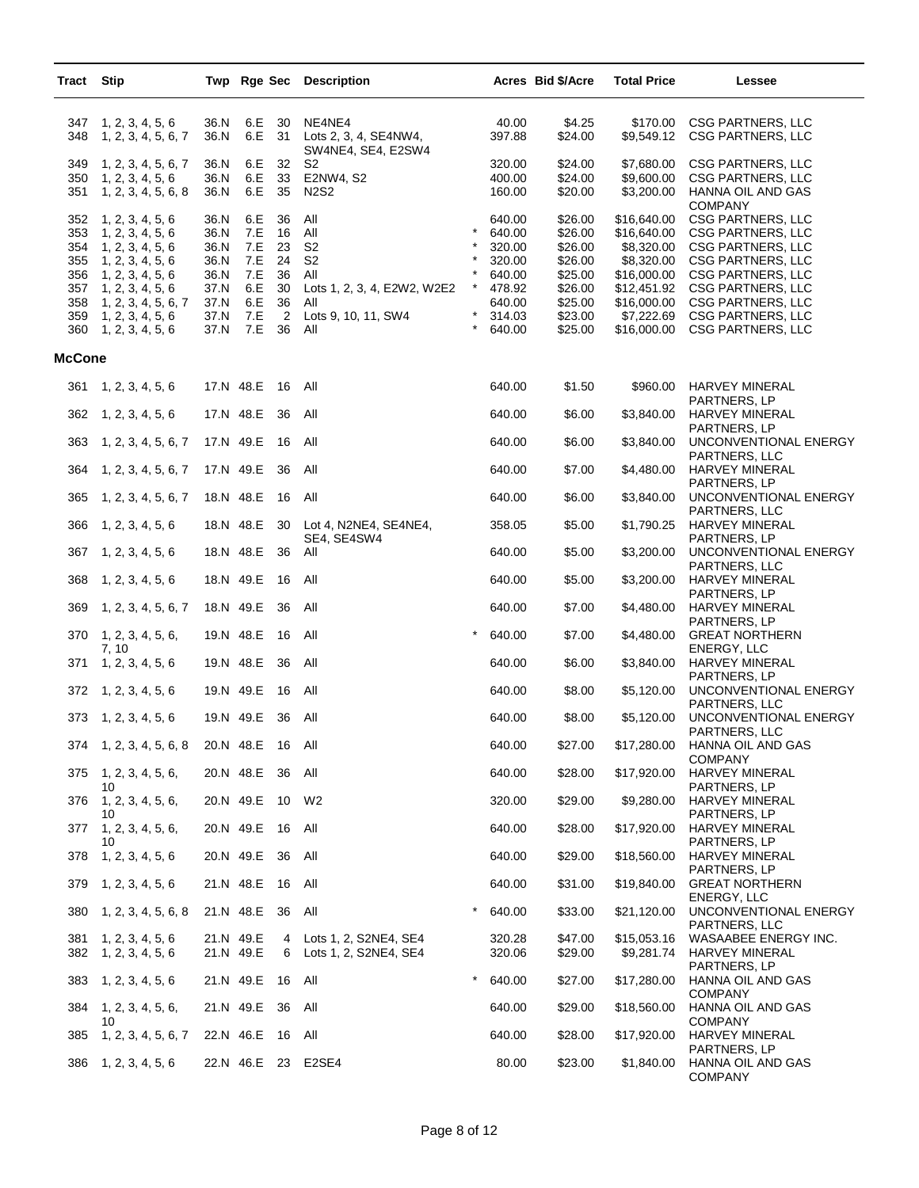| Tract                                                | <b>Stip</b>                                                                                                                                                     |                                                              |                                                      |                                             | Twp Rge Sec Description                                                                                            |                                |                                                                              | Acres Bid \$/Acre                                                                    | <b>Total Price</b>                                                                                                | Lessee                                                                                                                                                                                                         |
|------------------------------------------------------|-----------------------------------------------------------------------------------------------------------------------------------------------------------------|--------------------------------------------------------------|------------------------------------------------------|---------------------------------------------|--------------------------------------------------------------------------------------------------------------------|--------------------------------|------------------------------------------------------------------------------|--------------------------------------------------------------------------------------|-------------------------------------------------------------------------------------------------------------------|----------------------------------------------------------------------------------------------------------------------------------------------------------------------------------------------------------------|
| 347<br>348                                           | 1, 2, 3, 4, 5, 6<br>1, 2, 3, 4, 5, 6, 7                                                                                                                         | 36.N<br>36.N                                                 | 6.E<br>6.E                                           | 30<br>31                                    | NE4NE4<br>Lots 2, 3, 4, SE4NW4,<br>SW4NE4, SE4, E2SW4                                                              |                                | 40.00<br>397.88                                                              | \$4.25<br>\$24.00                                                                    | \$170.00<br>\$9,549.12                                                                                            | <b>CSG PARTNERS, LLC</b><br><b>CSG PARTNERS, LLC</b>                                                                                                                                                           |
| 349<br>350<br>351                                    | 1, 2, 3, 4, 5, 6, 7<br>1, 2, 3, 4, 5, 6<br>1, 2, 3, 4, 5, 6, 8                                                                                                  | 36.N<br>36.N<br>36.N                                         | 6.E<br>6.E<br>6.E                                    | 32<br>33<br>35                              | S2<br>E2NW4, S2<br><b>N2S2</b>                                                                                     |                                | 320.00<br>400.00<br>160.00                                                   | \$24.00<br>\$24.00<br>\$20.00                                                        | \$7,680.00<br>\$9,600.00<br>\$3,200.00                                                                            | CSG PARTNERS, LLC<br>CSG PARTNERS, LLC<br>HANNA OIL AND GAS<br><b>COMPANY</b>                                                                                                                                  |
| 352<br>353<br>354<br>355<br>356<br>357<br>358<br>359 | 1, 2, 3, 4, 5, 6<br>1, 2, 3, 4, 5, 6<br>1, 2, 3, 4, 5, 6<br>1, 2, 3, 4, 5, 6<br>1, 2, 3, 4, 5, 6<br>1, 2, 3, 4, 5, 6<br>1, 2, 3, 4, 5, 6, 7<br>1, 2, 3, 4, 5, 6 | 36.N<br>36.N<br>36.N<br>36.N<br>36.N<br>37.N<br>37.N<br>37.N | 6.E<br>7.E<br>7.E<br>7.E<br>7.E<br>6.E<br>6.E<br>7.E | 36<br>16<br>23<br>24<br>36<br>30<br>36<br>2 | All<br>All<br>S <sub>2</sub><br>S <sub>2</sub><br>All<br>Lots 1, 2, 3, 4, E2W2, W2E2<br>All<br>Lots 9, 10, 11, SW4 | $\star$<br>$^\star$<br>$\star$ | 640.00<br>640.00<br>320.00<br>320.00<br>640.00<br>478.92<br>640.00<br>314.03 | \$26.00<br>\$26.00<br>\$26.00<br>\$26.00<br>\$25.00<br>\$26.00<br>\$25.00<br>\$23.00 | \$16,640.00<br>\$16,640.00<br>\$8,320.00<br>\$8,320.00<br>\$16,000.00<br>\$12,451.92<br>\$16,000.00<br>\$7,222.69 | <b>CSG PARTNERS, LLC</b><br><b>CSG PARTNERS, LLC</b><br><b>CSG PARTNERS, LLC</b><br>CSG PARTNERS, LLC<br><b>CSG PARTNERS, LLC</b><br>CSG PARTNERS, LLC<br><b>CSG PARTNERS, LLC</b><br><b>CSG PARTNERS, LLC</b> |
| 360                                                  | 1, 2, 3, 4, 5, 6                                                                                                                                                | 37.N                                                         | 7.E                                                  | 36                                          | All                                                                                                                |                                | 640.00                                                                       | \$25.00                                                                              | \$16,000.00                                                                                                       | <b>CSG PARTNERS, LLC</b>                                                                                                                                                                                       |
| <b>McCone</b>                                        |                                                                                                                                                                 |                                                              |                                                      |                                             |                                                                                                                    |                                |                                                                              |                                                                                      |                                                                                                                   |                                                                                                                                                                                                                |
| 361                                                  | 1, 2, 3, 4, 5, 6                                                                                                                                                |                                                              | 17.N 48.E                                            | 16                                          | All                                                                                                                |                                | 640.00                                                                       | \$1.50                                                                               | \$960.00                                                                                                          | HARVEY MINERAL<br>PARTNERS, LP                                                                                                                                                                                 |
| 362                                                  | 1, 2, 3, 4, 5, 6                                                                                                                                                |                                                              | 17.N 48.E                                            | 36                                          | All                                                                                                                |                                | 640.00                                                                       | \$6.00                                                                               | \$3,840.00                                                                                                        | <b>HARVEY MINERAL</b><br>PARTNERS, LP                                                                                                                                                                          |
| 363                                                  | 1, 2, 3, 4, 5, 6, 7                                                                                                                                             | 17.N 49.E                                                    |                                                      | 16                                          | All                                                                                                                |                                | 640.00                                                                       | \$6.00                                                                               | \$3,840.00                                                                                                        | UNCONVENTIONAL ENERGY<br>PARTNERS, LLC                                                                                                                                                                         |
| 364                                                  | 1, 2, 3, 4, 5, 6, 7                                                                                                                                             | 17.N 49.E                                                    |                                                      | 36                                          | All                                                                                                                |                                | 640.00                                                                       | \$7.00                                                                               | \$4,480.00                                                                                                        | HARVEY MINERAL<br>PARTNERS, LP                                                                                                                                                                                 |
| 365                                                  | 1, 2, 3, 4, 5, 6, 7                                                                                                                                             | 18.N 48.E                                                    |                                                      | 16                                          | All                                                                                                                |                                | 640.00                                                                       | \$6.00                                                                               | \$3,840.00                                                                                                        | UNCONVENTIONAL ENERGY<br>PARTNERS, LLC                                                                                                                                                                         |
| 366                                                  | 1, 2, 3, 4, 5, 6                                                                                                                                                |                                                              | 18.N 48.E                                            | 30                                          | Lot 4, N2NE4, SE4NE4,<br>SE4, SE4SW4                                                                               |                                | 358.05                                                                       | \$5.00                                                                               | \$1,790.25                                                                                                        | HARVEY MINERAL<br>PARTNERS, LP                                                                                                                                                                                 |
| 367                                                  | 1, 2, 3, 4, 5, 6                                                                                                                                                | 18.N 48.E                                                    |                                                      | 36                                          | All                                                                                                                |                                | 640.00                                                                       | \$5.00                                                                               | \$3,200.00                                                                                                        | UNCONVENTIONAL ENERGY<br>PARTNERS, LLC                                                                                                                                                                         |
| 368                                                  | 1, 2, 3, 4, 5, 6                                                                                                                                                |                                                              | 18.N 49.E                                            | 16                                          | All                                                                                                                |                                | 640.00                                                                       | \$5.00                                                                               | \$3,200.00                                                                                                        | HARVEY MINERAL<br>PARTNERS, LP                                                                                                                                                                                 |
| 369                                                  | 1, 2, 3, 4, 5, 6, 7                                                                                                                                             | 18.N 49.E                                                    |                                                      | 36                                          | All                                                                                                                |                                | 640.00                                                                       | \$7.00                                                                               | \$4,480.00                                                                                                        | HARVEY MINERAL<br>PARTNERS, LP                                                                                                                                                                                 |
| 370                                                  | 1, 2, 3, 4, 5, 6,<br>7, 10                                                                                                                                      |                                                              | 19.N 48.E                                            | 16                                          | All                                                                                                                | $\star$                        | 640.00                                                                       | \$7.00                                                                               | \$4,480.00                                                                                                        | <b>GREAT NORTHERN</b><br>ENERGY, LLC                                                                                                                                                                           |
| 371                                                  | 1, 2, 3, 4, 5, 6                                                                                                                                                | 19.N 48.E                                                    |                                                      | 36                                          | All                                                                                                                |                                | 640.00                                                                       | \$6.00                                                                               | \$3,840.00                                                                                                        | HARVEY MINERAL<br>PARTNERS, LP                                                                                                                                                                                 |
| 372                                                  | 1, 2, 3, 4, 5, 6                                                                                                                                                | 19.N 49.E                                                    |                                                      | 16                                          | All                                                                                                                |                                | 640.00                                                                       | \$8.00                                                                               | \$5,120.00                                                                                                        | UNCONVENTIONAL ENERGY<br>PARTNERS, LLC                                                                                                                                                                         |
| 373                                                  | 1, 2, 3, 4, 5, 6                                                                                                                                                |                                                              | 19.N 49.E                                            | - 36                                        | All                                                                                                                |                                | 640.00                                                                       | \$8.00                                                                               | \$5,120.00                                                                                                        | UNCONVENTIONAL ENERGY<br>PARTNERS, LLC                                                                                                                                                                         |
|                                                      | 374 1, 2, 3, 4, 5, 6, 8                                                                                                                                         |                                                              | 20.N 48.E                                            | 16 All                                      |                                                                                                                    |                                | 640.00                                                                       | \$27.00                                                                              | \$17,280.00                                                                                                       | HANNA OIL AND GAS<br><b>COMPANY</b>                                                                                                                                                                            |
| 375                                                  | 1, 2, 3, 4, 5, 6,<br>10                                                                                                                                         |                                                              | 20.N 48.E                                            | - 36                                        | All                                                                                                                |                                | 640.00                                                                       | \$28.00                                                                              | \$17,920.00                                                                                                       | HARVEY MINERAL<br>PARTNERS, LP                                                                                                                                                                                 |
| 376                                                  | 1, 2, 3, 4, 5, 6,<br>10                                                                                                                                         |                                                              | 20.N 49.E                                            | 10                                          | W2                                                                                                                 |                                | 320.00                                                                       | \$29.00                                                                              | \$9,280.00                                                                                                        | HARVEY MINERAL<br>PARTNERS, LP                                                                                                                                                                                 |
| 377                                                  | 1, 2, 3, 4, 5, 6,<br>10                                                                                                                                         |                                                              | 20.N 49.E                                            | - 16                                        | All                                                                                                                |                                | 640.00                                                                       | \$28.00                                                                              | \$17,920.00                                                                                                       | HARVEY MINERAL<br>PARTNERS, LP                                                                                                                                                                                 |
| 378                                                  | 1, 2, 3, 4, 5, 6                                                                                                                                                |                                                              | 20.N 49.E                                            | - 36                                        | All                                                                                                                |                                | 640.00                                                                       | \$29.00                                                                              | \$18,560.00                                                                                                       | HARVEY MINERAL<br>PARTNERS, LP                                                                                                                                                                                 |
| 379                                                  | 1, 2, 3, 4, 5, 6                                                                                                                                                |                                                              | 21.N 48.E                                            | - 16                                        | All                                                                                                                |                                | 640.00                                                                       | \$31.00                                                                              | \$19,840.00                                                                                                       | <b>GREAT NORTHERN</b><br>ENERGY, LLC                                                                                                                                                                           |
| 380                                                  | 1, 2, 3, 4, 5, 6, 8                                                                                                                                             |                                                              | 21.N 48.E                                            | - 36                                        | All                                                                                                                | $\star$                        | 640.00                                                                       | \$33.00                                                                              | \$21,120.00                                                                                                       | UNCONVENTIONAL ENERGY<br>PARTNERS, LLC                                                                                                                                                                         |
| 381<br>382                                           | 1, 2, 3, 4, 5, 6<br>1, 2, 3, 4, 5, 6                                                                                                                            | 21.N 49.E                                                    | 21.N 49.E                                            | 4<br>6                                      | Lots 1, 2, S2NE4, SE4<br>Lots 1, 2, S2NE4, SE4                                                                     |                                | 320.28<br>320.06                                                             | \$47.00<br>\$29.00                                                                   | \$15,053.16<br>\$9,281.74                                                                                         | WASAABEE ENERGY INC.<br>HARVEY MINERAL                                                                                                                                                                         |
| 383                                                  | 1, 2, 3, 4, 5, 6                                                                                                                                                |                                                              | 21.N 49.E                                            | 16 All                                      |                                                                                                                    | $\star$                        | 640.00                                                                       | \$27.00                                                                              | \$17,280.00                                                                                                       | PARTNERS, LP<br>HANNA OIL AND GAS                                                                                                                                                                              |
| 384                                                  | 1, 2, 3, 4, 5, 6,                                                                                                                                               |                                                              | 21.N 49.E 36                                         |                                             | All                                                                                                                |                                | 640.00                                                                       | \$29.00                                                                              | \$18,560.00                                                                                                       | <b>COMPANY</b><br>HANNA OIL AND GAS                                                                                                                                                                            |
| 385                                                  | 10<br>1, 2, 3, 4, 5, 6, 7                                                                                                                                       |                                                              | 22.N 46.E                                            | - 16                                        | All                                                                                                                |                                | 640.00                                                                       | \$28.00                                                                              | \$17,920.00                                                                                                       | <b>COMPANY</b><br>HARVEY MINERAL                                                                                                                                                                               |
| 386                                                  | 1, 2, 3, 4, 5, 6                                                                                                                                                |                                                              |                                                      |                                             | 22.N 46.E 23 E2SE4                                                                                                 |                                | 80.00                                                                        | \$23.00                                                                              | \$1,840.00                                                                                                        | PARTNERS, LP<br>HANNA OIL AND GAS<br><b>COMPANY</b>                                                                                                                                                            |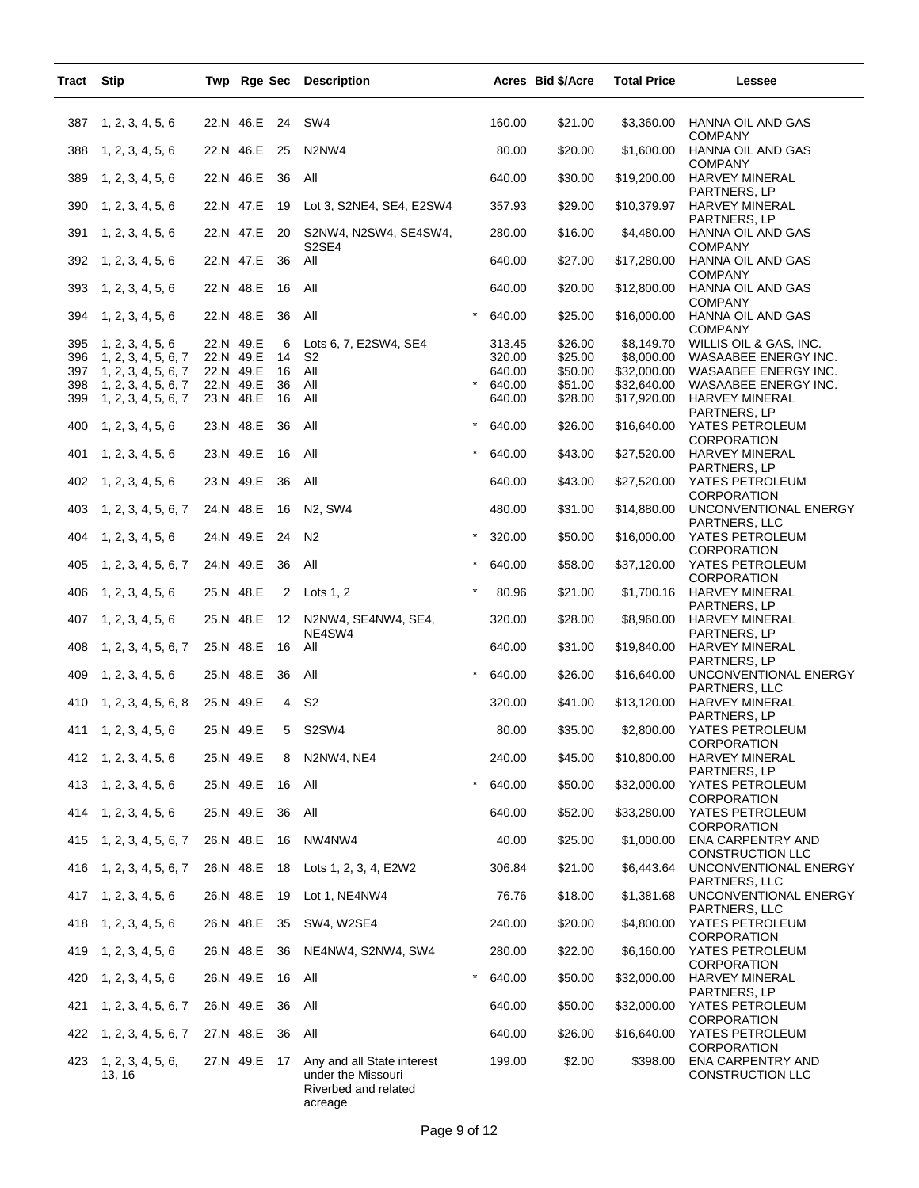| Tract | <b>Stip</b>                 |           |              |        | Twp Rge Sec Description                                                             |         |        | Acres Bid \$/Acre | <b>Total Price</b> | <b>Lessee</b>                                         |
|-------|-----------------------------|-----------|--------------|--------|-------------------------------------------------------------------------------------|---------|--------|-------------------|--------------------|-------------------------------------------------------|
| 387   | 1, 2, 3, 4, 5, 6            |           | 22.N 46.E    | 24     | SW <sub>4</sub>                                                                     |         | 160.00 | \$21.00           | \$3,360.00         | HANNA OIL AND GAS                                     |
| 388   | 1, 2, 3, 4, 5, 6            |           | 22.N 46.E    | 25     | N2NW4                                                                               |         | 80.00  | \$20.00           | \$1,600.00         | <b>COMPANY</b><br>HANNA OIL AND GAS<br><b>COMPANY</b> |
| 389   | 1, 2, 3, 4, 5, 6            | 22.N 46.E |              | 36     | All                                                                                 |         | 640.00 | \$30.00           | \$19,200.00        | <b>HARVEY MINERAL</b><br>PARTNERS, LP                 |
| 390   | 1, 2, 3, 4, 5, 6            |           | 22.N 47.E    | 19     | Lot 3, S2NE4, SE4, E2SW4                                                            |         | 357.93 | \$29.00           | \$10,379.97        | HARVEY MINERAL<br>PARTNERS, LP                        |
| 391   | 1, 2, 3, 4, 5, 6            |           | 22.N 47.E    | 20     | S2NW4, N2SW4, SE4SW4,<br>S <sub>2</sub> SE <sub>4</sub>                             |         | 280.00 | \$16.00           | \$4,480.00         | HANNA OIL AND GAS<br><b>COMPANY</b>                   |
| 392   | 1, 2, 3, 4, 5, 6            | 22.N 47.E |              | 36     | All                                                                                 |         | 640.00 | \$27.00           | \$17,280.00        | HANNA OIL AND GAS<br><b>COMPANY</b>                   |
| 393   | 1, 2, 3, 4, 5, 6            | 22.N 48.E |              | 16     | All                                                                                 |         | 640.00 | \$20.00           | \$12,800.00        | HANNA OIL AND GAS<br><b>COMPANY</b>                   |
| 394   | 1, 2, 3, 4, 5, 6            | 22.N 48.E |              | 36     | All                                                                                 |         | 640.00 | \$25.00           | \$16,000.00        | HANNA OIL AND GAS<br><b>COMPANY</b>                   |
| 395   | 1, 2, 3, 4, 5, 6            | 22.N 49.E |              | 6      | Lots 6, 7, E2SW4, SE4                                                               |         | 313.45 | \$26.00           | \$8,149.70         | WILLIS OIL & GAS, INC.                                |
| 396   | 1, 2, 3, 4, 5, 6, 7         | 22.N 49.E |              | 14     | S <sub>2</sub>                                                                      |         | 320.00 | \$25.00           | \$8,000.00         | WASAABEE ENERGY INC.                                  |
| 397   | 1, 2, 3, 4, 5, 6, 7         |           | 22.N 49.E    | 16     | All                                                                                 |         | 640.00 | \$50.00           | \$32,000.00        | WASAABEE ENERGY INC.                                  |
| 398   | 1, 2, 3, 4, 5, 6, 7         | 22.N 49.E |              | 36     | All                                                                                 |         | 640.00 | \$51.00           | \$32,640.00        | WASAABEE ENERGY INC.                                  |
| 399   | 1, 2, 3, 4, 5, 6, 7         | 23.N 48.E |              | 16     | All                                                                                 |         | 640.00 | \$28.00           | \$17,920.00        | <b>HARVEY MINERAL</b><br>PARTNERS, LP                 |
| 400   | 1, 2, 3, 4, 5, 6            | 23.N 48.E |              | 36     | All                                                                                 | $\star$ | 640.00 | \$26.00           | \$16,640.00        | YATES PETROLEUM<br><b>CORPORATION</b>                 |
| 401   | 1, 2, 3, 4, 5, 6            | 23.N 49.E |              | 16     | All                                                                                 | $\star$ | 640.00 | \$43.00           | \$27,520.00        | HARVEY MINERAL<br>PARTNERS, LP                        |
| 402   | 1, 2, 3, 4, 5, 6            | 23.N 49.E |              | 36     | All                                                                                 |         | 640.00 | \$43.00           | \$27,520.00        | YATES PETROLEUM<br><b>CORPORATION</b>                 |
| 403   | 1, 2, 3, 4, 5, 6, 7         | 24.N 48.E |              | 16     | N2, SW4                                                                             |         | 480.00 | \$31.00           | \$14,880.00        | UNCONVENTIONAL ENERGY<br>PARTNERS, LLC                |
| 404   | 1, 2, 3, 4, 5, 6            | 24.N 49.E |              | 24     | N <sub>2</sub>                                                                      |         | 320.00 | \$50.00           | \$16,000.00        | YATES PETROLEUM<br>CORPORATION                        |
| 405   | 1, 2, 3, 4, 5, 6, 7         | 24.N 49.E |              | 36     | All                                                                                 |         | 640.00 | \$58.00           | \$37,120.00        | YATES PETROLEUM<br><b>CORPORATION</b>                 |
| 406   | 1, 2, 3, 4, 5, 6            | 25.N 48.E |              | 2      | Lots $1, 2$                                                                         |         | 80.96  | \$21.00           | \$1,700.16         | <b>HARVEY MINERAL</b><br>PARTNERS, LP                 |
| 407   | 1, 2, 3, 4, 5, 6            | 25.N 48.E |              | 12     | N2NW4, SE4NW4, SE4,<br>NE4SW4                                                       |         | 320.00 | \$28.00           | \$8,960.00         | <b>HARVEY MINERAL</b><br>PARTNERS, LP                 |
| 408   | 1, 2, 3, 4, 5, 6, 7         | 25.N 48.E |              | 16     | All                                                                                 |         | 640.00 | \$31.00           | \$19,840.00        | <b>HARVEY MINERAL</b><br>PARTNERS, LP                 |
| 409   | 1, 2, 3, 4, 5, 6            | 25.N 48.E |              | 36     | All                                                                                 |         | 640.00 | \$26.00           | \$16,640.00        | UNCONVENTIONAL ENERGY<br>PARTNERS, LLC                |
| 410   | 1, 2, 3, 4, 5, 6, 8         | 25.N 49.E |              | 4      | S <sub>2</sub>                                                                      |         | 320.00 | \$41.00           | \$13,120.00        | <b>HARVEY MINERAL</b><br>PARTNERS, LP                 |
| 411   | 1, 2, 3, 4, 5, 6            | 25.N 49.E |              | 5      | S2SW4                                                                               |         | 80.00  | \$35.00           | \$2,800.00         | YATES PETROLEUM<br>CORPORATION                        |
|       | 412 1, 2, 3, 4, 5, 6        | 25.N 49.E |              | 8      | N2NW4, NE4                                                                          |         | 240.00 | \$45.00           | \$10,800.00        | HARVEY MINERAL<br>PARTNERS, LP                        |
|       | 413 1, 2, 3, 4, 5, 6        |           | 25.N 49.E    | - 16   | All                                                                                 | $\star$ | 640.00 | \$50.00           | \$32,000.00        | YATES PETROLEUM<br><b>CORPORATION</b>                 |
|       | 414 1, 2, 3, 4, 5, 6        |           | 25.N 49.E    | 36     | All                                                                                 |         | 640.00 | \$52.00           | \$33,280.00        | YATES PETROLEUM<br><b>CORPORATION</b>                 |
| 415   | 1, 2, 3, 4, 5, 6, 7         |           | 26.N 48.E    | - 16   | NW4NW4                                                                              |         | 40.00  | \$25.00           | \$1,000.00         | ENA CARPENTRY AND<br>CONSTRUCTION LLC                 |
| 416   | 1, 2, 3, 4, 5, 6, 7         | 26.N 48.E |              | 18     | Lots 1, 2, 3, 4, E2W2                                                               |         | 306.84 | \$21.00           | \$6,443.64         | UNCONVENTIONAL ENERGY<br>PARTNERS, LLC                |
| 417   | 1, 2, 3, 4, 5, 6            |           | 26.N 48.E    | 19     | Lot 1, NE4NW4                                                                       |         | 76.76  | \$18.00           | \$1,381.68         | UNCONVENTIONAL ENERGY<br>PARTNERS, LLC                |
| 418   | 1, 2, 3, 4, 5, 6            |           | 26.N 48.E    | 35     | SW4, W2SE4                                                                          |         | 240.00 | \$20.00           | \$4,800.00         | YATES PETROLEUM<br><b>CORPORATION</b>                 |
| 419   | 1, 2, 3, 4, 5, 6            |           | 26.N 48.E    | 36     | NE4NW4, S2NW4, SW4                                                                  |         | 280.00 | \$22.00           | \$6,160.00         | YATES PETROLEUM<br><b>CORPORATION</b>                 |
| 420   | 1, 2, 3, 4, 5, 6            |           | 26.N 49.E    | 16 All |                                                                                     |         | 640.00 | \$50.00           | \$32,000.00        | HARVEY MINERAL<br>PARTNERS, LP                        |
| 421   | 1, 2, 3, 4, 5, 6, 7         |           | 26.N 49.E    | 36     | All                                                                                 |         | 640.00 | \$50.00           | \$32,000.00        | YATES PETROLEUM<br><b>CORPORATION</b>                 |
| 422   | 1, 2, 3, 4, 5, 6, 7         |           | 27.N 48.E    | 36     | All                                                                                 |         | 640.00 | \$26.00           | \$16,640.00        | YATES PETROLEUM<br><b>CORPORATION</b>                 |
| 423   | 1, 2, 3, 4, 5, 6,<br>13, 16 |           | 27.N 49.E 17 |        | Any and all State interest<br>under the Missouri<br>Riverbed and related<br>acreage |         | 199.00 | \$2.00            | \$398.00           | ENA CARPENTRY AND<br>CONSTRUCTION LLC                 |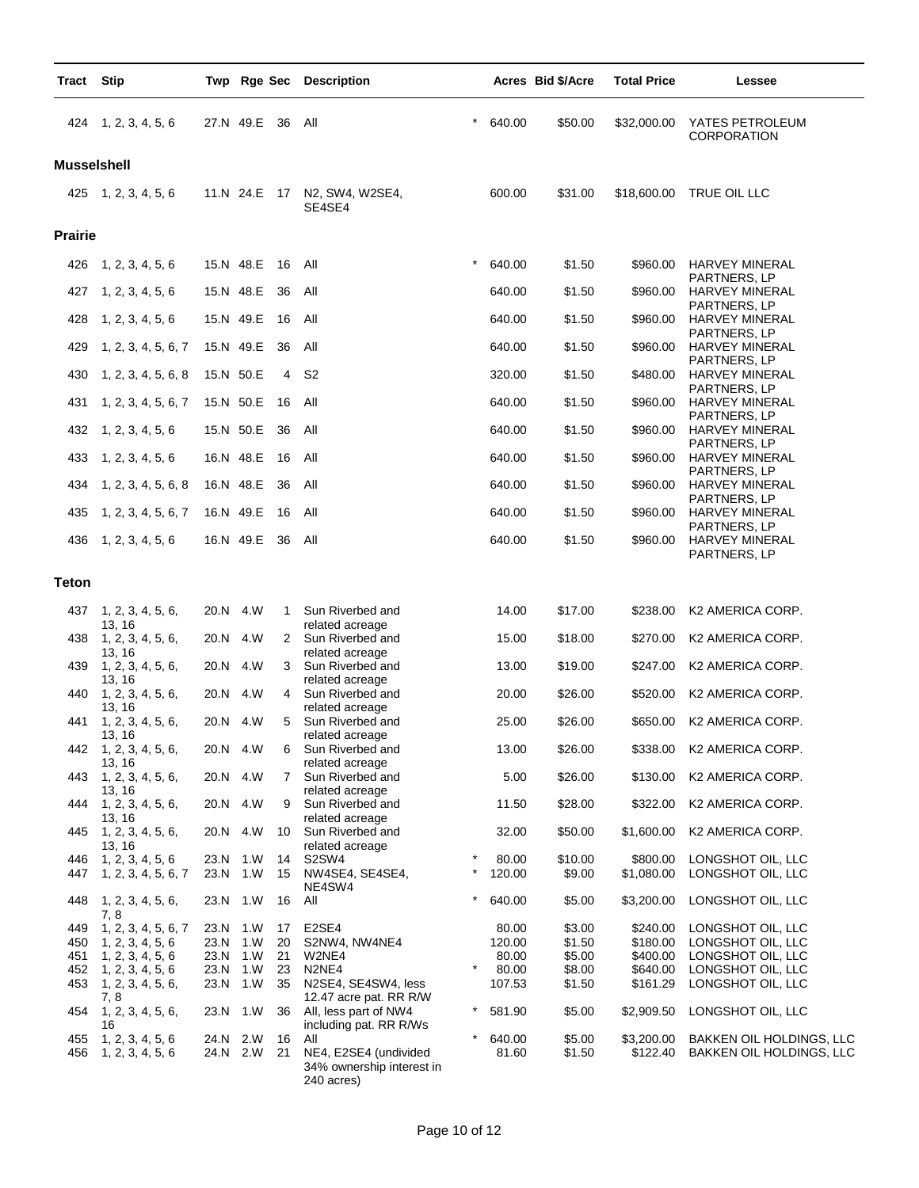| Tract              | <b>Stip</b>                             |      |                      |          | Twp Rge Sec Description                                          |            |                 | Acres Bid \$/Acre | <b>Total Price</b>     | Lessee                                 |
|--------------------|-----------------------------------------|------|----------------------|----------|------------------------------------------------------------------|------------|-----------------|-------------------|------------------------|----------------------------------------|
|                    | 424 1, 2, 3, 4, 5, 6                    |      | 27.N 49.E            | 36       | All                                                              | *          | 640.00          | \$50.00           | \$32,000.00            | YATES PETROLEUM<br><b>CORPORATION</b>  |
| <b>Musselshell</b> |                                         |      |                      |          |                                                                  |            |                 |                   |                        |                                        |
|                    | 425 1, 2, 3, 4, 5, 6                    |      |                      |          | 11.N 24.E 17 N2, SW4, W2SE4,<br>SE4SE4                           |            | 600.00          | \$31.00           | \$18,600.00            | TRUE OIL LLC                           |
| <b>Prairie</b>     |                                         |      |                      |          |                                                                  |            |                 |                   |                        |                                        |
| 426                | 1, 2, 3, 4, 5, 6                        |      | 15.N 48.E            | 16       | All                                                              | $\star$    | 640.00          | \$1.50            | \$960.00               | HARVEY MINERAL                         |
| 427                | 1, 2, 3, 4, 5, 6                        |      | 15.N 48.E            | 36       | All                                                              |            | 640.00          | \$1.50            | \$960.00               | PARTNERS, LP<br><b>HARVEY MINERAL</b>  |
| 428                | 1, 2, 3, 4, 5, 6                        |      | 15.N 49.E            | 16       | All                                                              |            | 640.00          | \$1.50            | \$960.00               | PARTNERS, LP<br><b>HARVEY MINERAL</b>  |
| 429                | 1, 2, 3, 4, 5, 6, 7                     |      | 15.N 49.E            | 36       | All                                                              |            | 640.00          | \$1.50            | \$960.00               | PARTNERS, LP<br><b>HARVEY MINERAL</b>  |
| 430                | 1, 2, 3, 4, 5, 6, 8                     |      | 15.N 50.E            | 4        | S <sub>2</sub>                                                   |            | 320.00          | \$1.50            | \$480.00               | PARTNERS, LP<br><b>HARVEY MINERAL</b>  |
|                    |                                         |      |                      |          |                                                                  |            |                 |                   |                        | PARTNERS, LP                           |
| 431                | 1, 2, 3, 4, 5, 6, 7                     |      | 15.N 50.E            | 16       | All                                                              |            | 640.00          | \$1.50            | \$960.00               | <b>HARVEY MINERAL</b><br>PARTNERS, LP  |
| 432                | 1, 2, 3, 4, 5, 6                        |      | 15.N 50.E            | 36       | All                                                              |            | 640.00          | \$1.50            | \$960.00               | <b>HARVEY MINERAL</b><br>PARTNERS, LP  |
| 433                | 1, 2, 3, 4, 5, 6                        |      | 16.N 48.E            | 16       | All                                                              |            | 640.00          | \$1.50            | \$960.00               | <b>HARVEY MINERAL</b><br>PARTNERS, LP  |
| 434                | 1, 2, 3, 4, 5, 6, 8                     |      | 16.N 48.E            | 36       | All                                                              |            | 640.00          | \$1.50            | \$960.00               | <b>HARVEY MINERAL</b><br>PARTNERS, LP  |
| 435                | 1, 2, 3, 4, 5, 6, 7                     |      | 16.N 49.E            | 16       | All                                                              |            | 640.00          | \$1.50            | \$960.00               | <b>HARVEY MINERAL</b><br>PARTNERS, LP  |
| 436                | 1, 2, 3, 4, 5, 6                        |      | 16.N 49.E            | 36       | All                                                              |            | 640.00          | \$1.50            | \$960.00               | <b>HARVEY MINERAL</b><br>PARTNERS, LP  |
| <b>Teton</b>       |                                         |      |                      |          |                                                                  |            |                 |                   |                        |                                        |
| 437                | 1, 2, 3, 4, 5, 6,                       |      | 20.N 4.W             | 1        | Sun Riverbed and                                                 |            | 14.00           | \$17.00           | \$238.00               | K2 AMERICA CORP.                       |
| 438                | 13, 16<br>1, 2, 3, 4, 5, 6,             | 20.N | 4.W                  |          | related acreage<br>2 Sun Riverbed and                            |            | 15.00           | \$18.00           | \$270.00               | K2 AMERICA CORP.                       |
| 439                | 13, 16<br>1, 2, 3, 4, 5, 6,             | 20.N | 4.W                  | 3        | related acreage<br>Sun Riverbed and                              |            | 13.00           | \$19.00           | \$247.00               | K2 AMERICA CORP.                       |
| 440                | 13, 16<br>1, 2, 3, 4, 5, 6,             | 20.N | 4.W                  | 4        | related acreage<br>Sun Riverbed and                              |            | 20.00           | \$26.00           | \$520.00               | K2 AMERICA CORP.                       |
| 441                | 13, 16<br>1, 2, 3, 4, 5, 6,             |      | 20.N 4.W             | 5        | related acreage<br>Sun Riverbed and                              |            | 25.00           | \$26.00           | \$650.00               | K2 AMERICA CORP.                       |
|                    | 13, 16                                  |      |                      |          | related acreage                                                  |            |                 | \$26.00           |                        |                                        |
|                    | 442 1, 2, 3, 4, 5, 6,<br>13, 16         |      | 20.N 4.W             | 6        | Sun Riverbed and<br>related acreage                              |            | 13.00           |                   | \$338.00               | K2 AMERICA CORP.                       |
| 443                | 1, 2, 3, 4, 5, 6,<br>13, 16             |      | 20.N 4.W             | 7        | Sun Riverbed and<br>related acreage                              |            | 5.00            | \$26.00           | \$130.00               | K2 AMERICA CORP.                       |
| 444                | 1, 2, 3, 4, 5, 6,<br>13, 16             |      | 20.N 4.W             | 9        | Sun Riverbed and<br>related acreage                              |            | 11.50           | \$28.00           | \$322.00               | K2 AMERICA CORP.                       |
| 445                | 1, 2, 3, 4, 5, 6,<br>13, 16             |      | 20.N 4.W             | 10       | Sun Riverbed and<br>related acreage                              |            | 32.00           | \$50.00           | \$1,600.00             | K2 AMERICA CORP.                       |
| 446<br>447         | 1, 2, 3, 4, 5, 6<br>1, 2, 3, 4, 5, 6, 7 | 23.N | 23.N 1.W<br>1.W      | 14<br>15 | S2SW4<br>NW4SE4, SE4SE4,                                         |            | 80.00<br>120.00 | \$10.00<br>\$9.00 | \$800.00<br>\$1,080.00 | LONGSHOT OIL, LLC<br>LONGSHOT OIL, LLC |
| 448                | 1, 2, 3, 4, 5, 6,                       | 23.N | 1.W                  | 16       | NE4SW4<br>All                                                    | $^{\star}$ | 640.00          | \$5.00            | \$3,200.00             | LONGSHOT OIL, LLC                      |
| 449                | 7,8<br>1, 2, 3, 4, 5, 6, 7              |      | 23.N 1.W             | 17       | E2SE4                                                            |            | 80.00           | \$3.00            | \$240.00               | LONGSHOT OIL, LLC                      |
| 450                | 1, 2, 3, 4, 5, 6                        |      | 23.N 1.W             | 20       | S2NW4, NW4NE4                                                    |            | 120.00          | \$1.50            | \$180.00               | LONGSHOT OIL, LLC                      |
| 451<br>452         | 1, 2, 3, 4, 5, 6<br>1, 2, 3, 4, 5, 6    |      | 23.N 1.W<br>23.N 1.W | 21<br>23 | W2NE4<br>N2NE4                                                   | *          | 80.00<br>80.00  | \$5.00<br>\$8.00  | \$400.00<br>\$640.00   | LONGSHOT OIL, LLC<br>LONGSHOT OIL, LLC |
| 453                | 1, 2, 3, 4, 5, 6,                       | 23.N | 1.W                  | 35       | N2SE4, SE4SW4, less                                              |            | 107.53          | \$1.50            | \$161.29               | LONGSHOT OIL, LLC                      |
| 454                | 7, 8<br>1, 2, 3, 4, 5, 6,               | 23.N | 1.W                  | 36       | 12.47 acre pat. RR R/W<br>All, less part of NW4                  | $\star$    | 581.90          | \$5.00            | \$2,909.50             | LONGSHOT OIL, LLC                      |
| 455                | 16<br>1, 2, 3, 4, 5, 6                  |      | 24.N 2.W             | 16       | including pat. RR R/Ws<br>All                                    | *          | 640.00          | \$5.00            | \$3,200.00             | BAKKEN OIL HOLDINGS, LLC               |
| 456                | 1, 2, 3, 4, 5, 6                        |      | 24.N 2.W             | 21       | NE4, E2SE4 (undivided<br>34% ownership interest in<br>240 acres) |            | 81.60           | \$1.50            | \$122.40               | BAKKEN OIL HOLDINGS, LLC               |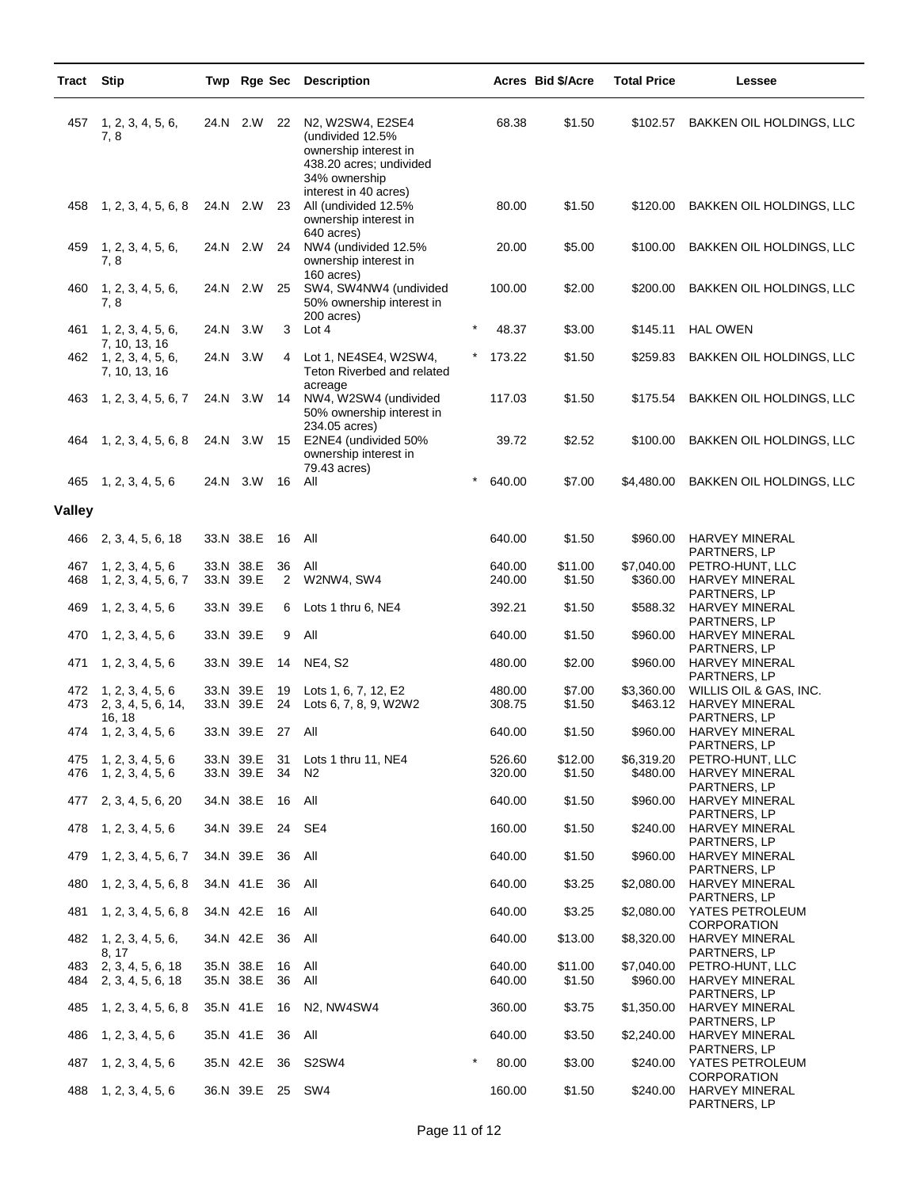| Tract      | <b>Stip</b>                                             |                        |          | Twp Rge Sec Description                                                                                   |         |                  | Acres Bid \$/Acre | <b>Total Price</b>     | Lessee                                                                          |
|------------|---------------------------------------------------------|------------------------|----------|-----------------------------------------------------------------------------------------------------------|---------|------------------|-------------------|------------------------|---------------------------------------------------------------------------------|
| 457        | 1, 2, 3, 4, 5, 6,<br>7, 8                               | 24.N 2.W               | 22       | N2, W2SW4, E2SE4<br>(undivided 12.5%<br>ownership interest in<br>438.20 acres; undivided<br>34% ownership |         | 68.38            | \$1.50            | \$102.57               | BAKKEN OIL HOLDINGS, LLC                                                        |
| 458        | 1, 2, 3, 4, 5, 6, 8                                     | 24.N 2.W               | 23       | interest in 40 acres)<br>All (undivided 12.5%<br>ownership interest in                                    |         | 80.00            | \$1.50            | \$120.00               | BAKKEN OIL HOLDINGS, LLC                                                        |
| 459        | 1, 2, 3, 4, 5, 6,<br>7,8                                | 24.N 2.W               | 24       | 640 acres)<br>NW4 (undivided 12.5%<br>ownership interest in                                               |         | 20.00            | \$5.00            | \$100.00               | BAKKEN OIL HOLDINGS, LLC                                                        |
| 460        | 1, 2, 3, 4, 5, 6,<br>7,8                                | 24.N 2.W               | 25       | 160 acres)<br>SW4, SW4NW4 (undivided<br>50% ownership interest in<br>200 acres)                           |         | 100.00           | \$2.00            | \$200.00               | BAKKEN OIL HOLDINGS, LLC                                                        |
| 461        | 1, 2, 3, 4, 5, 6,                                       | 24.N 3.W               | 3        | Lot 4                                                                                                     | $\star$ | 48.37            | \$3.00            | \$145.11               | <b>HAL OWEN</b>                                                                 |
|            | 7, 10, 13, 16<br>462 1, 2, 3, 4, 5, 6,<br>7, 10, 13, 16 | 24.N 3.W               | 4        | Lot 1, NE4SE4, W2SW4,<br>Teton Riverbed and related<br>acreage                                            |         | 173.22           | \$1.50            | \$259.83               | BAKKEN OIL HOLDINGS, LLC                                                        |
| 463        | 1, 2, 3, 4, 5, 6, 7                                     | 24.N 3.W               | 14       | NW4, W2SW4 (undivided<br>50% ownership interest in<br>234.05 acres)                                       |         | 117.03           | \$1.50            | \$175.54               | BAKKEN OIL HOLDINGS, LLC                                                        |
| 464        | 1, 2, 3, 4, 5, 6, 8                                     | 24.N 3.W               | 15       | E2NE4 (undivided 50%<br>ownership interest in<br>79.43 acres)                                             |         | 39.72            | \$2.52            | \$100.00               | BAKKEN OIL HOLDINGS, LLC                                                        |
| 465        | 1, 2, 3, 4, 5, 6                                        | 24.N 3.W               | 16       | All                                                                                                       |         | 640.00           | \$7.00            | \$4,480.00             | BAKKEN OIL HOLDINGS, LLC                                                        |
| Valley     |                                                         |                        |          |                                                                                                           |         |                  |                   |                        |                                                                                 |
| 466        | 2, 3, 4, 5, 6, 18                                       | 33.N 38.E              | 16       | All                                                                                                       |         | 640.00           | \$1.50            | \$960.00               | <b>HARVEY MINERAL</b><br>PARTNERS, LP                                           |
| 467<br>468 | 1, 2, 3, 4, 5, 6<br>1, 2, 3, 4, 5, 6, 7                 | 33.N 38.E<br>33.N 39.E | 36<br>2  | All<br>W2NW4, SW4                                                                                         |         | 640.00<br>240.00 | \$11.00<br>\$1.50 | \$7,040.00<br>\$360.00 | PETRO-HUNT, LLC<br>HARVEY MINERAL<br>PARTNERS, LP                               |
| 469        | 1, 2, 3, 4, 5, 6                                        | 33.N 39.E              | 6        | Lots 1 thru 6, NE4                                                                                        |         | 392.21           | \$1.50            | \$588.32               | HARVEY MINERAL<br>PARTNERS, LP                                                  |
| 470        | 1, 2, 3, 4, 5, 6                                        | 33.N 39.E              | 9        | All                                                                                                       |         | 640.00           | \$1.50            | \$960.00               | HARVEY MINERAL                                                                  |
| 471        | 1, 2, 3, 4, 5, 6                                        | 33.N 39.E              | 14       | <b>NE4, S2</b>                                                                                            |         | 480.00           | \$2.00            | \$960.00               | PARTNERS, LP<br><b>HARVEY MINERAL</b>                                           |
| 472<br>473 | 1, 2, 3, 4, 5, 6<br>2, 3, 4, 5, 6, 14,<br>16, 18        | 33.N 39.E<br>33.N 39.E | 19<br>24 | Lots 1, 6, 7, 12, E2<br>Lots 6, 7, 8, 9, W2W2                                                             |         | 480.00<br>308.75 | \$7.00<br>\$1.50  | \$3,360.00<br>\$463.12 | PARTNERS, LP<br>WILLIS OIL & GAS, INC.<br><b>HARVEY MINERAL</b><br>PARTNERS, LP |
| 474        | 1, 2, 3, 4, 5, 6                                        | 33.N 39.E 27           |          | All                                                                                                       |         | 640.00           | \$1.50            | \$960.00               | <b>HARVEY MINERAL</b>                                                           |
| 475<br>476 | 1, 2, 3, 4, 5, 6<br>1, 2, 3, 4, 5, 6                    | 33.N 39.E<br>33.N 39.E | 31<br>34 | Lots 1 thru 11, NE4<br>N2                                                                                 |         | 526.60<br>320.00 | \$12.00<br>\$1.50 | \$6,319.20<br>\$480.00 | PARTNERS, LP<br>PETRO-HUNT, LLC<br>HARVEY MINERAL                               |
| 477        | 2, 3, 4, 5, 6, 20                                       | 34.N 38.E              | 16       | All                                                                                                       |         | 640.00           | \$1.50            | \$960.00               | PARTNERS, LP<br>HARVEY MINERAL                                                  |
| 478        | 1, 2, 3, 4, 5, 6                                        | 34.N 39.E              | 24       | SE4                                                                                                       |         | 160.00           | \$1.50            | \$240.00               | PARTNERS, LP<br>HARVEY MINERAL                                                  |
| 479        | 1, 2, 3, 4, 5, 6, 7                                     | 34.N 39.E              | 36       | All                                                                                                       |         | 640.00           | \$1.50            | \$960.00               | PARTNERS, LP<br>HARVEY MINERAL                                                  |
| 480        | 1, 2, 3, 4, 5, 6, 8                                     | 34.N 41.E              | 36       | All                                                                                                       |         | 640.00           | \$3.25            | \$2,080.00             | PARTNERS, LP<br>HARVEY MINERAL                                                  |
| 481        | 1, 2, 3, 4, 5, 6, 8                                     | 34.N 42.E              | 16       | All                                                                                                       |         | 640.00           | \$3.25            | \$2,080.00             | PARTNERS, LP<br>YATES PETROLEUM                                                 |
| 482        | 1, 2, 3, 4, 5, 6,                                       | 34.N 42.E              | 36       | All                                                                                                       |         | 640.00           | \$13.00           | \$8,320.00             | <b>CORPORATION</b><br><b>HARVEY MINERAL</b>                                     |
| 483<br>484 | 8, 17<br>2, 3, 4, 5, 6, 18<br>2, 3, 4, 5, 6, 18         | 35.N 38.E<br>35.N 38.E | 16<br>36 | All<br>All                                                                                                |         | 640.00<br>640.00 | \$11.00<br>\$1.50 | \$7,040.00<br>\$960.00 | PARTNERS, LP<br>PETRO-HUNT, LLC<br><b>HARVEY MINERAL</b>                        |
| 485        | 1, 2, 3, 4, 5, 6, 8                                     | 35.N 41.E              | 16       | N2, NW4SW4                                                                                                |         | 360.00           | \$3.75            | \$1,350.00             | PARTNERS, LP<br>HARVEY MINERAL                                                  |
| 486        | 1, 2, 3, 4, 5, 6                                        | 35.N 41.E              | 36       | All                                                                                                       |         | 640.00           | \$3.50            | \$2,240.00             | PARTNERS, LP<br>HARVEY MINERAL                                                  |
| 487        | 1, 2, 3, 4, 5, 6                                        | 35.N 42.E              | 36       | S2SW4                                                                                                     | $\star$ | 80.00            | \$3.00            | \$240.00               | PARTNERS, LP<br>YATES PETROLEUM                                                 |
| 488        | 1, 2, 3, 4, 5, 6                                        | 36.N 39.E 25 SW4       |          |                                                                                                           |         | 160.00           | \$1.50            | \$240.00               | <b>CORPORATION</b><br>HARVEY MINERAL<br>PARTNERS, LP                            |

÷,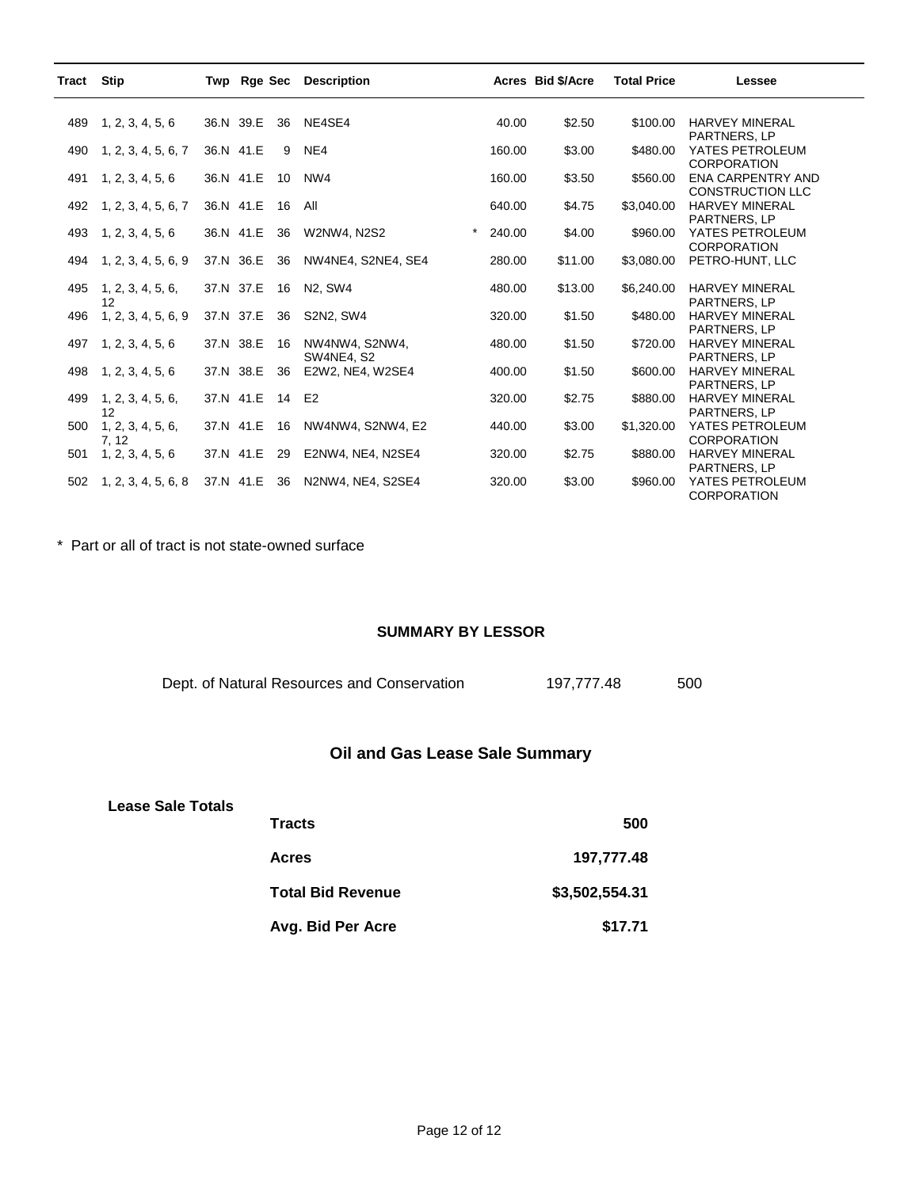| Tract | <b>Stip</b>         | Twp       |              |    | Rge Sec Description                   |                   | Acres Bid \$/Acre | <b>Total Price</b> | Lessee                                       |
|-------|---------------------|-----------|--------------|----|---------------------------------------|-------------------|-------------------|--------------------|----------------------------------------------|
| 489   | 1, 2, 3, 4, 5, 6    |           | 36.N 39.E    | 36 | NE4SE4                                | 40.00             | \$2.50            | \$100.00           | <b>HARVEY MINERAL</b>                        |
|       |                     |           |              |    |                                       |                   |                   |                    | <b>PARTNERS, LP</b>                          |
| 490   | 1, 2, 3, 4, 5, 6, 7 | 36.N 41.E |              | 9  | NE4                                   | 160.00            | \$3.00            | \$480.00           | YATES PETROLEUM<br><b>CORPORATION</b>        |
| 491   | 1, 2, 3, 4, 5, 6    | 36.N 41.E |              | 10 | NW4                                   | 160.00            | \$3.50            | \$560.00           | <b>ENA CARPENTRY AND</b>                     |
|       |                     |           |              |    |                                       |                   |                   |                    | <b>CONSTRUCTION LLC</b>                      |
| 492   | 1, 2, 3, 4, 5, 6, 7 |           | 36.N 41.E    | 16 | All                                   | 640.00            | \$4.75            | \$3,040.00         | <b>HARVEY MINERAL</b>                        |
|       |                     |           |              |    |                                       |                   |                   |                    | <b>PARTNERS, LP</b>                          |
| 493   | 1, 2, 3, 4, 5, 6    | 36.N 41.E |              | 36 | W2NW4, N2S2                           | $\star$<br>240.00 | \$4.00            | \$960.00           | YATES PETROLEUM<br><b>CORPORATION</b>        |
| 494   | 1, 2, 3, 4, 5, 6, 9 | 37.N 36.E |              | 36 | NW4NE4, S2NE4, SE4                    | 280.00            | \$11.00           | \$3,080.00         | PETRO-HUNT, LLC                              |
|       |                     |           |              |    |                                       |                   |                   |                    |                                              |
| 495   | 1, 2, 3, 4, 5, 6,   | 37.N 37.E |              | 16 | N <sub>2</sub> . SW <sub>4</sub>      | 480.00            | \$13.00           | \$6,240.00         | <b>HARVEY MINERAL</b>                        |
|       | 12                  |           |              |    |                                       |                   |                   |                    | PARTNERS, LP                                 |
| 496   | 1, 2, 3, 4, 5, 6, 9 | 37.N 37.E |              | 36 | S2N2, SW4                             | 320.00            | \$1.50            | \$480.00           | <b>HARVEY MINERAL</b>                        |
|       |                     |           |              |    |                                       |                   |                   |                    | PARTNERS, LP                                 |
| 497   | 1, 2, 3, 4, 5, 6    |           | 37.N 38.E    | 16 | NW4NW4, S2NW4,                        | 480.00            | \$1.50            | \$720.00           | <b>HARVEY MINERAL</b>                        |
| 498   | 1, 2, 3, 4, 5, 6    | 37.N 38.E |              | 36 | <b>SW4NE4, S2</b><br>E2W2, NE4, W2SE4 | 400.00            | \$1.50            | \$600.00           | <b>PARTNERS, LP</b><br><b>HARVEY MINERAL</b> |
|       |                     |           |              |    |                                       |                   |                   |                    | PARTNERS, LP                                 |
| 499   | 1, 2, 3, 4, 5, 6,   |           | 37.N 41.E 14 |    | E <sub>2</sub>                        | 320.00            | \$2.75            | \$880.00           | <b>HARVEY MINERAL</b>                        |
|       | 12                  |           |              |    |                                       |                   |                   |                    | <b>PARTNERS, LP</b>                          |
| 500   | 1, 2, 3, 4, 5, 6,   | 37.N 41.E |              | 16 | NW4NW4, S2NW4, E2                     | 440.00            | \$3.00            | \$1,320.00         | YATES PETROLEUM                              |
|       | 7, 12               |           |              |    |                                       |                   |                   |                    | <b>CORPORATION</b>                           |
| 501   | 1, 2, 3, 4, 5, 6    | 37.N 41.E |              | 29 | E2NW4, NE4, N2SE4                     | 320.00            | \$2.75            | \$880.00           | <b>HARVEY MINERAL</b>                        |
|       |                     |           |              |    |                                       |                   |                   |                    | PARTNERS, LP                                 |
| 502   | 1, 2, 3, 4, 5, 6, 8 | 37.N 41.E |              | 36 | N2NW4, NE4, S2SE4                     | 320.00            | \$3.00            | \$960.00           | YATES PETROLEUM<br><b>CORPORATION</b>        |

\* Part or all of tract is not state-owned surface

#### **SUMMARY BY LESSOR**

Dept. of Natural Resources and Conservation 197,777.48 500

## **Oil and Gas Lease Sale Summary**

#### **Lease Sale Totals**

| <b>Tracts</b>            | 500            |
|--------------------------|----------------|
| <b>Acres</b>             | 197,777.48     |
| <b>Total Bid Revenue</b> | \$3,502,554.31 |
| Avg. Bid Per Acre        | \$17.71        |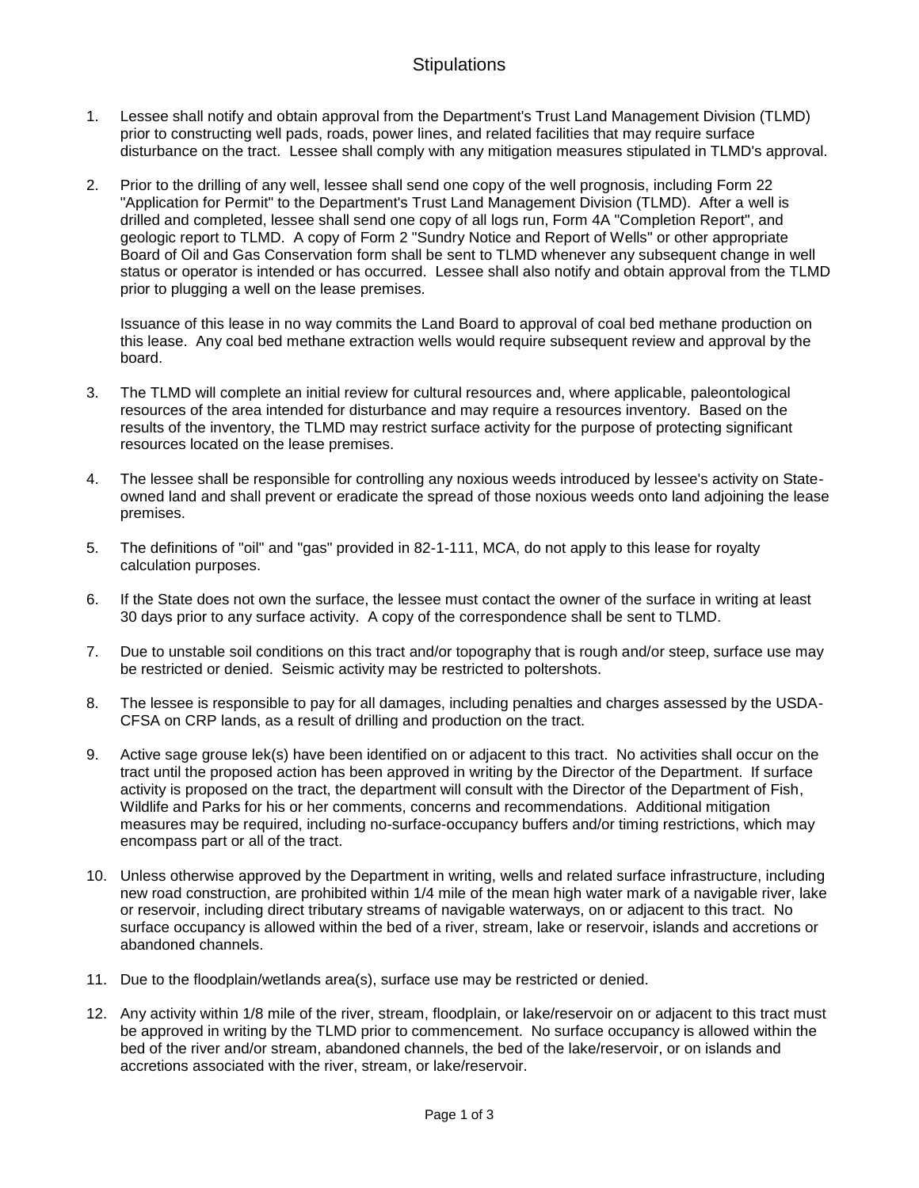## **Stipulations**

- 1. Lessee shall notify and obtain approval from the Department's Trust Land Management Division (TLMD) prior to constructing well pads, roads, power lines, and related facilities that may require surface disturbance on the tract. Lessee shall comply with any mitigation measures stipulated in TLMD's approval.
- 2. Prior to the drilling of any well, lessee shall send one copy of the well prognosis, including Form 22 "Application for Permit" to the Department's Trust Land Management Division (TLMD). After a well is drilled and completed, lessee shall send one copy of all logs run, Form 4A "Completion Report", and geologic report to TLMD. A copy of Form 2 "Sundry Notice and Report of Wells" or other appropriate Board of Oil and Gas Conservation form shall be sent to TLMD whenever any subsequent change in well status or operator is intended or has occurred. Lessee shall also notify and obtain approval from the TLMD prior to plugging a well on the lease premises.

Issuance of this lease in no way commits the Land Board to approval of coal bed methane production on this lease. Any coal bed methane extraction wells would require subsequent review and approval by the board.

- 3. The TLMD will complete an initial review for cultural resources and, where applicable, paleontological resources of the area intended for disturbance and may require a resources inventory. Based on the results of the inventory, the TLMD may restrict surface activity for the purpose of protecting significant resources located on the lease premises.
- 4. The lessee shall be responsible for controlling any noxious weeds introduced by lessee's activity on Stateowned land and shall prevent or eradicate the spread of those noxious weeds onto land adjoining the lease premises.
- 5. The definitions of "oil" and "gas" provided in 82-1-111, MCA, do not apply to this lease for royalty calculation purposes.
- 6. If the State does not own the surface, the lessee must contact the owner of the surface in writing at least 30 days prior to any surface activity. A copy of the correspondence shall be sent to TLMD.
- 7. Due to unstable soil conditions on this tract and/or topography that is rough and/or steep, surface use may be restricted or denied. Seismic activity may be restricted to poltershots.
- 8. The lessee is responsible to pay for all damages, including penalties and charges assessed by the USDA-CFSA on CRP lands, as a result of drilling and production on the tract.
- 9. Active sage grouse lek(s) have been identified on or adjacent to this tract. No activities shall occur on the tract until the proposed action has been approved in writing by the Director of the Department. If surface activity is proposed on the tract, the department will consult with the Director of the Department of Fish, Wildlife and Parks for his or her comments, concerns and recommendations. Additional mitigation measures may be required, including no-surface-occupancy buffers and/or timing restrictions, which may encompass part or all of the tract.
- 10. Unless otherwise approved by the Department in writing, wells and related surface infrastructure, including new road construction, are prohibited within 1/4 mile of the mean high water mark of a navigable river, lake or reservoir, including direct tributary streams of navigable waterways, on or adjacent to this tract. No surface occupancy is allowed within the bed of a river, stream, lake or reservoir, islands and accretions or abandoned channels.
- 11. Due to the floodplain/wetlands area(s), surface use may be restricted or denied.
- 12. Any activity within 1/8 mile of the river, stream, floodplain, or lake/reservoir on or adjacent to this tract must be approved in writing by the TLMD prior to commencement. No surface occupancy is allowed within the bed of the river and/or stream, abandoned channels, the bed of the lake/reservoir, or on islands and accretions associated with the river, stream, or lake/reservoir.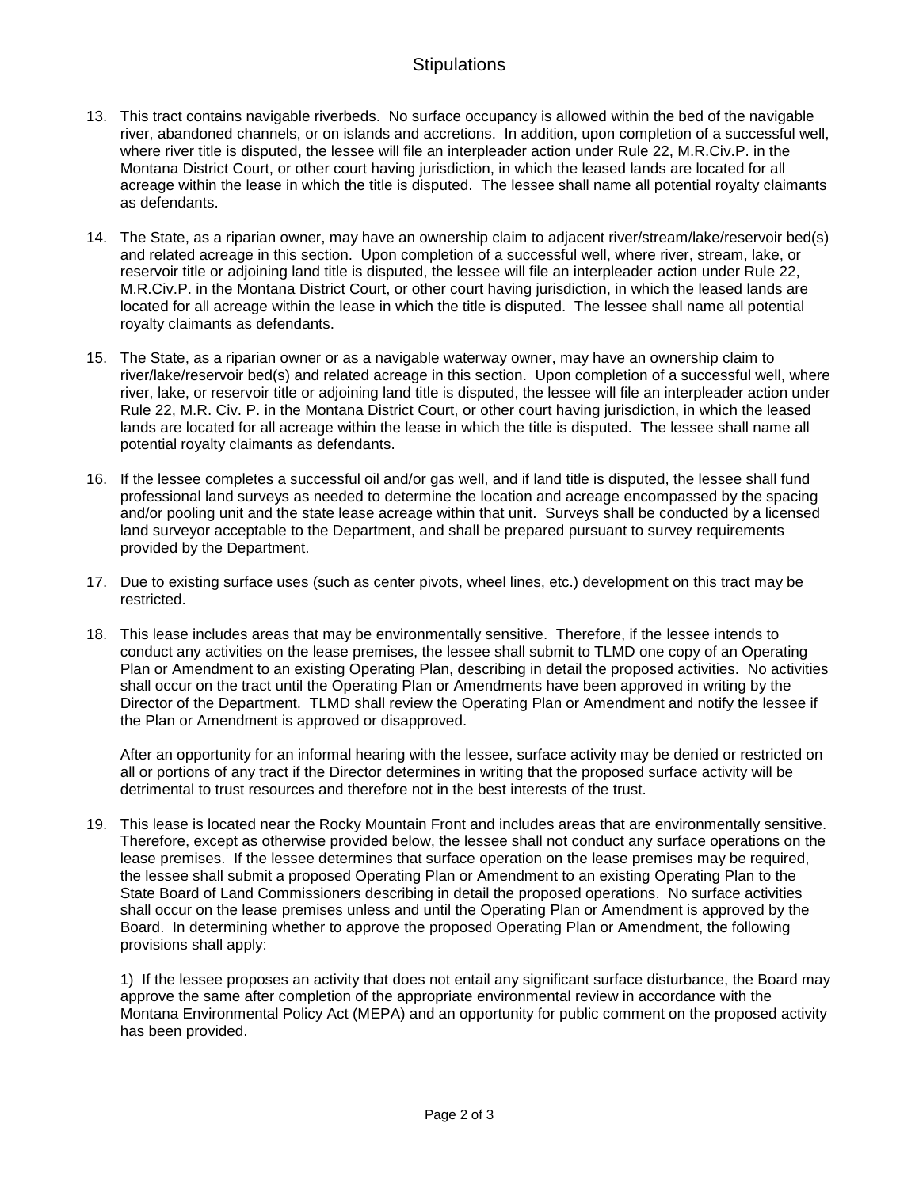## **Stipulations**

- 13. This tract contains navigable riverbeds. No surface occupancy is allowed within the bed of the navigable river, abandoned channels, or on islands and accretions. In addition, upon completion of a successful well, where river title is disputed, the lessee will file an interpleader action under Rule 22, M.R.Civ.P. in the Montana District Court, or other court having jurisdiction, in which the leased lands are located for all acreage within the lease in which the title is disputed. The lessee shall name all potential royalty claimants as defendants.
- 14. The State, as a riparian owner, may have an ownership claim to adjacent river/stream/lake/reservoir bed(s) and related acreage in this section. Upon completion of a successful well, where river, stream, lake, or reservoir title or adjoining land title is disputed, the lessee will file an interpleader action under Rule 22, M.R.Civ.P. in the Montana District Court, or other court having jurisdiction, in which the leased lands are located for all acreage within the lease in which the title is disputed. The lessee shall name all potential royalty claimants as defendants.
- 15. The State, as a riparian owner or as a navigable waterway owner, may have an ownership claim to river/lake/reservoir bed(s) and related acreage in this section. Upon completion of a successful well, where river, lake, or reservoir title or adjoining land title is disputed, the lessee will file an interpleader action under Rule 22, M.R. Civ. P. in the Montana District Court, or other court having jurisdiction, in which the leased lands are located for all acreage within the lease in which the title is disputed. The lessee shall name all potential royalty claimants as defendants.
- 16. If the lessee completes a successful oil and/or gas well, and if land title is disputed, the lessee shall fund professional land surveys as needed to determine the location and acreage encompassed by the spacing and/or pooling unit and the state lease acreage within that unit. Surveys shall be conducted by a licensed land surveyor acceptable to the Department, and shall be prepared pursuant to survey requirements provided by the Department.
- 17. Due to existing surface uses (such as center pivots, wheel lines, etc.) development on this tract may be restricted.
- 18. This lease includes areas that may be environmentally sensitive. Therefore, if the lessee intends to conduct any activities on the lease premises, the lessee shall submit to TLMD one copy of an Operating Plan or Amendment to an existing Operating Plan, describing in detail the proposed activities. No activities shall occur on the tract until the Operating Plan or Amendments have been approved in writing by the Director of the Department. TLMD shall review the Operating Plan or Amendment and notify the lessee if the Plan or Amendment is approved or disapproved.

After an opportunity for an informal hearing with the lessee, surface activity may be denied or restricted on all or portions of any tract if the Director determines in writing that the proposed surface activity will be detrimental to trust resources and therefore not in the best interests of the trust.

19. This lease is located near the Rocky Mountain Front and includes areas that are environmentally sensitive. Therefore, except as otherwise provided below, the lessee shall not conduct any surface operations on the lease premises. If the lessee determines that surface operation on the lease premises may be required, the lessee shall submit a proposed Operating Plan or Amendment to an existing Operating Plan to the State Board of Land Commissioners describing in detail the proposed operations. No surface activities shall occur on the lease premises unless and until the Operating Plan or Amendment is approved by the Board. In determining whether to approve the proposed Operating Plan or Amendment, the following provisions shall apply:

1) If the lessee proposes an activity that does not entail any significant surface disturbance, the Board may approve the same after completion of the appropriate environmental review in accordance with the Montana Environmental Policy Act (MEPA) and an opportunity for public comment on the proposed activity has been provided.